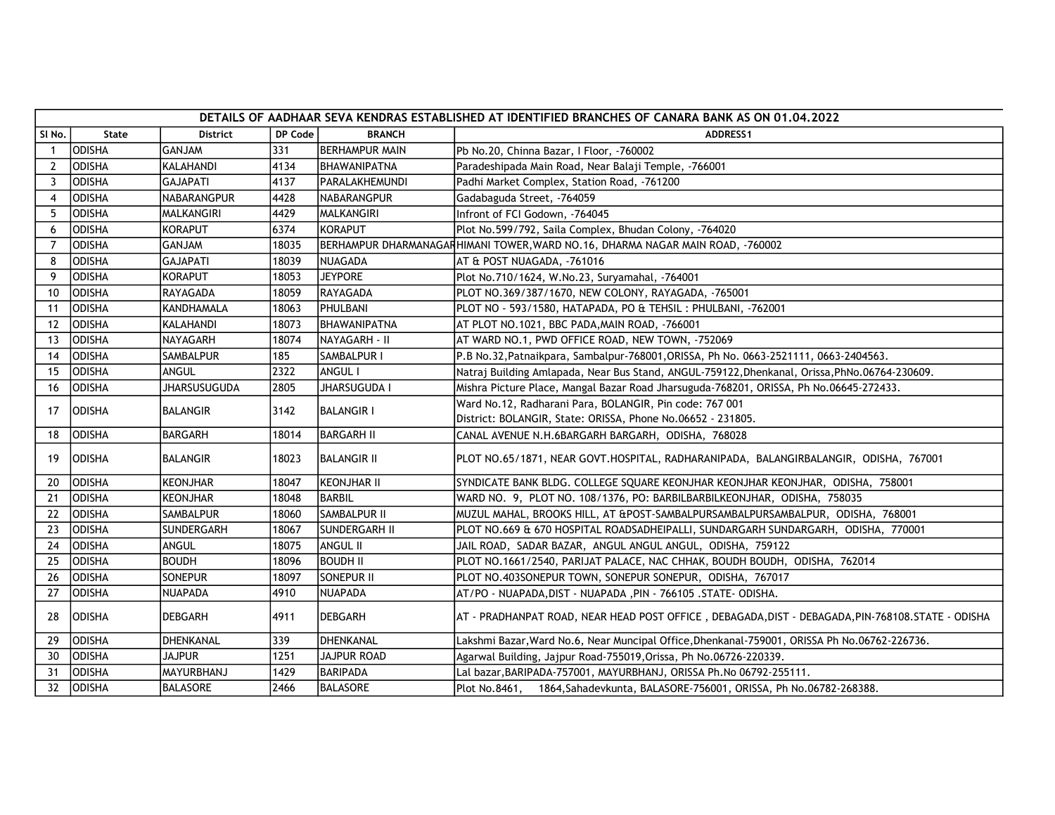|                | DETAILS OF AADHAAR SEVA KENDRAS ESTABLISHED AT IDENTIFIED BRANCHES OF CANARA BANK AS ON 01.04.2022 |                     |         |                      |                                                                                                  |  |  |  |
|----------------|----------------------------------------------------------------------------------------------------|---------------------|---------|----------------------|--------------------------------------------------------------------------------------------------|--|--|--|
| SI No.         | State                                                                                              | <b>District</b>     | DP Code | <b>BRANCH</b>        | <b>ADDRESS1</b>                                                                                  |  |  |  |
| -1             | <b>ODISHA</b>                                                                                      | <b>GANJAM</b>       | 331     | BERHAMPUR MAIN       | Pb No.20, Chinna Bazar, I Floor, -760002                                                         |  |  |  |
| $\overline{2}$ | <b>ODISHA</b>                                                                                      | KALAHANDI           | 4134    | BHAWANIPATNA         | Paradeshipada Main Road, Near Balaji Temple, -766001                                             |  |  |  |
| 3              | <b>ODISHA</b>                                                                                      | <b>GAJAPATI</b>     | 4137    | PARALAKHEMUNDI       | Padhi Market Complex, Station Road, -761200                                                      |  |  |  |
| $\overline{4}$ | <b>ODISHA</b>                                                                                      | NABARANGPUR         | 4428    | NABARANGPUR          | Gadabaguda Street, -764059                                                                       |  |  |  |
| -5             | <b>ODISHA</b>                                                                                      | MALKANGIRI          | 4429    | MALKANGIRI           | Infront of FCI Godown, -764045                                                                   |  |  |  |
| 6              | <b>ODISHA</b>                                                                                      | KORAPUT             | 6374    | <b>KORAPUT</b>       | Plot No.599/792, Saila Complex, Bhudan Colony, -764020                                           |  |  |  |
| 7              | ODISHA                                                                                             | <b>GANJAM</b>       | 18035   |                      | BERHAMPUR DHARMANAGAFHIMANI TOWER, WARD NO.16, DHARMA NAGAR MAIN ROAD, -760002                   |  |  |  |
| 8              | <b>ODISHA</b>                                                                                      | <b>GAJAPATI</b>     | 18039   | INUAGADA             | AT & POST NUAGADA, -761016                                                                       |  |  |  |
| 9              | <b>ODISHA</b>                                                                                      | KORAPUT             | 18053   | <b>JEYPORE</b>       | Plot No.710/1624, W.No.23, Suryamahal, -764001                                                   |  |  |  |
| 10             | <b>ODISHA</b>                                                                                      | RAYAGADA            | 18059   | <b>RAYAGADA</b>      | PLOT NO.369/387/1670, NEW COLONY, RAYAGADA, -765001                                              |  |  |  |
| 11             | <b>ODISHA</b>                                                                                      | KANDHAMALA          | 18063   | PHULBANI             | PLOT NO - 593/1580, HATAPADA, PO & TEHSIL : PHULBANI, -762001                                    |  |  |  |
| 12             | <b>ODISHA</b>                                                                                      | KALAHANDI           | 18073   | BHAWANIPATNA         | AT PLOT NO.1021, BBC PADA, MAIN ROAD, -766001                                                    |  |  |  |
| 13             | <b>ODISHA</b>                                                                                      | NAYAGARH            | 18074   | NAYAGARH - II        | AT WARD NO.1, PWD OFFICE ROAD, NEW TOWN, -752069                                                 |  |  |  |
| 14             | <b>ODISHA</b>                                                                                      | <b>SAMBALPUR</b>    | 185     | SAMBALPUR I          | P.B No.32, Patnaikpara, Sambalpur-768001, ORISSA, Ph No. 0663-2521111, 0663-2404563.             |  |  |  |
| 15             | IODISHA                                                                                            | ANGUL               | 2322    | ANGUL I              | Natraj Building Amlapada, Near Bus Stand, ANGUL-759122, Dhenkanal, Orissa, PhNo.06764-230609.    |  |  |  |
| 16             | <b>ODISHA</b>                                                                                      | <b>JHARSUSUGUDA</b> | 2805    | JHARSUGUDA I         | Mishra Picture Place, Mangal Bazar Road Jharsuguda-768201, ORISSA, Ph No.06645-272433.           |  |  |  |
| 17             | <b>ODISHA</b>                                                                                      | BALANGIR            | 3142    | <b>BALANGIR I</b>    | Ward No.12, Radharani Para, BOLANGIR, Pin code: 767 001                                          |  |  |  |
|                |                                                                                                    |                     |         |                      | District: BOLANGIR, State: ORISSA, Phone No.06652 - 231805.                                      |  |  |  |
| 18             | <b>ODISHA</b>                                                                                      | <b>BARGARH</b>      | 18014   | <b>BARGARH II</b>    | CANAL AVENUE N.H.6BARGARH BARGARH, ODISHA, 768028                                                |  |  |  |
| 19             | <b>ODISHA</b>                                                                                      | BALANGIR            | 18023   | <b>BALANGIR II</b>   | PLOT NO.65/1871, NEAR GOVT.HOSPITAL, RADHARANIPADA,  BALANGIRBALANGIR,  ODISHA,  767001          |  |  |  |
| 20             | <b>ODISHA</b>                                                                                      | <b>KEONJHAR</b>     | 18047   | KEONJHAR II          | SYNDICATE BANK BLDG. COLLEGE SQUARE KEONJHAR KEONJHAR KEONJHAR, ODISHA, 758001                   |  |  |  |
| 21             | IODISHA                                                                                            | KEONJHAR            | 18048   | <b>BARBIL</b>        | WARD NO. 9, PLOT NO. 108/1376, PO: BARBILBARBILKEONJHAR, ODISHA, 758035                          |  |  |  |
| 22             | IODISHA                                                                                            | <b>SAMBALPUR</b>    | 18060   | Isambalpur II        | MUZUL MAHAL, BROOKS HILL, AT &POST-SAMBALPURSAMBALPURSAMBALPUR, ODISHA, 768001                   |  |  |  |
| 23             | <b>ODISHA</b>                                                                                      | <b>SUNDERGARH</b>   | 18067   | <b>SUNDERGARH II</b> | PLOT NO.669 & 670 HOSPITAL ROADSADHEIPALLI, SUNDARGARH SUNDARGARH, ODISHA, 770001                |  |  |  |
| 24             | <b>ODISHA</b>                                                                                      | ANGUL               | 18075   | ANGUL II             | JAIL ROAD, SADAR BAZAR, ANGUL ANGUL ANGUL, ODISHA, 759122                                        |  |  |  |
| 25             | <b>ODISHA</b>                                                                                      | <b>BOUDH</b>        | 18096   | <b>BOUDH II</b>      | PLOT NO.1661/2540, PARIJAT PALACE, NAC CHHAK, BOUDH BOUDH, ODISHA, 762014                        |  |  |  |
| 26             | <b>ODISHA</b>                                                                                      | <b>SONEPUR</b>      | 18097   | SONEPUR II           | PLOT NO.403SONEPUR TOWN, SONEPUR SONEPUR, ODISHA, 767017                                         |  |  |  |
| 27             | <b>ODISHA</b>                                                                                      | <b>NUAPADA</b>      | 4910    | NUAPADA              | AT/PO - NUAPADA, DIST - NUAPADA , PIN - 766105 . STATE - ODISHA.                                 |  |  |  |
| 28             | IODISHA                                                                                            | <b>DEBGARH</b>      | 14911   | <b>IDEBGARH</b>      | AT - PRADHANPAT ROAD, NEAR HEAD POST OFFICE , DEBAGADA,DIST - DEBAGADA,PIN-768108.STATE - ODISHA |  |  |  |
| 29             | <b>ODISHA</b>                                                                                      | DHENKANAL           | 339     | DHENKANAL            | Lakshmi Bazar, Ward No.6, Near Muncipal Office, Dhenkanal-759001, ORISSA Ph No.06762-226736.     |  |  |  |
| 30             | <b>ODISHA</b>                                                                                      | <b>JAJPUR</b>       | 1251    | <b>JAJPUR ROAD</b>   | Agarwal Building, Jajpur Road-755019, Orissa, Ph No.06726-220339.                                |  |  |  |
| 31             | IODISHA                                                                                            | <b>MAYURBHANJ</b>   | 1429    | BARIPADA             | Lal bazar, BARIPADA-757001, MAYURBHANJ, ORISSA Ph.No 06792-255111.                               |  |  |  |
| 32             | <b>ODISHA</b>                                                                                      | <b>BALASORE</b>     | 2466    | BALASORE             | Plot No.8461, 1864, Sahadevkunta, BALASORE-756001, ORISSA, Ph No.06782-268388.                   |  |  |  |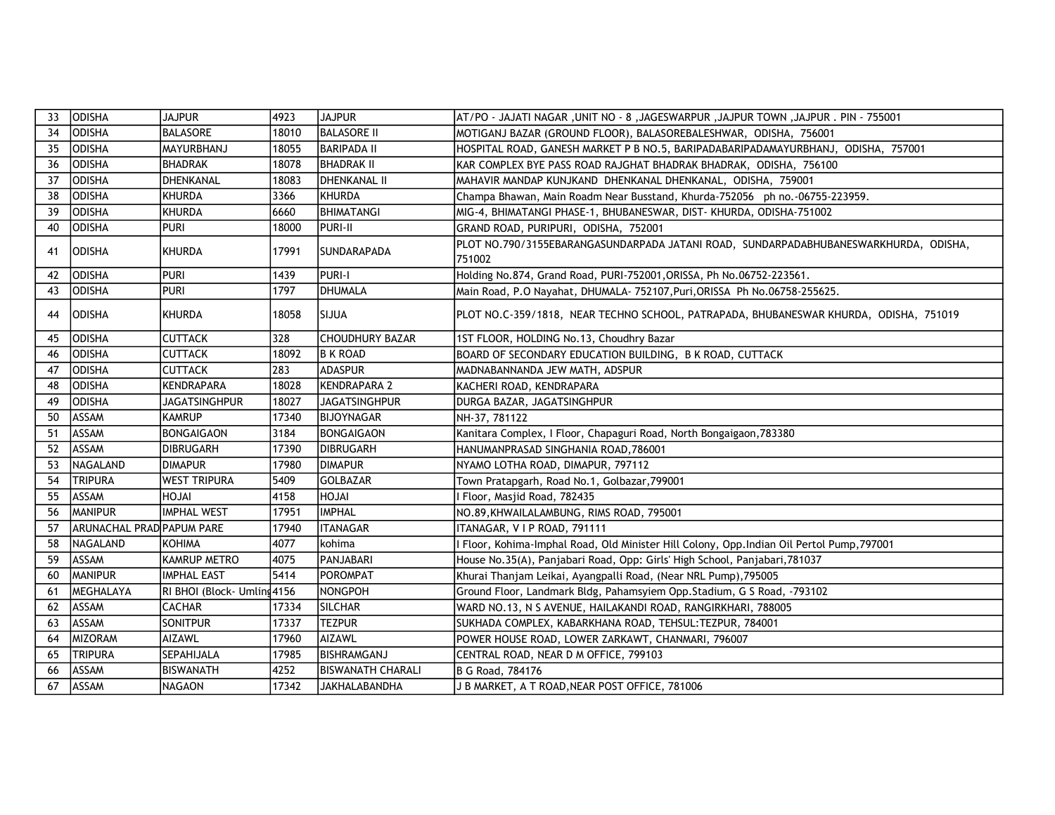| 33 | <b>ODISHA</b>             | <b>JAJPUR</b>               | 4923  | <b>JAJPUR</b>            | AT/PO - JAJATI NAGAR ,UNIT NO - 8 ,JAGESWARPUR ,JAJPUR TOWN ,JAJPUR . PIN - 755001             |
|----|---------------------------|-----------------------------|-------|--------------------------|------------------------------------------------------------------------------------------------|
| 34 | <b>ODISHA</b>             | <b>BALASORE</b>             | 18010 | <b>BALASORE II</b>       | MOTIGANJ BAZAR (GROUND FLOOR), BALASOREBALESHWAR, ODISHA, 756001                               |
| 35 | ODISHA                    | MAYURBHANJ                  | 18055 | <b>BARIPADA II</b>       | HOSPITAL ROAD, GANESH MARKET P B NO.5, BARIPADABARIPADAMAYURBHANJ, ODISHA, 757001              |
| 36 | ODISHA                    | <b>BHADRAK</b>              | 18078 | <b>BHADRAK II</b>        | KAR COMPLEX BYE PASS ROAD RAJGHAT BHADRAK BHADRAK, ODISHA, 756100                              |
| 37 | <b>ODISHA</b>             | DHENKANAL                   | 18083 | <b>IDHENKANAL II</b>     | MAHAVIR MANDAP KUNJKAND DHENKANAL DHENKANAL, ODISHA, 759001                                    |
| 38 | ODISHA                    | <b>KHURDA</b>               | 3366  | KHURDA                   | Champa Bhawan, Main Roadm Near Busstand, Khurda-752056 ph no.-06755-223959.                    |
| 39 | IODISHA                   | KHURDA                      | 16660 | <b>BHIMATANGI</b>        | MIG-4, BHIMATANGI PHASE-1, BHUBANESWAR, DIST- KHURDA, ODISHA-751002                            |
| 40 | IODISHA                   | <b>PURI</b>                 | 18000 | Ipuri-II                 | GRAND ROAD, PURIPURI, ODISHA, 752001                                                           |
| 41 | <b>ODISHA</b>             | <b>KHURDA</b>               | 17991 | <b>SUNDARAPADA</b>       | PLOT NO.790/3155EBARANGASUNDARPADA JATANI ROAD, SUNDARPADABHUBANESWARKHURDA, ODISHA,<br>751002 |
| 42 | <b>ODISHA</b>             | <b>PURI</b>                 | 1439  | PURI-I                   | Holding No.874, Grand Road, PURI-752001, ORISSA, Ph No.06752-223561.                           |
| 43 | <b>ODISHA</b>             | <b>PURI</b>                 | 1797  | <b>DHUMALA</b>           | Main Road, P.O Nayahat, DHUMALA- 752107, Puri, ORISSA Ph No.06758-255625.                      |
| 44 | <b>ODISHA</b>             | <b>KHURDA</b>               | 18058 | <b>SIJUA</b>             | PLOT NO.C-359/1818, NEAR TECHNO SCHOOL, PATRAPADA, BHUBANESWAR KHURDA, ODISHA, 751019          |
| 45 | ODISHA                    | <b>CUTTACK</b>              | 328   | <b>CHOUDHURY BAZAR</b>   | 1ST FLOOR, HOLDING No.13, Choudhry Bazar                                                       |
| 46 | <b>ODISHA</b>             | <b>CUTTACK</b>              | 18092 | <b>B K ROAD</b>          | BOARD OF SECONDARY EDUCATION BUILDING, B K ROAD, CUTTACK                                       |
| 47 | <b>ODISHA</b>             | <b>CUTTACK</b>              | 283   | <b>ADASPUR</b>           | MADNABANNANDA JEW MATH, ADSPUR                                                                 |
| 48 | <b>ODISHA</b>             | <b>KENDRAPARA</b>           | 18028 | <b>KENDRAPARA 2</b>      | KACHERI ROAD, KENDRAPARA                                                                       |
| 49 | <b>ODISHA</b>             | <b>JAGATSINGHPUR</b>        | 18027 | <b>JAGATSINGHPUR</b>     | DURGA BAZAR, JAGATSINGHPUR                                                                     |
| 50 | ASSAM                     | <b>KAMRUP</b>               | 17340 | BIJOYNAGAR               | NH-37, 781122                                                                                  |
| 51 | ASSAM                     | <b>BONGAIGAON</b>           | 3184  | <b>BONGAIGAON</b>        | Kanitara Complex, I Floor, Chapaguri Road, North Bongaigaon, 783380                            |
| 52 | ASSAM                     | <b>DIBRUGARH</b>            | 17390 | DIBRUGARH                | HANUMANPRASAD SINGHANIA ROAD, 786001                                                           |
| 53 | NAGALAND                  | <b>DIMAPUR</b>              | 17980 | <b>DIMAPUR</b>           | NYAMO LOTHA ROAD, DIMAPUR, 797112                                                              |
| 54 | <b>TRIPURA</b>            | <b>WEST TRIPURA</b>         | 5409  | <b>GOLBAZAR</b>          | Town Pratapgarh, Road No.1, Golbazar, 799001                                                   |
| 55 | <b>ASSAM</b>              | <b>HOJAI</b>                | 4158  | <b>HOJAI</b>             | Floor, Masjid Road, 782435                                                                     |
| 56 | MANIPUR                   | <b>IMPHAL WEST</b>          | 17951 | <b>IMPHAL</b>            | NO.89, KHWAILALAMBUNG, RIMS ROAD, 795001                                                       |
| 57 | ARUNACHAL PRAD PAPUM PARE |                             | 17940 | <b>ITANAGAR</b>          | ITANAGAR, V I P ROAD, 791111                                                                   |
| 58 | NAGALAND                  | <b>KOHIMA</b>               | 4077  | kohima                   | Floor, Kohima-Imphal Road, Old Minister Hill Colony, Opp.Indian Oil Pertol Pump,797001         |
| 59 | ASSAM                     | <b>KAMRUP METRO</b>         | 4075  | PANJABARI                | House No.35(A), Panjabari Road, Opp: Girls' High School, Panjabari, 781037                     |
| 60 | <b>MANIPUR</b>            | <b>IMPHAL EAST</b>          | 5414  | POROMPAT                 | Khurai Thanjam Leikai, Ayangpalli Road, (Near NRL Pump), 795005                                |
| 61 | MEGHALAYA                 | RI BHOI (Block- Umling 4156 |       | NONGPOH                  | Ground Floor, Landmark Bldg, Pahamsyiem Opp.Stadium, G S Road, -793102                         |
| 62 | ASSAM                     | <b>CACHAR</b>               | 17334 | SILCHAR                  | WARD NO.13, N S AVENUE, HAILAKANDI ROAD, RANGIRKHARI, 788005                                   |
| 63 | ASSAM                     | <b>SONITPUR</b>             | 17337 | <b>TEZPUR</b>            | SUKHADA COMPLEX, KABARKHANA ROAD, TEHSUL: TEZPUR, 784001                                       |
| 64 | MIZORAM                   | AIZAWL                      | 17960 | AIZAWL                   | POWER HOUSE ROAD, LOWER ZARKAWT, CHANMARI, 796007                                              |
| 65 | <b>TRIPURA</b>            | SEPAHIJALA                  | 17985 | BISHRAMGANJ              | CENTRAL ROAD, NEAR D M OFFICE, 799103                                                          |
| 66 | ASSAM                     | <b>BISWANATH</b>            | 4252  | <b>BISWANATH CHARALI</b> | B G Road, 784176                                                                               |
| 67 | ASSAM                     | <b>NAGAON</b>               | 17342 | JAKHALABANDHA            | J B MARKET, A T ROAD, NEAR POST OFFICE, 781006                                                 |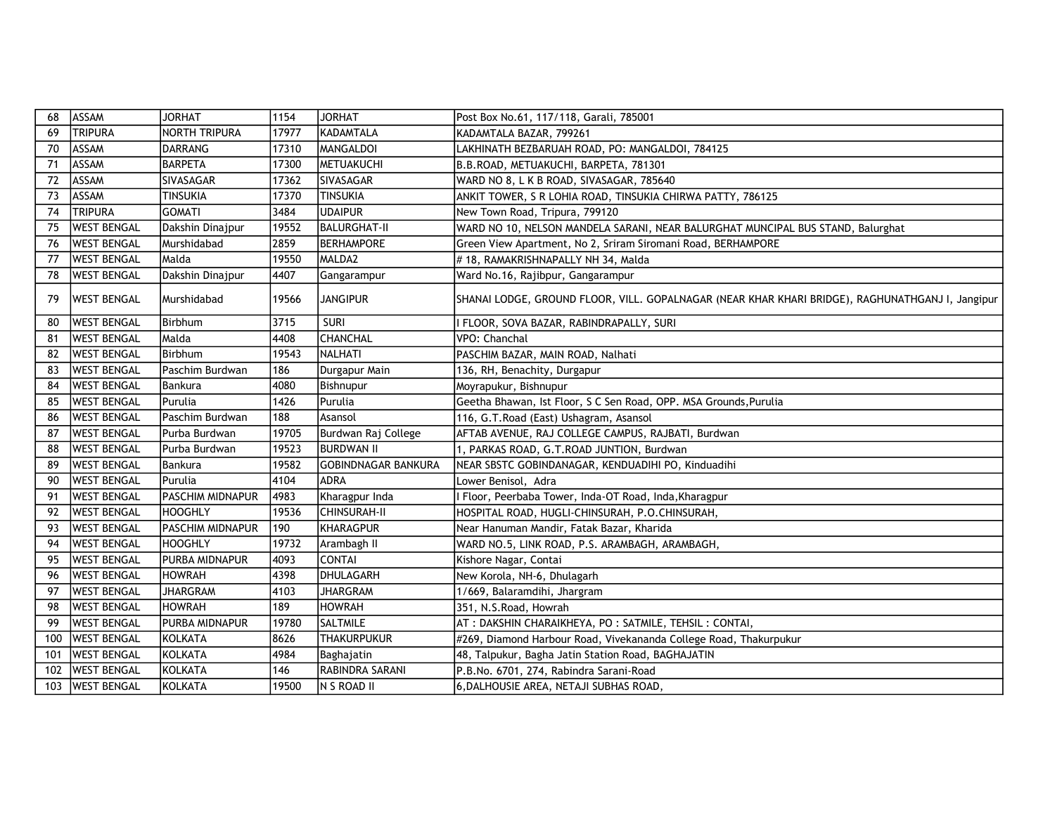| 68  | ASSAM              | <b>JORHAT</b>           | 1154  | <b>JORHAT</b>              | Post Box No.61, 117/118, Garali, 785001                                                          |
|-----|--------------------|-------------------------|-------|----------------------------|--------------------------------------------------------------------------------------------------|
| 69  | <b>TRIPURA</b>     | <b>NORTH TRIPURA</b>    | 17977 | KADAMTALA                  | KADAMTALA BAZAR, 799261                                                                          |
| 70  | ASSAM              | DARRANG                 | 17310 | MANGALDOI                  | LAKHINATH BEZBARUAH ROAD, PO: MANGALDOI, 784125                                                  |
| 71  | ASSAM              | <b>BARPETA</b>          | 17300 | METUAKUCHI                 | B.B.ROAD, METUAKUCHI, BARPETA, 781301                                                            |
| 72  | ASSAM              | <b>SIVASAGAR</b>        | 17362 | SIVASAGAR                  | WARD NO 8, L K B ROAD, SIVASAGAR, 785640                                                         |
| 73  | ASSAM              | TINSUKIA                | 17370 | <b>TINSUKIA</b>            | ANKIT TOWER, S R LOHIA ROAD, TINSUKIA CHIRWA PATTY, 786125                                       |
| 74  | <b>TRIPURA</b>     | <b>GOMATI</b>           | 3484  | <b>UDAIPUR</b>             | New Town Road, Tripura, 799120                                                                   |
| 75  | <b>WEST BENGAL</b> | Dakshin Dinajpur        | 19552 | <b>BALURGHAT-II</b>        | WARD NO 10, NELSON MANDELA SARANI, NEAR BALURGHAT MUNCIPAL BUS STAND, Balurghat                  |
| 76  | <b>WEST BENGAL</b> | Murshidabad             | 2859  | <b>BERHAMPORE</b>          | Green View Apartment, No 2, Sriram Siromani Road, BERHAMPORE                                     |
| 77  | <b>WEST BENGAL</b> | Malda                   | 19550 | MALDA2                     | #18, RAMAKRISHNAPALLY NH 34, Malda                                                               |
| 78  | <b>WEST BENGAL</b> | Dakshin Dinajpur        | 4407  | Gangarampur                | Ward No.16, Rajibpur, Gangarampur                                                                |
| 79  | WEST BENGAL        | Murshidabad             | 19566 | <b>JANGIPUR</b>            | SHANAI LODGE, GROUND FLOOR, VILL. GOPALNAGAR (NEAR KHAR KHARI BRIDGE), RAGHUNATHGANJ I, Jangipur |
| 80  | <b>WEST BENGAL</b> | Birbhum                 | 3715  | <b>SURI</b>                | I FLOOR, SOVA BAZAR, RABINDRAPALLY, SURI                                                         |
| 81  | <b>WEST BENGAL</b> | Malda                   | 4408  | <b>CHANCHAL</b>            | VPO: Chanchal                                                                                    |
| 82  | WEST BENGAL        | Birbhum                 | 19543 | INALHATI                   | PASCHIM BAZAR, MAIN ROAD, Nalhati                                                                |
| 83  | <b>WEST BENGAL</b> | Paschim Burdwan         | 186   | Durgapur Main              | 136, RH, Benachity, Durgapur                                                                     |
| 84  | <b>WEST BENGAL</b> | Bankura                 | 4080  | Bishnupur                  | Moyrapukur, Bishnupur                                                                            |
| 85  | <b>WEST BENGAL</b> | l Purulia               | 1426  | Purulia                    | Geetha Bhawan, Ist Floor, S C Sen Road, OPP. MSA Grounds, Purulia                                |
| 86  | <b>WEST BENGAL</b> | Paschim Burdwan         | 188   | Asansol                    | 116, G.T.Road (East) Ushagram, Asansol                                                           |
| 87  | <b>WEST BENGAL</b> | Purba Burdwan           | 19705 | Burdwan Raj College        | AFTAB AVENUE, RAJ COLLEGE CAMPUS, RAJBATI, Burdwan                                               |
| 88  | <b>WEST BENGAL</b> | Purba Burdwan           | 19523 | <b>BURDWAN II</b>          | 1, PARKAS ROAD, G.T.ROAD JUNTION, Burdwan                                                        |
| 89  | <b>WEST BENGAL</b> | Bankura                 | 19582 | <b>GOBINDNAGAR BANKURA</b> | NEAR SBSTC GOBINDANAGAR, KENDUADIHI PO, Kinduadihi                                               |
| 90  | <b>WEST BENGAL</b> | Purulia                 | 4104  | <b>ADRA</b>                | Lower Benisol, Adra                                                                              |
| 91  | <b>WEST BENGAL</b> | <b>PASCHIM MIDNAPUR</b> | 4983  | Kharagpur Inda             | I Floor, Peerbaba Tower, Inda-OT Road, Inda, Kharagpur                                           |
| 92  | <b>WEST BENGAL</b> | <b>HOOGHLY</b>          | 19536 | CHINSURAH-II               | HOSPITAL ROAD, HUGLI-CHINSURAH, P.O.CHINSURAH,                                                   |
| 93  | <b>WEST BENGAL</b> | <b>PASCHIM MIDNAPUR</b> | 190   | <b>KHARAGPUR</b>           | Near Hanuman Mandir, Fatak Bazar, Kharida                                                        |
| 94  | <b>WEST BENGAL</b> | <b>HOOGHLY</b>          | 19732 | Arambagh II                | WARD NO.5, LINK ROAD, P.S. ARAMBAGH, ARAMBAGH,                                                   |
| 95  | <b>WEST BENGAL</b> | <b>PURBA MIDNAPUR</b>   | 4093  | <b>CONTAI</b>              | Kishore Nagar, Contai                                                                            |
| 96  | <b>WEST BENGAL</b> | <b>HOWRAH</b>           | 4398  | DHULAGARH                  | New Korola, NH-6, Dhulagarh                                                                      |
| 97  | <b>WEST BENGAL</b> | <b>JHARGRAM</b>         | 4103  | <b>JHARGRAM</b>            | 1/669, Balaramdihi, Jhargram                                                                     |
| 98  | <b>WEST BENGAL</b> | <b>HOWRAH</b>           | 189   | <b>HOWRAH</b>              | 351, N.S.Road, Howrah                                                                            |
| 99  | <b>WEST BENGAL</b> | <b>PURBA MIDNAPUR</b>   | 19780 | <b>SALTMILE</b>            | AT : DAKSHIN CHARAIKHEYA, PO : SATMILE, TEHSIL : CONTAI,                                         |
| 100 | <b>WEST BENGAL</b> | KOLKATA                 | 8626  | <b>THAKURPUKUR</b>         | #269, Diamond Harbour Road, Vivekananda College Road, Thakurpukur                                |
| 101 | <b>WEST BENGAL</b> | KOLKATA                 | 4984  | Baghajatin                 | 48, Talpukur, Bagha Jatin Station Road, BAGHAJATIN                                               |
| 102 | <b>WEST BENGAL</b> | <b>KOLKATA</b>          | 146   | RABINDRA SARANI            | P.B.No. 6701, 274, Rabindra Sarani-Road                                                          |
| 103 | <b>WEST BENGAL</b> | <b>KOLKATA</b>          | 19500 | N S ROAD II                | 6, DALHOUSIE AREA, NETAJI SUBHAS ROAD,                                                           |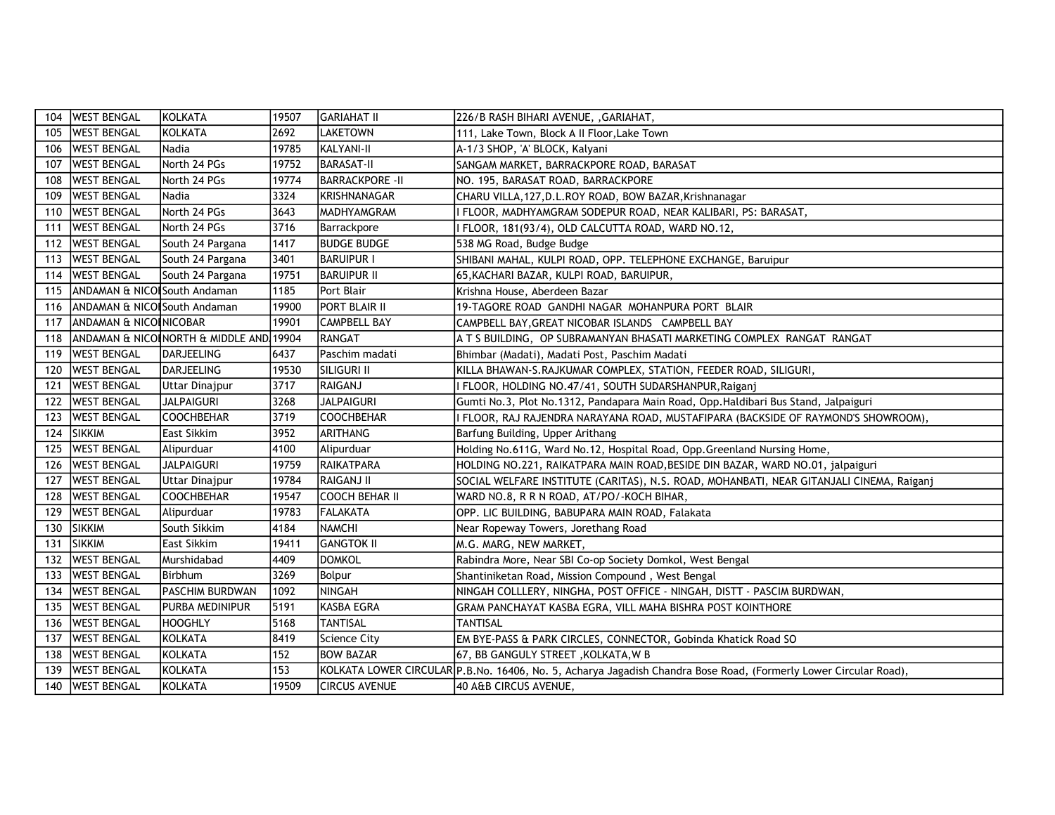| 104 | <b>WEST BENGAL</b>                      | KOLKATA                                 | 19507 | <b>GARIAHAT II</b>     | 226/B RASH BIHARI AVENUE, , GARIAHAT,                                                                            |
|-----|-----------------------------------------|-----------------------------------------|-------|------------------------|------------------------------------------------------------------------------------------------------------------|
| 105 | <b>WEST BENGAL</b>                      | KOLKATA                                 | 2692  | <b>LAKETOWN</b>        | 111, Lake Town, Block A II Floor, Lake Town                                                                      |
| 106 | <b>WEST BENGAL</b>                      | Nadia                                   | 19785 | KALYANI-II             | A-1/3 SHOP, 'A' BLOCK, Kalyani                                                                                   |
| 107 | <b>WEST BENGAL</b>                      | North 24 PGs                            | 19752 | <b>BARASAT-II</b>      | SANGAM MARKET, BARRACKPORE ROAD, BARASAT                                                                         |
| 108 | <b>WEST BENGAL</b>                      | North 24 PGs                            | 19774 | <b>BARRACKPORE -II</b> | NO. 195, BARASAT ROAD, BARRACKPORE                                                                               |
| 109 | <b>WEST BENGAL</b>                      | Nadia                                   | 3324  | <b>KRISHNANAGAR</b>    | CHARU VILLA, 127, D.L. ROY ROAD, BOW BAZAR, Krishnanagar                                                         |
| 110 | <b>WEST BENGAL</b>                      | North 24 PGs                            | 3643  | <b>MADHYAMGRAM</b>     | I FLOOR, MADHYAMGRAM SODEPUR ROAD, NEAR KALIBARI, PS: BARASAT,                                                   |
| 111 | <b>WEST BENGAL</b>                      | North 24 PGs                            | 3716  | Barrackpore            | FLOOR, 181(93/4), OLD CALCUTTA ROAD, WARD NO.12,                                                                 |
| 112 | <b>WEST BENGAL</b>                      | South 24 Pargana                        | 1417  | <b>BUDGE BUDGE</b>     | 538 MG Road, Budge Budge                                                                                         |
| 113 | <b>WEST BENGAL</b>                      | South 24 Pargana                        | 3401  | <b>BARUIPUR I</b>      | SHIBANI MAHAL, KULPI ROAD, OPP. TELEPHONE EXCHANGE, Baruipur                                                     |
| 114 | <b>WEST BENGAL</b>                      | South 24 Pargana                        | 19751 | BARUIPUR II            | 65, KACHARI BAZAR, KULPI ROAD, BARUIPUR,                                                                         |
| 115 | <b>ANDAMAN &amp; NICOLSouth Andaman</b> |                                         | 1185  | Port Blair             | Krishna House, Aberdeen Bazar                                                                                    |
| 116 | <b>ANDAMAN &amp; NICOLSouth Andaman</b> |                                         | 19900 | PORT BLAIR II          | 19-TAGORE ROAD GANDHI NAGAR MOHANPURA PORT BLAIR                                                                 |
| 117 | ANDAMAN & NICOINICOBAR                  |                                         | 19901 | <b>CAMPBELL BAY</b>    | CAMPBELL BAY, GREAT NICOBAR ISLANDS CAMPBELL BAY                                                                 |
| 118 |                                         | ANDAMAN & NICOINORTH & MIDDLE AND 19904 |       | RANGAT                 | A T S BUILDING, OP SUBRAMANYAN BHASATI MARKETING COMPLEX RANGAT RANGAT                                           |
| 119 | <b>WEST BENGAL</b>                      | DARJEELING                              | 6437  | Paschim madati         | Bhimbar (Madati), Madati Post, Paschim Madati                                                                    |
| 120 | <b>WEST BENGAL</b>                      | DARJEELING                              | 19530 | <b>SILIGURI II</b>     | KILLA BHAWAN-S.RAJKUMAR COMPLEX, STATION, FEEDER ROAD, SILIGURI,                                                 |
| 121 | <b>WEST BENGAL</b>                      | <b>Uttar Dinajpur</b>                   | 3717  | RAIGANJ                | FLOOR, HOLDING NO.47/41, SOUTH SUDARSHANPUR, Raiganj                                                             |
| 122 | <b>WEST BENGAL</b>                      | <b>JALPAIGURI</b>                       | 3268  | <b>JALPAIGURI</b>      | Gumti No.3, Plot No.1312, Pandapara Main Road, Opp.Haldibari Bus Stand, Jalpaiguri                               |
| 123 | <b>WEST BENGAL</b>                      | <b>COOCHBEHAR</b>                       | 3719  | <b>COOCHBEHAR</b>      | I FLOOR, RAJ RAJENDRA NARAYANA ROAD, MUSTAFIPARA (BACKSIDE OF RAYMOND'S SHOWROOM),                               |
| 124 | <b>SIKKIM</b>                           | East Sikkim                             | 3952  | <b>ARITHANG</b>        | Barfung Building, Upper Arithang                                                                                 |
| 125 | <b>WEST BENGAL</b>                      | Alipurduar                              | 4100  | Alipurduar             | Holding No.611G, Ward No.12, Hospital Road, Opp.Greenland Nursing Home,                                          |
| 126 | <b>WEST BENGAL</b>                      | <b>JALPAIGURI</b>                       | 19759 | IRAIKATPARA            | HOLDING NO.221, RAIKATPARA MAIN ROAD, BESIDE DIN BAZAR, WARD NO.01, jalpaiguri                                   |
| 127 | <b>WEST BENGAL</b>                      | <b>Uttar Dinajpur</b>                   | 19784 | RAIGANJ II             | SOCIAL WELFARE INSTITUTE (CARITAS), N.S. ROAD, MOHANBATI, NEAR GITANJALI CINEMA, Raiganj                         |
| 128 | <b>WEST BENGAL</b>                      | <b>COOCHBEHAR</b>                       | 19547 | COOCH BEHAR II         | WARD NO.8, R R N ROAD, AT/PO/-KOCH BIHAR,                                                                        |
| 129 | <b>WEST BENGAL</b>                      | Alipurduar                              | 19783 | FALAKATA               | OPP. LIC BUILDING, BABUPARA MAIN ROAD, Falakata                                                                  |
| 130 | <b>SIKKIM</b>                           | South Sikkim                            | 4184  | <b>NAMCHI</b>          | Near Ropeway Towers, Jorethang Road                                                                              |
| 131 | <b>SIKKIM</b>                           | East Sikkim                             | 19411 | <b>GANGTOK II</b>      | M.G. MARG, NEW MARKET,                                                                                           |
| 132 | <b>WEST BENGAL</b>                      | Murshidabad                             | 4409  | <b>DOMKOL</b>          | Rabindra More, Near SBI Co-op Society Domkol, West Bengal                                                        |
| 133 | <b>WEST BENGAL</b>                      | Birbhum                                 | 3269  | Bolpur                 | Shantiniketan Road, Mission Compound, West Bengal                                                                |
| 134 | <b>WEST BENGAL</b>                      | <b>PASCHIM BURDWAN</b>                  | 1092  | NINGAH                 | NINGAH COLLLERY, NINGHA, POST OFFICE - NINGAH, DISTT - PASCIM BURDWAN,                                           |
| 135 | <b>WEST BENGAL</b>                      | <b>PURBA MEDINIPUR</b>                  | 5191  | KASBA EGRA             | GRAM PANCHAYAT KASBA EGRA, VILL MAHA BISHRA POST KOINTHORE                                                       |
| 136 | <b>WEST BENGAL</b>                      | <b>HOOGHLY</b>                          | 5168  | <b>TANTISAL</b>        | <b>TANTISAL</b>                                                                                                  |
| 137 | <b>WEST BENGAL</b>                      | KOLKATA                                 | 8419  | <b>Science City</b>    | EM BYE-PASS & PARK CIRCLES, CONNECTOR, Gobinda Khatick Road SO                                                   |
| 138 | <b>WEST BENGAL</b>                      | KOLKATA                                 | 152   | <b>BOW BAZAR</b>       | 67, BB GANGULY STREET , KOLKATA, W B                                                                             |
| 139 | <b>WEST BENGAL</b>                      | <b>KOLKATA</b>                          | 153   |                        | KOLKATA LOWER CIRCULAR P.B.No. 16406, No. 5, Acharya Jagadish Chandra Bose Road, (Formerly Lower Circular Road), |
| 140 | <b>WEST BENGAL</b>                      | <b>KOLKATA</b>                          | 19509 | <b>CIRCUS AVENUE</b>   | 40 A&B CIRCUS AVENUE,                                                                                            |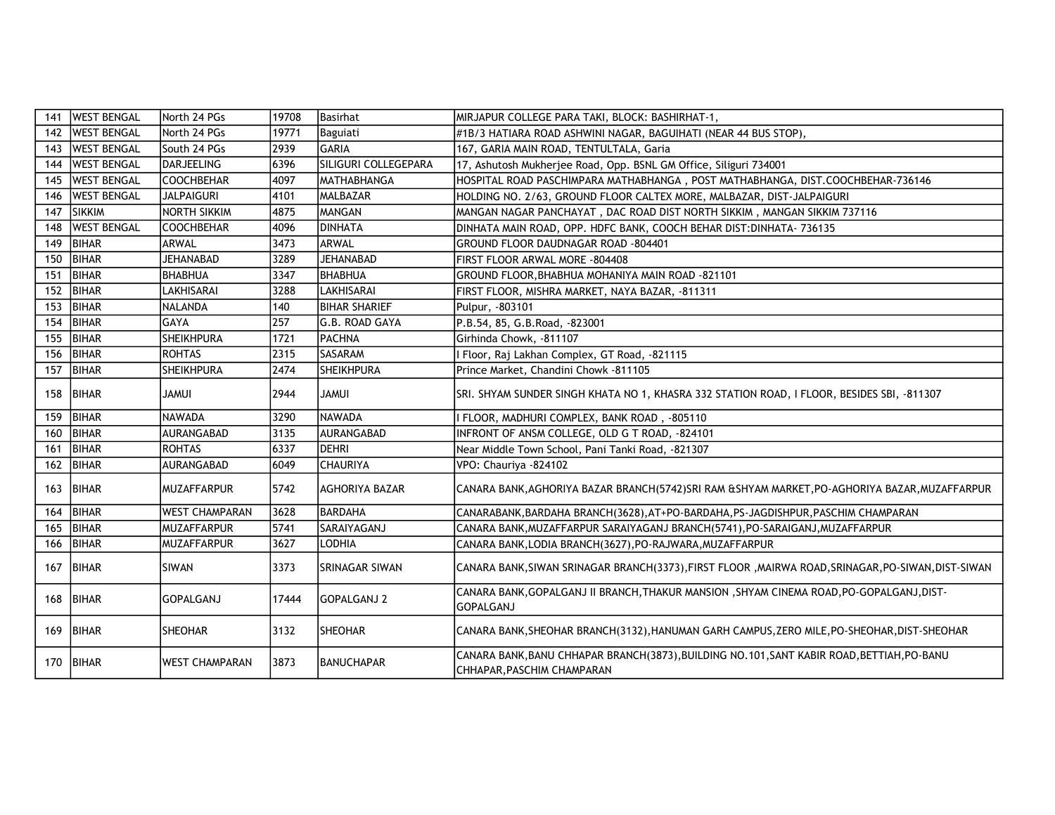| 141 | <b>WEST BENGAL</b> | North 24 PGs          | 19708 | <b>Basirhat</b>      | MIRJAPUR COLLEGE PARA TAKI, BLOCK: BASHIRHAT-1,                                                                     |
|-----|--------------------|-----------------------|-------|----------------------|---------------------------------------------------------------------------------------------------------------------|
| 142 | <b>WEST BENGAL</b> | North 24 PGs          | 19771 | Baguiati             | #1B/3 HATIARA ROAD ASHWINI NAGAR, BAGUIHATI (NEAR 44 BUS STOP),                                                     |
| 143 | <b>WEST BENGAL</b> | South 24 PGs          | 2939  | İGARIA               | 167, GARIA MAIN ROAD, TENTULTALA, Garia                                                                             |
| 144 | <b>WEST BENGAL</b> | <b>DARJEELING</b>     | 6396  | SILIGURI COLLEGEPARA | 17, Ashutosh Mukherjee Road, Opp. BSNL GM Office, Siliguri 734001                                                   |
| 145 | <b>WEST BENGAL</b> | <b>COOCHBEHAR</b>     | 4097  | IMATHABHANGA         | HOSPITAL ROAD PASCHIMPARA MATHABHANGA, POST MATHABHANGA, DIST.COOCHBEHAR-736146                                     |
| 146 | <b>WEST BENGAL</b> | <b>JALPAIGURI</b>     | 4101  | MALBAZAR             | HOLDING NO. 2/63, GROUND FLOOR CALTEX MORE, MALBAZAR, DIST-JALPAIGURI                                               |
| 147 | <b>ISIKKIM</b>     | <b>NORTH SIKKIM</b>   | 4875  | MANGAN               | MANGAN NAGAR PANCHAYAT, DAC ROAD DIST NORTH SIKKIM, MANGAN SIKKIM 737116                                            |
| 148 | <b>WEST BENGAL</b> | <b>COOCHBEHAR</b>     | 4096  | <b>IDINHATA</b>      | DINHATA MAIN ROAD, OPP. HDFC BANK, COOCH BEHAR DIST: DINHATA- 736135                                                |
| 149 | <b>BIHAR</b>       | ARWAL                 | 3473  | larwal               | GROUND FLOOR DAUDNAGAR ROAD -804401                                                                                 |
| 150 | BIHAR              | <b>JEHANABAD</b>      | 3289  | <b>JEHANABAD</b>     | FIRST FLOOR ARWAL MORE -804408                                                                                      |
| 151 | <b>BIHAR</b>       | <b>BHABHUA</b>        | 3347  | <b>BHABHUA</b>       | GROUND FLOOR, BHABHUA MOHANIYA MAIN ROAD -821101                                                                    |
| 152 | BIHAR              | <b>LAKHISARAI</b>     | 3288  | <b>LAKHISARAI</b>    | FIRST FLOOR, MISHRA MARKET, NAYA BAZAR, -811311                                                                     |
| 153 | <b>BIHAR</b>       | <b>NALANDA</b>        | 140   | BIHAR SHARIEF        | Pulpur, -803101                                                                                                     |
| 154 | <b>BIHAR</b>       | <b>GAYA</b>           | 257   | lG.B. ROAD GAYA      | P.B.54, 85, G.B.Road, -823001                                                                                       |
| 155 | <b>BIHAR</b>       | <b>SHEIKHPURA</b>     | 1721  | <b>PACHNA</b>        | Girhinda Chowk, -811107                                                                                             |
| 156 | <b>BIHAR</b>       | <b>ROHTAS</b>         | 2315  | SASARAM              | Floor, Raj Lakhan Complex, GT Road, -821115                                                                         |
| 157 | BIHAR              | <b>SHEIKHPURA</b>     | 2474  | <b>SHEIKHPURA</b>    | Prince Market, Chandini Chowk -811105                                                                               |
| 158 | BIHAR              | <b>JAMUI</b>          | 2944  | <b>JAMUI</b>         | SRI. SHYAM SUNDER SINGH KHATA NO 1, KHASRA 332 STATION ROAD, I FLOOR, BESIDES SBI, -811307                          |
| 159 | BIHAR              | <b>NAWADA</b>         | 3290  | <b>NAWADA</b>        | FLOOR, MADHURI COMPLEX, BANK ROAD, -805110                                                                          |
| 160 | <b>BIHAR</b>       | AURANGABAD            | 3135  | <b>AURANGABAD</b>    | INFRONT OF ANSM COLLEGE, OLD G T ROAD, -824101                                                                      |
| 161 | <b>BIHAR</b>       | <b>ROHTAS</b>         | 6337  | Idehri               | Near Middle Town School, Pani Tanki Road, -821307                                                                   |
| 162 | <b>BIHAR</b>       | AURANGABAD            | 6049  | ICHAURIYA            | VPO: Chauriya -824102                                                                                               |
| 163 | <b>BIHAR</b>       | <b>MUZAFFARPUR</b>    | 5742  | laghoriya bazar      | CANARA BANK, AGHORIYA BAZAR BRANCH(5742)SRI RAM & SHYAM MARKET, PO-AGHORIYA BAZAR, MUZAFFARPUR                      |
| 164 | BIHAR              | <b>WEST CHAMPARAN</b> | 3628  | <b>BARDAHA</b>       | CANARABANK, BARDAHA BRANCH (3628), AT+PO-BARDAHA, PS-JAGDISHPUR, PASCHIM CHAMPARAN                                  |
| 165 | BIHAR              | MUZAFFARPUR           | 5741  | SARAIYAGANJ          | CANARA BANK, MUZAFFARPUR SARAIYAGANJ BRANCH(5741), PO-SARAIGANJ, MUZAFFARPUR                                        |
| 166 | BIHAR              | MUZAFFARPUR           | 3627  | LODHIA               | CANARA BANK,LODIA BRANCH(3627),PO-RAJWARA,MUZAFFARPUR                                                               |
| 167 | BIHAR              | <b>SIWAN</b>          | 3373  | SRINAGAR SIWAN       | CANARA BANK, SIWAN SRINAGAR BRANCH(3373), FIRST FLOOR , MAIRWA ROAD, SRINAGAR, PO-SIWAN, DIST-SIWAN                 |
| 168 | BIHAR              | IGOPALGANJ            | 17444 | lGOPALGANJ 2         | CANARA BANK,GOPALGANJ II BRANCH,THAKUR MANSION ,SHYAM CINEMA ROAD,PO-GOPALGANJ,DIST-<br><b>GOPALGANJ</b>            |
| 169 | BIHAR              | <b>SHEOHAR</b>        | 3132  | SHEOHAR              | CANARA BANK, SHEOHAR BRANCH(3132), HANUMAN GARH CAMPUS, ZERO MILE, PO-SHEOHAR, DIST-SHEOHAR                         |
| 170 | BIHAR              | <b>WEST CHAMPARAN</b> | 3873  | BANUCHAPAR           | CANARA BANK,BANU CHHAPAR BRANCH(3873),BUILDING NO.101,SANT KABIR ROAD,BETTIAH,PO-BANU<br>CHHAPAR, PASCHIM CHAMPARAN |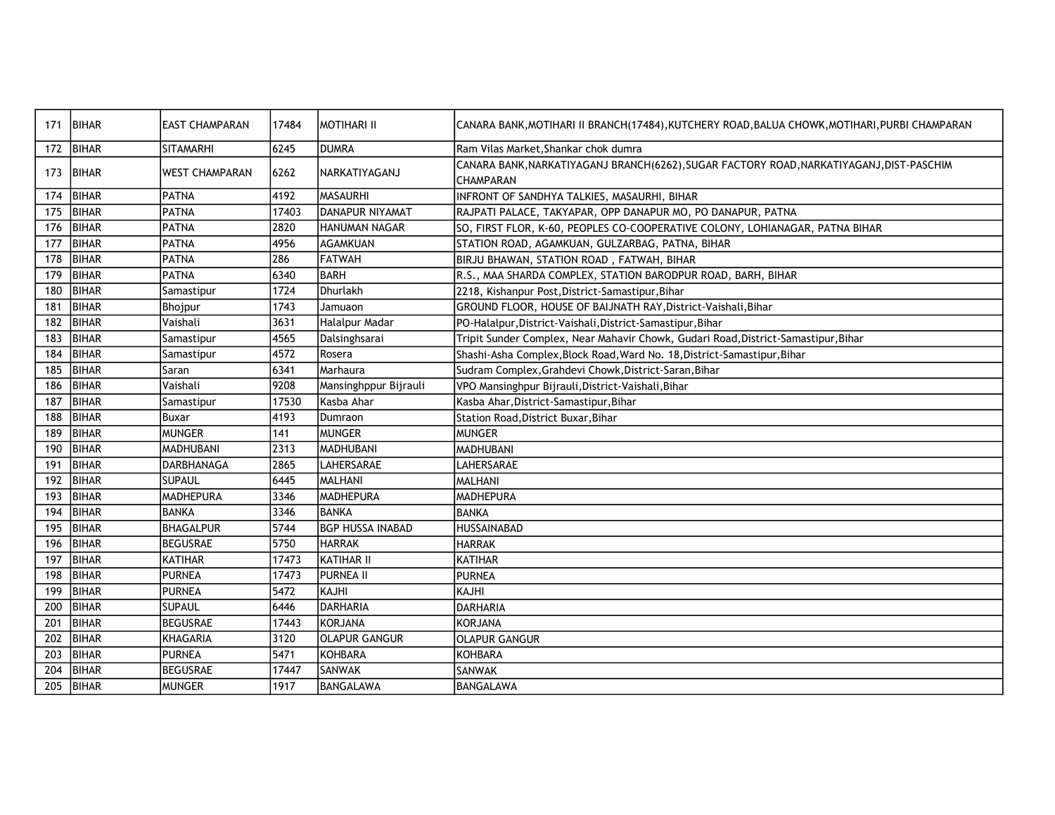| 171 | <b>IBIHAR</b> | <b>EAST CHAMPARAN</b> | 17484 | <b>MOTIHARI II</b>      | CANARA BANK, MOTIHARI II BRANCH (17484), KUTCHERY ROAD, BALUA CHOWK, MOTIHARI, PURBI CHAMPARAN                |
|-----|---------------|-----------------------|-------|-------------------------|---------------------------------------------------------------------------------------------------------------|
| 172 | BIHAR         | <b>SITAMARHI</b>      | 6245  | IDUMRA                  | Ram Vilas Market, Shankar chok dumra                                                                          |
| 173 | <b>BIHAR</b>  | <b>WEST CHAMPARAN</b> | 6262  | <b>INARKATIYAGANJ</b>   | CANARA BANK, NARKATIYAGANJ BRANCH (6262), SUGAR FACTORY ROAD, NARKATIYAGANJ, DIST-PASCHIM<br><b>CHAMPARAN</b> |
| 174 | <b>BIHAR</b>  | PATNA                 | 4192  | MASAURHI                | INFRONT OF SANDHYA TALKIES, MASAURHI, BIHAR                                                                   |
| 175 | <b>BIHAR</b>  | PATNA                 | 17403 | <b>IDANAPUR NIYAMAT</b> | RAJPATI PALACE, TAKYAPAR, OPP DANAPUR MO, PO DANAPUR, PATNA                                                   |
| 176 | <b>BIHAR</b>  | PATNA                 | 2820  | HANUMAN NAGAR           | SO, FIRST FLOR, K-60, PEOPLES CO-COOPERATIVE COLONY, LOHIANAGAR, PATNA BIHAR                                  |
| 177 | <b>BIHAR</b>  | PATNA                 | 4956  | <b>AGAMKUAN</b>         | STATION ROAD, AGAMKUAN, GULZARBAG, PATNA, BIHAR                                                               |
| 178 | BIHAR         | PATNA                 | 286   | <b>FATWAH</b>           | BIRJU BHAWAN, STATION ROAD , FATWAH, BIHAR                                                                    |
| 179 | <b>BIHAR</b>  | PATNA                 | 6340  | BARH                    | R.S., MAA SHARDA COMPLEX, STATION BARODPUR ROAD, BARH, BIHAR                                                  |
| 180 | <b>BIHAR</b>  | Samastipur            | 1724  | Dhurlakh                | 2218, Kishanpur Post, District-Samastipur, Bihar                                                              |
| 181 | <b>BIHAR</b>  | Bhojpur               | 1743  | Jamuaon                 | GROUND FLOOR, HOUSE OF BAIJNATH RAY, District-Vaishali, Bihar                                                 |
| 182 | <b>BIHAR</b>  | Vaishali              | 3631  | Halalpur Madar          | PO-Halalpur, District-Vaishali, District-Samastipur, Bihar                                                    |
| 183 | <b>BIHAR</b>  | Samastipur            | 4565  | Dalsinghsarai           | Tripit Sunder Complex, Near Mahavir Chowk, Gudari Road, District-Samastipur, Bihar                            |
| 184 | <b>BIHAR</b>  | Samastipur            | 4572  | Rosera                  | Shashi-Asha Complex, Block Road, Ward No. 18, District-Samastipur, Bihar                                      |
| 185 | <b>BIHAR</b>  | Saran                 | 6341  | Marhaura                | Sudram Complex, Grahdevi Chowk, District-Saran, Bihar                                                         |
| 186 | BIHAR         | Vaishali              | 9208  | Mansinghppur Bijrauli   | VPO Mansinghpur Bijrauli, District-Vaishali, Bihar                                                            |
| 187 | <b>BIHAR</b>  | Samastipur            | 17530 | Kasba Ahar              | Kasba Ahar, District-Samastipur, Bihar                                                                        |
| 188 | BIHAR         | lBuxar                | 4193  | Dumraon                 | Station Road, District Buxar, Bihar                                                                           |
| 189 | <b>BIHAR</b>  | <b>MUNGER</b>         | 141   | <b>MUNGER</b>           | <b>MUNGER</b>                                                                                                 |
| 190 | <b>BIHAR</b>  | MADHUBANI             | 2313  | MADHUBANI               | <b>MADHUBANI</b>                                                                                              |
| 191 | <b>BIHAR</b>  | <b>DARBHANAGA</b>     | 2865  | LAHERSARAE              | LAHERSARAE                                                                                                    |
| 192 | BIHAR         | <b>SUPAUL</b>         | 6445  | MALHANI                 | <b>MALHANI</b>                                                                                                |
| 193 | BIHAR         | <b>MADHEPURA</b>      | 3346  | <b>MADHEPURA</b>        | <b>MADHEPURA</b>                                                                                              |
| 194 | <b>BIHAR</b>  | <b>BANKA</b>          | 3346  | <b>BANKA</b>            | <b>BANKA</b>                                                                                                  |
| 195 | <b>BIHAR</b>  | BHAGALPUR             | 5744  | <b>BGP HUSSA INABAD</b> | <b>HUSSAINABAD</b>                                                                                            |
| 196 | <b>BIHAR</b>  | <b>BEGUSRAE</b>       | 5750  | <b>HARRAK</b>           | <b>HARRAK</b>                                                                                                 |
| 197 | <b>BIHAR</b>  | KATIHAR               | 17473 | <b>IKATIHAR II</b>      | <b>KATIHAR</b>                                                                                                |
| 198 | <b>BIHAR</b>  | PURNEA                | 17473 | PURNEA II               | <b>PURNEA</b>                                                                                                 |
| 199 | <b>BIHAR</b>  | PURNEA                | 5472  | KAJHI                   | KAJHI                                                                                                         |
| 200 | <b>BIHAR</b>  | <b>SUPAUL</b>         | 6446  | DARHARIA                | DARHARIA                                                                                                      |
| 201 | <b>BIHAR</b>  | <b>BEGUSRAE</b>       | 17443 | <b>KORJANA</b>          | <b>KORJANA</b>                                                                                                |
| 202 | <b>BIHAR</b>  | KHAGARIA              | 3120  | <b>OLAPUR GANGUR</b>    | <b>OLAPUR GANGUR</b>                                                                                          |
| 203 | <b>BIHAR</b>  | <b>PURNEA</b>         | 5471  | KOHBARA                 | <b>KOHBARA</b>                                                                                                |
| 204 | <b>BIHAR</b>  | <b>BEGUSRAE</b>       | 17447 | <b>SANWAK</b>           | SANWAK                                                                                                        |
| 205 | BIHAR         | <b>MUNGER</b>         | 1917  | BANGALAWA               | BANGALAWA                                                                                                     |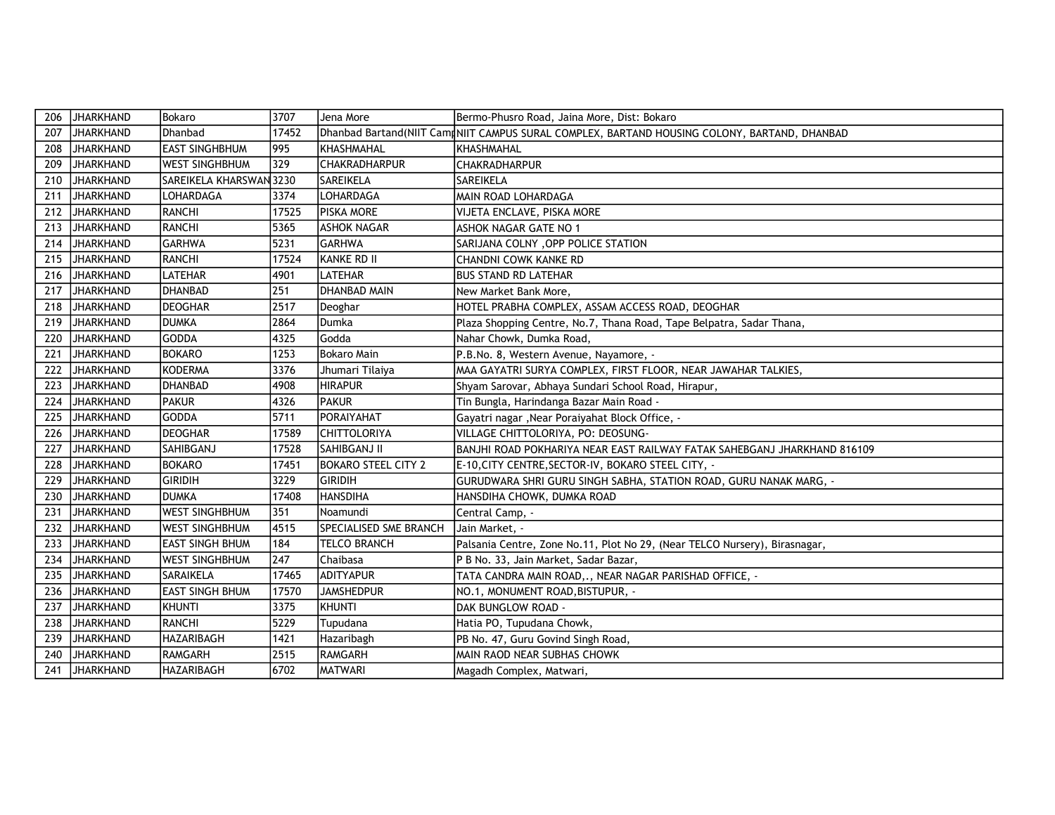| 206 | JHARKHAND        | Bokaro                  | 3707  | Jena More                  | Bermo-Phusro Road, Jaina More, Dist: Bokaro                                                   |
|-----|------------------|-------------------------|-------|----------------------------|-----------------------------------------------------------------------------------------------|
| 207 | JHARKHAND        | Dhanbad                 | 17452 |                            | Dhanbad Bartand(NIIT Camd NIIT CAMPUS SURAL COMPLEX, BARTAND HOUSING COLONY, BARTAND, DHANBAD |
| 208 | JHARKHAND        | <b>EAST SINGHBHUM</b>   | 995   | KHASHMAHAL                 | <b>KHASHMAHAL</b>                                                                             |
| 209 | JHARKHAND        | <b>WEST SINGHBHUM</b>   | 329   | <b>CHAKRADHARPUR</b>       | <b>CHAKRADHARPUR</b>                                                                          |
| 210 | <b>JHARKHAND</b> | SAREIKELA KHARSWAN 3230 |       | <b>SAREIKELA</b>           | <b>SAREIKELA</b>                                                                              |
| 211 | JHARKHAND        | LOHARDAGA               | 3374  | LOHARDAGA                  | MAIN ROAD LOHARDAGA                                                                           |
| 212 | <b>JHARKHAND</b> | RANCHI                  | 17525 | <b>PISKA MORE</b>          | VIJETA ENCLAVE, PISKA MORE                                                                    |
| 213 | JHARKHAND        | RANCHI                  | 5365  | <b>ASHOK NAGAR</b>         | <b>ASHOK NAGAR GATE NO 1</b>                                                                  |
| 214 | JHARKHAND        | <b>GARHWA</b>           | 5231  | <b>GARHWA</b>              | SARIJANA COLNY, OPP POLICE STATION                                                            |
| 215 | JHARKHAND        | <b>RANCHI</b>           | 17524 | KANKE RD II                | <b>CHANDNI COWK KANKE RD</b>                                                                  |
| 216 | JHARKHAND        | <b>LATEHAR</b>          | 4901  | LATEHAR                    | <b>BUS STAND RD LATEHAR</b>                                                                   |
| 217 | JHARKHAND        | <b>DHANBAD</b>          | 251   | <b>DHANBAD MAIN</b>        | New Market Bank More,                                                                         |
| 218 | JHARKHAND        | DEOGHAR                 | 2517  | Deoghar                    | HOTEL PRABHA COMPLEX, ASSAM ACCESS ROAD, DEOGHAR                                              |
| 219 | JHARKHAND        | <b>DUMKA</b>            | 2864  | <b>I</b> Dumka             | Plaza Shopping Centre, No.7, Thana Road, Tape Belpatra, Sadar Thana,                          |
| 220 | JHARKHAND        | <b>GODDA</b>            | 4325  | Godda                      | Nahar Chowk, Dumka Road,                                                                      |
| 221 | JHARKHAND        | <b>BOKARO</b>           | 1253  | Bokaro Main                | P.B.No. 8, Western Avenue, Nayamore, -                                                        |
| 222 | <b>JHARKHAND</b> | <b>KODERMA</b>          | 3376  | Jhumari Tilaiya            | MAA GAYATRI SURYA COMPLEX, FIRST FLOOR, NEAR JAWAHAR TALKIES,                                 |
| 223 | <b>JHARKHAND</b> | <b>DHANBAD</b>          | 4908  | <b>HIRAPUR</b>             | Shyam Sarovar, Abhaya Sundari School Road, Hirapur,                                           |
| 224 | JHARKHAND        | <b>PAKUR</b>            | 4326  | IPAKUR                     | Tin Bungla, Harindanga Bazar Main Road -                                                      |
| 225 | <b>JHARKHAND</b> | <b>GODDA</b>            | 5711  | PORAIYAHAT                 | Gayatri nagar, Near Poraiyahat Block Office, -                                                |
| 226 | JHARKHAND        | <b>DEOGHAR</b>          | 17589 | <b>CHITTOLORIYA</b>        | VILLAGE CHITTOLORIYA, PO: DEOSUNG-                                                            |
| 227 | <b>JHARKHAND</b> | SAHIBGANJ               | 17528 | SAHIBGANJ II               | BANJHI ROAD POKHARIYA NEAR EAST RAILWAY FATAK SAHEBGANJ JHARKHAND 816109                      |
| 228 | JHARKHAND        | <b>BOKARO</b>           | 17451 | <b>BOKARO STEEL CITY 2</b> | E-10, CITY CENTRE, SECTOR-IV, BOKARO STEEL CITY, -                                            |
| 229 | JHARKHAND        | <b>GIRIDIH</b>          | 3229  | <b>GIRIDIH</b>             | GURUDWARA SHRI GURU SINGH SABHA, STATION ROAD, GURU NANAK MARG, -                             |
| 230 | <b>JHARKHAND</b> | <b>DUMKA</b>            | 17408 | <b>HANSDIHA</b>            | HANSDIHA CHOWK, DUMKA ROAD                                                                    |
| 231 | JHARKHAND        | <b>WEST SINGHBHUM</b>   | 351   | Noamundi                   | Central Camp, -                                                                               |
| 232 | JHARKHAND        | <b>WEST SINGHBHUM</b>   | 4515  | SPECIALISED SME BRANCH     | Jain Market, -                                                                                |
| 233 | JHARKHAND        | <b>EAST SINGH BHUM</b>  | 184   | TELCO BRANCH               | Palsania Centre, Zone No.11, Plot No 29, (Near TELCO Nursery), Birasnagar,                    |
| 234 | JHARKHAND        | <b>WEST SINGHBHUM</b>   | 247   | Chaibasa                   | P B No. 33, Jain Market, Sadar Bazar,                                                         |
| 235 | JHARKHAND        | SARAIKELA               | 17465 | <b>ADITYAPUR</b>           | TATA CANDRA MAIN ROAD,., NEAR NAGAR PARISHAD OFFICE, -                                        |
| 236 | JHARKHAND        | <b>EAST SINGH BHUM</b>  | 17570 | <b>JAMSHEDPUR</b>          | NO.1, MONUMENT ROAD, BISTUPUR, -                                                              |
| 237 | JHARKHAND        | KHUNTI                  | 3375  | <b>KHUNTI</b>              | DAK BUNGLOW ROAD -                                                                            |
| 238 | JHARKHAND        | RANCHI                  | 5229  | Tupudana                   | Hatia PO, Tupudana Chowk,                                                                     |
| 239 | JHARKHAND        | <b>HAZARIBAGH</b>       | 1421  | Hazaribagh                 | PB No. 47, Guru Govind Singh Road,                                                            |
| 240 | JHARKHAND        | RAMGARH                 | 2515  | RAMGARH                    | MAIN RAOD NEAR SUBHAS CHOWK                                                                   |
| 241 | <b>JHARKHAND</b> | <b>HAZARIBAGH</b>       | 6702  | <b>MATWARI</b>             | Magadh Complex, Matwari,                                                                      |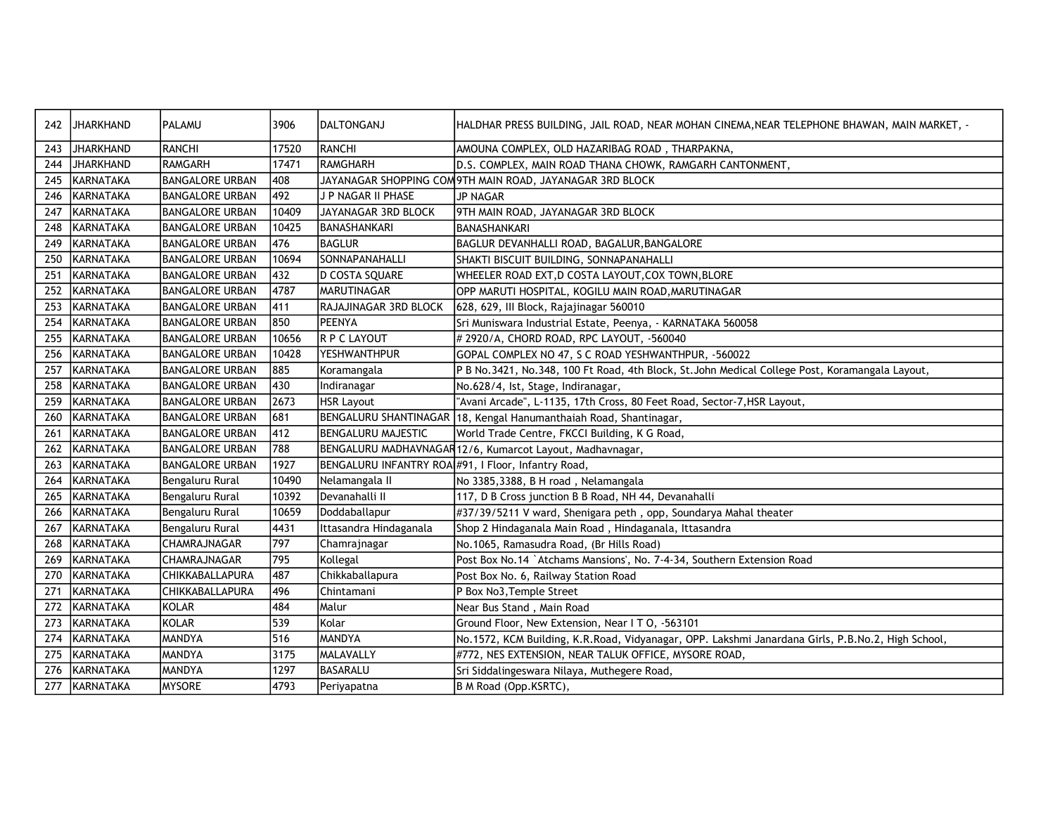| 242 | <b>JHARKHAND</b> | PALAMU                 | 3906  | DALTONGANJ                                          | HALDHAR PRESS BUILDING, JAIL ROAD, NEAR MOHAN CINEMA, NEAR TELEPHONE BHAWAN, MAIN MARKET, -       |
|-----|------------------|------------------------|-------|-----------------------------------------------------|---------------------------------------------------------------------------------------------------|
| 243 | JHARKHAND        | <b>RANCHI</b>          | 17520 | RANCHI                                              | AMOUNA COMPLEX, OLD HAZARIBAG ROAD, THARPAKNA,                                                    |
| 244 | JHARKHAND        | RAMGARH                | 17471 | RAMGHARH                                            | D.S. COMPLEX, MAIN ROAD THANA CHOWK, RAMGARH CANTONMENT,                                          |
| 245 | KARNATAKA        | <b>BANGALORE URBAN</b> | 408   |                                                     | JAYANAGAR SHOPPING COM9TH MAIN ROAD, JAYANAGAR 3RD BLOCK                                          |
| 246 | KARNATAKA        | <b>BANGALORE URBAN</b> | 492   | J P NAGAR II PHASE                                  | <b>JP NAGAR</b>                                                                                   |
| 247 | KARNATAKA        | <b>BANGALORE URBAN</b> | 10409 | JAYANAGAR 3RD BLOCK                                 | 9TH MAIN ROAD, JAYANAGAR 3RD BLOCK                                                                |
| 248 | KARNATAKA        | <b>BANGALORE URBAN</b> | 10425 | BANASHANKARI                                        | <b>BANASHANKARI</b>                                                                               |
| 249 | KARNATAKA        | <b>BANGALORE URBAN</b> | 476   | BAGLUR                                              | BAGLUR DEVANHALLI ROAD, BAGALUR, BANGALORE                                                        |
| 250 | KARNATAKA        | <b>BANGALORE URBAN</b> | 10694 | SONNAPANAHALLI                                      | SHAKTI BISCUIT BUILDING, SONNAPANAHALLI                                                           |
| 251 | KARNATAKA        | <b>BANGALORE URBAN</b> | 432   | D COSTA SQUARE                                      | WHEELER ROAD EXT,D COSTA LAYOUT,COX TOWN,BLORE                                                    |
| 252 | KARNATAKA        | <b>BANGALORE URBAN</b> | 4787  | <b>MARUTINAGAR</b>                                  | OPP MARUTI HOSPITAL, KOGILU MAIN ROAD, MARUTINAGAR                                                |
| 253 | KARNATAKA        | <b>BANGALORE URBAN</b> | 411   | RAJAJINAGAR 3RD BLOCK                               | 628, 629, III Block, Rajajinagar 560010                                                           |
| 254 | KARNATAKA        | <b>BANGALORE URBAN</b> | 850   | <b>PEENYA</b>                                       | Sri Muniswara Industrial Estate, Peenya, - KARNATAKA 560058                                       |
| 255 | KARNATAKA        | <b>BANGALORE URBAN</b> | 10656 | R P C LAYOUT                                        | # 2920/A, CHORD ROAD, RPC LAYOUT, -560040                                                         |
| 256 | KARNATAKA        | <b>BANGALORE URBAN</b> | 10428 | YESHWANTHPUR                                        | GOPAL COMPLEX NO 47, S C ROAD YESHWANTHPUR, -560022                                               |
| 257 | KARNATAKA        | <b>BANGALORE URBAN</b> | 885   | Koramangala                                         | P B No.3421, No.348, 100 Ft Road, 4th Block, St.John Medical College Post, Koramangala Layout,    |
| 258 | KARNATAKA        | <b>BANGALORE URBAN</b> | 430   | Indiranagar                                         | No.628/4, lst, Stage, Indiranagar,                                                                |
| 259 | KARNATAKA        | <b>BANGALORE URBAN</b> | 2673  | HSR Layout                                          | "Avani Arcade", L-1135, 17th Cross, 80 Feet Road, Sector-7, HSR Layout,                           |
| 260 | <b>KARNATAKA</b> | <b>BANGALORE URBAN</b> | 681   | BENGALURU SHANTINAGAR                               | 18, Kengal Hanumanthaiah Road, Shantinagar,                                                       |
| 261 | KARNATAKA        | <b>BANGALORE URBAN</b> | 412   | BENGALURU MAJESTIC                                  | World Trade Centre, FKCCI Building, K G Road,                                                     |
| 262 | KARNATAKA        | <b>BANGALORE URBAN</b> | 788   |                                                     | BENGALURU MADHAVNAGAR12/6, Kumarcot Layout, Madhavnagar,                                          |
| 263 | KARNATAKA        | <b>BANGALORE URBAN</b> | 1927  | BENGALURU INFANTRY ROA #91, I Floor, Infantry Road, |                                                                                                   |
| 264 | KARNATAKA        | Bengaluru Rural        | 10490 | Nelamangala II                                      | No 3385,3388, B H road, Nelamangala                                                               |
| 265 | KARNATAKA        | Bengaluru Rural        | 10392 | Devanahalli II                                      | 117, D B Cross junction B B Road, NH 44, Devanahalli                                              |
| 266 | KARNATAKA        | Bengaluru Rural        | 10659 | Doddaballapur                                       | #37/39/5211 V ward, Shenigara peth, opp, Soundarya Mahal theater                                  |
| 267 | KARNATAKA        | Bengaluru Rural        | 4431  | Ittasandra Hindaganala                              | Shop 2 Hindaganala Main Road, Hindaganala, Ittasandra                                             |
| 268 | KARNATAKA        | CHAMRAJNAGAR           | 797   | Chamrajnagar                                        | No.1065, Ramasudra Road, (Br Hills Road)                                                          |
| 269 | IKARNATAKA       | CHAMRAJNAGAR           | 795   | Kollegal                                            | Post Box No.14 `Atchams Mansions', No. 7-4-34, Southern Extension Road                            |
| 270 | IKARNATAKA       | <b>CHIKKABALLAPURA</b> | 487   | Chikkaballapura                                     | Post Box No. 6, Railway Station Road                                                              |
| 271 | KARNATAKA        | CHIKKABALLAPURA        | 496   | Chintamani                                          | P Box No3, Temple Street                                                                          |
| 272 | KARNATAKA        | KOLAR                  | 484   | Malur                                               | Near Bus Stand, Main Road                                                                         |
| 273 | KARNATAKA        | KOLAR                  | 539   | Kolar                                               | Ground Floor, New Extension, Near I T O, -563101                                                  |
| 274 | KARNATAKA        | <b>MANDYA</b>          | 516   | <b>MANDYA</b>                                       | No.1572, KCM Building, K.R.Road, Vidyanagar, OPP. Lakshmi Janardana Girls, P.B.No.2, High School, |
| 275 | KARNATAKA        | <b>MANDYA</b>          | 3175  | MALAVALLY                                           | #772, NES EXTENSION, NEAR TALUK OFFICE, MYSORE ROAD,                                              |
| 276 | KARNATAKA        | MANDYA                 | 1297  | BASARALU                                            | Sri Siddalingeswara Nilaya, Muthegere Road,                                                       |
| 277 | KARNATAKA        | <b>MYSORE</b>          | 4793  | Periyapatna                                         | B M Road (Opp.KSRTC),                                                                             |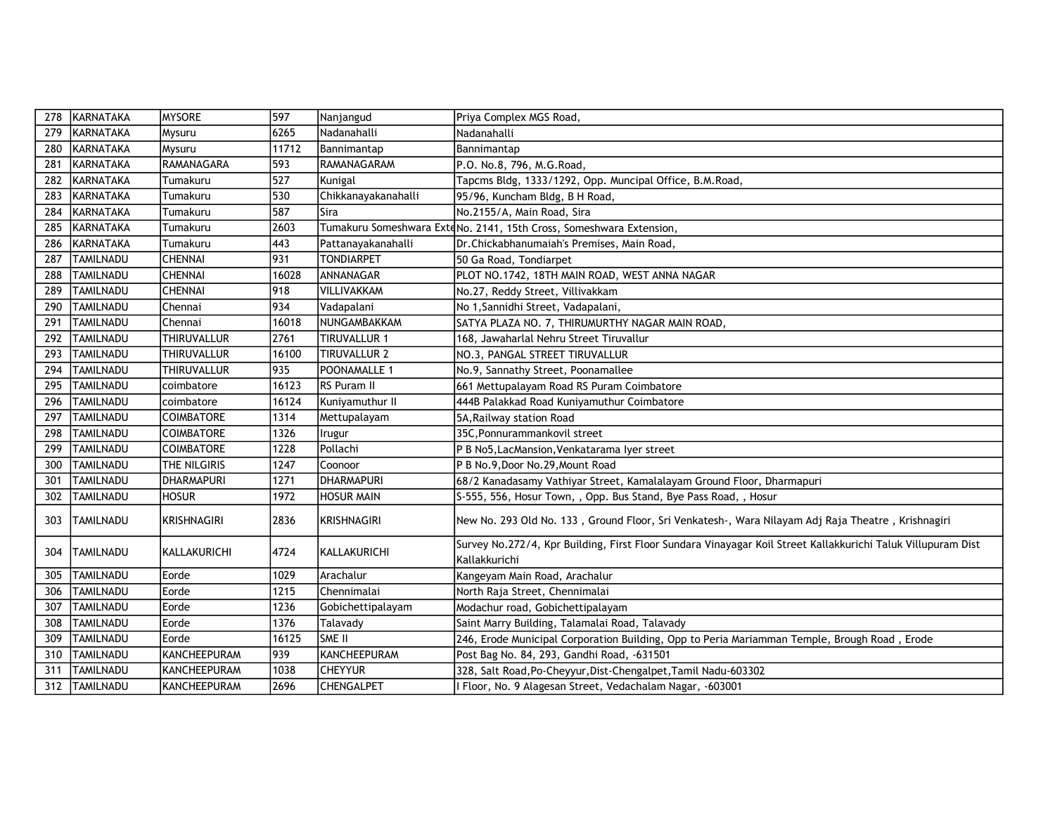| 278 | KARNATAKA        | <b>MYSORE</b>      | 597   | Nanjangud           | Priya Complex MGS Road,                                                                                                       |
|-----|------------------|--------------------|-------|---------------------|-------------------------------------------------------------------------------------------------------------------------------|
| 279 | KARNATAKA        | Mysuru             | 6265  | Nadanahalli         | Nadanahalli                                                                                                                   |
| 280 | KARNATAKA        | Mysuru             | 11712 | Bannimantap         | Bannimantap                                                                                                                   |
| 281 | <b>KARNATAKA</b> | RAMANAGARA         | 593   | <b>RAMANAGARAM</b>  | P.O. No.8, 796, M.G.Road,                                                                                                     |
| 282 | KARNATAKA        | Tumakuru           | 527   | Kunigal             | Tapcms Bldg, 1333/1292, Opp. Muncipal Office, B.M.Road,                                                                       |
| 283 | KARNATAKA        | Tumakuru           | 530   | Chikkanayakanahalli | 95/96, Kuncham Bldg, B H Road,                                                                                                |
| 284 | KARNATAKA        | Tumakuru           | 587   | Sira                | No.2155/A, Main Road, Sira                                                                                                    |
| 285 | KARNATAKA        | Tumakuru           | 2603  |                     | Tumakuru Someshwara ExteNo. 2141, 15th Cross, Someshwara Extension,                                                           |
| 286 | KARNATAKA        | Tumakuru           | 443   | Pattanayakanahalli  | Dr.Chickabhanumaiah's Premises, Main Road,                                                                                    |
| 287 | <b>TAMILNADU</b> | <b>CHENNAI</b>     | 931   | <b>TONDIARPET</b>   | 50 Ga Road, Tondiarpet                                                                                                        |
| 288 | <b>TAMILNADU</b> | <b>CHENNAI</b>     | 16028 | ANNANAGAR           | PLOT NO.1742, 18TH MAIN ROAD, WEST ANNA NAGAR                                                                                 |
| 289 | <b>TAMILNADU</b> | <b>CHENNAI</b>     | 918   | VILLIVAKKAM         | No.27, Reddy Street, Villivakkam                                                                                              |
| 290 | <b>TAMILNADU</b> | Chennai            | 934   | Vadapalani          | No 1, Sannidhi Street, Vadapalani,                                                                                            |
| 291 | <b>TAMILNADU</b> | Chennai            | 16018 | NUNGAMBAKKAM        | SATYA PLAZA NO. 7, THIRUMURTHY NAGAR MAIN ROAD,                                                                               |
| 292 | <b>TAMILNADU</b> | <b>THIRUVALLUR</b> | 2761  | TIRUVALLUR 1        | 168, Jawaharlal Nehru Street Tiruvallur                                                                                       |
| 293 | <b>TAMILNADU</b> | <b>THIRUVALLUR</b> | 16100 | TIRUVALLUR 2        | NO.3, PANGAL STREET TIRUVALLUR                                                                                                |
| 294 | <b>TAMILNADU</b> | <b>THIRUVALLUR</b> | 935   | POONAMALLE 1        | No.9, Sannathy Street, Poonamallee                                                                                            |
| 295 | <b>TAMILNADU</b> | coimbatore         | 16123 | RS Puram II         | 661 Mettupalayam Road RS Puram Coimbatore                                                                                     |
| 296 | <b>TAMILNADU</b> | coimbatore         | 16124 | Kuniyamuthur II     | 444B Palakkad Road Kuniyamuthur Coimbatore                                                                                    |
| 297 | <b>TAMILNADU</b> | <b>COIMBATORE</b>  | 1314  | Mettupalayam        | 5A, Railway station Road                                                                                                      |
| 298 | <b>TAMILNADU</b> | <b>COIMBATORE</b>  | 1326  | Irugur              | 35C, Ponnurammankovil street                                                                                                  |
| 299 | <b>TAMILNADU</b> | <b>COIMBATORE</b>  | 1228  | Pollachi            | P B No5, LacMansion, Venkatarama lyer street                                                                                  |
| 300 | <b>TAMILNADU</b> | THE NILGIRIS       | 1247  | Coonoor             | P B No.9, Door No.29, Mount Road                                                                                              |
| 301 | <b>TAMILNADU</b> | <b>DHARMAPURI</b>  | 1271  | <b>IDHARMAPURI</b>  | 68/2 Kanadasamy Vathiyar Street, Kamalalayam Ground Floor, Dharmapuri                                                         |
| 302 | <b>TAMILNADU</b> | <b>HOSUR</b>       | 1972  | <b>HOSUR MAIN</b>   | S-555, 556, Hosur Town, , Opp. Bus Stand, Bye Pass Road, , Hosur                                                              |
| 303 | <b>TAMILNADU</b> | KRISHNAGIRI        | 2836  | KRISHNAGIRI         | New No. 293 Old No. 133, Ground Floor, Sri Venkatesh-, Wara Nilayam Adj Raja Theatre, Krishnagiri                             |
| 304 | <b>TAMILNADU</b> | KALLAKURICHI       | 4724  | KALLAKURICHI        | Survey No.272/4, Kpr Building, First Floor Sundara Vinayagar Koil Street Kallakkurichi Taluk Villupuram Dist<br>Kallakkurichi |
| 305 | <b>TAMILNADU</b> | Eorde              | 1029  | Arachalur           | Kangeyam Main Road, Arachalur                                                                                                 |
| 306 | <b>TAMILNADU</b> | Eorde              | 1215  | l Chennimalai       | North Raja Street, Chennimalai                                                                                                |
| 307 | <b>TAMILNADU</b> | Eorde              | 1236  | Gobichettipalayam   | Modachur road, Gobichettipalayam                                                                                              |
| 308 | <b>TAMILNADU</b> | Eorde              | 1376  | Talavady            | Saint Marry Building, Talamalai Road, Talavady                                                                                |
| 309 | <b>TAMILNADU</b> | Eorde              | 16125 | <b>SME II</b>       | 246, Erode Municipal Corporation Building, Opp to Peria Mariamman Temple, Brough Road, Erode                                  |
| 310 | <b>TAMILNADU</b> | KANCHEEPURAM       | 939   | KANCHEEPURAM        | Post Bag No. 84, 293, Gandhi Road, -631501                                                                                    |
| 311 | <b>TAMILNADU</b> | KANCHEEPURAM       | 1038  | <b>CHEYYUR</b>      | 328, Salt Road, Po-Cheyyur, Dist-Chengalpet, Tamil Nadu-603302                                                                |
| 312 | <b>TAMILNADU</b> | KANCHEEPURAM       | 2696  | <b>CHENGALPET</b>   | I Floor, No. 9 Alagesan Street, Vedachalam Nagar, -603001                                                                     |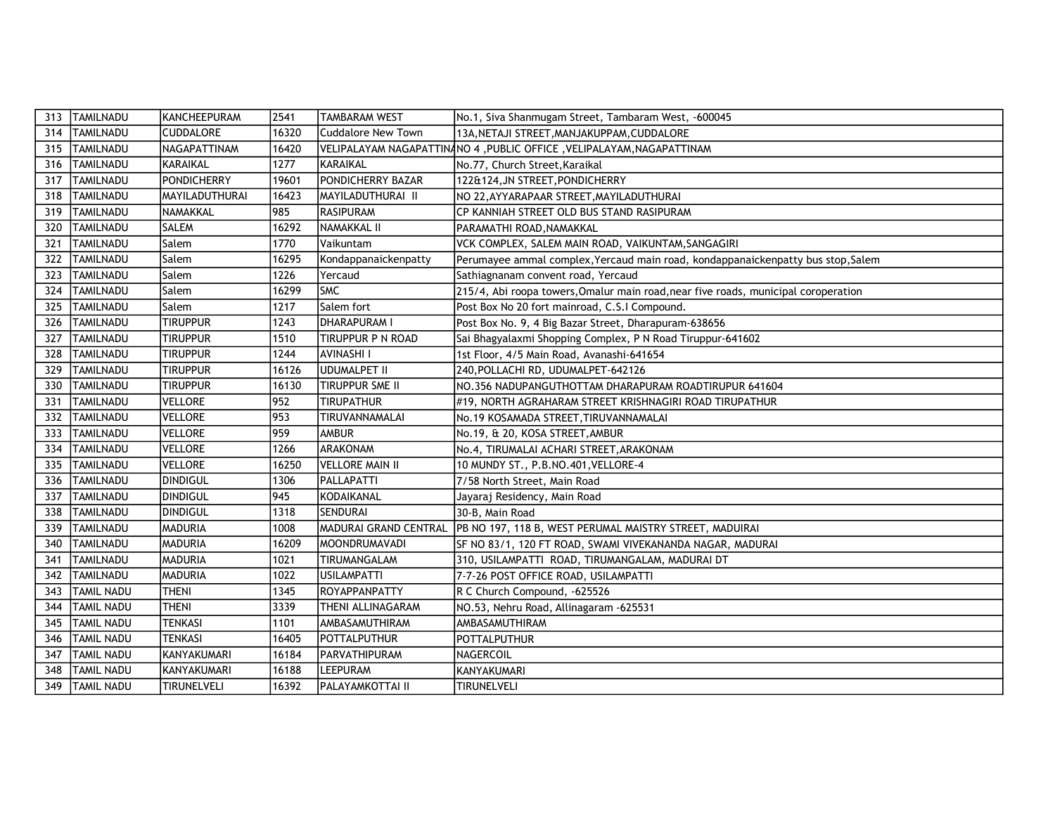| 313 | <b>TAMILNADU</b>  | KANCHEEPURAM       | 2541  | <b>TAMBARAM WEST</b>     | No.1, Siva Shanmugam Street, Tambaram West, -600045                                |
|-----|-------------------|--------------------|-------|--------------------------|------------------------------------------------------------------------------------|
| 314 | <b>TAMILNADU</b>  | <b>CUDDALORE</b>   | 16320 | Cuddalore New Town       | 13A, NETAJI STREET, MANJAKUPPAM, CUDDALORE                                         |
| 315 | <b>TAMILNADU</b>  | NAGAPATTINAM       | 16420 |                          | VELIPALAYAM NAGAPATTINANO 4 , PUBLIC OFFICE , VELIPALAYAM, NAGAPATTINAM            |
| 316 | <b>TAMILNADU</b>  | KARAIKAL           | 1277  | IKARAIKAL                | No.77, Church Street, Karaikal                                                     |
| 317 | <b>TAMILNADU</b>  | <b>PONDICHERRY</b> | 19601 | PONDICHERRY BAZAR        | 122&124, JN STREET, PONDICHERRY                                                    |
| 318 | <b>TAMILNADU</b>  | MAYILADUTHURAI     | 16423 | <b>MAYILADUTHURAI II</b> | NO 22, AYYARAPAAR STREET, MAYILADUTHURAI                                           |
| 319 | <b>TAMILNADU</b>  | NAMAKKAL           | 985   | <b>RASIPURAM</b>         | CP KANNIAH STREET OLD BUS STAND RASIPURAM                                          |
| 320 | <b>TAMILNADU</b>  | <b>SALEM</b>       | 16292 | NAMAKKAL II              | PARAMATHI ROAD, NAMAKKAL                                                           |
| 321 | <b>TAMILNADU</b>  | Salem              | 1770  | Vaikuntam                | VCK COMPLEX, SALEM MAIN ROAD, VAIKUNTAM, SANGAGIRI                                 |
| 322 | <b>TAMILNADU</b>  | Salem              | 16295 | Kondappanaickenpatty     | Perumayee ammal complex, Yercaud main road, kondappanaickenpatty bus stop, Salem   |
| 323 | <b>TAMILNADU</b>  | Salem              | 1226  | Yercaud                  | Sathiagnanam convent road, Yercaud                                                 |
| 324 | <b>TAMILNADU</b>  | Salem              | 16299 | <b>SMC</b>               | 215/4, Abi roopa towers, Omalur main road, near five roads, municipal coroperation |
| 325 | <b>TAMILNADU</b>  | Salem              | 1217  | Salem fort               | Post Box No 20 fort mainroad, C.S.I Compound.                                      |
| 326 | <b>TAMILNADU</b>  | <b>TIRUPPUR</b>    | 1243  | DHARAPURAM I             | Post Box No. 9, 4 Big Bazar Street, Dharapuram-638656                              |
| 327 | <b>TAMILNADU</b>  | <b>TIRUPPUR</b>    | 1510  | TIRUPPUR P N ROAD        | Sai Bhagyalaxmi Shopping Complex, P N Road Tiruppur-641602                         |
| 328 | <b>TAMILNADU</b>  | <b>TIRUPPUR</b>    | 1244  | <b>AVINASHI I</b>        | 1st Floor, 4/5 Main Road, Avanashi-641654                                          |
| 329 | <b>TAMILNADU</b>  | <b>TIRUPPUR</b>    | 16126 | UDUMALPET II             | 240, POLLACHI RD, UDUMALPET-642126                                                 |
| 330 | <b>TAMILNADU</b>  | <b>TIRUPPUR</b>    | 16130 | Tiruppur SME II          | NO.356 NADUPANGUTHOTTAM DHARAPURAM ROADTIRUPUR 641604                              |
| 331 | <b>TAMILNADU</b>  | <b>VELLORE</b>     | 952   | TIRUPATHUR               | #19, NORTH AGRAHARAM STREET KRISHNAGIRI ROAD TIRUPATHUR                            |
| 332 | <b>TAMILNADU</b>  | <b>VELLORE</b>     | 953   | TIRUVANNAMALAI           | No.19 KOSAMADA STREET, TIRUVANNAMALAI                                              |
| 333 | <b>TAMILNADU</b>  | <b>VELLORE</b>     | 959   | <b>AMBUR</b>             | No.19, & 20, KOSA STREET, AMBUR                                                    |
| 334 | <b>TAMILNADU</b>  | <b>VELLORE</b>     | 1266  | ARAKONAM                 | No.4, TIRUMALAI ACHARI STREET, ARAKONAM                                            |
| 335 | <b>TAMILNADU</b>  | <b>VELLORE</b>     | 16250 | VELLORE MAIN II          | 10 MUNDY ST., P.B.NO.401, VELLORE-4                                                |
| 336 | <b>TAMILNADU</b>  | <b>DINDIGUL</b>    | 1306  | PALLAPATTI               | 7/58 North Street, Main Road                                                       |
| 337 | <b>TAMILNADU</b>  | <b>DINDIGUL</b>    | 945   | KODAIKANAL               | Jayaraj Residency, Main Road                                                       |
| 338 | <b>TAMILNADU</b>  | <b>DINDIGUL</b>    | 1318  | ISENDURAI                | 30-B, Main Road                                                                    |
| 339 | <b>TAMILNADU</b>  | <b>MADURIA</b>     | 1008  |                          | MADURAI GRAND CENTRAL PB NO 197, 118 B, WEST PERUMAL MAISTRY STREET, MADUIRAI      |
| 340 | <b>TAMILNADU</b>  | <b>MADURIA</b>     | 16209 | MOONDRUMAVADI            | SF NO 83/1, 120 FT ROAD, SWAMI VIVEKANANDA NAGAR, MADURAI                          |
| 341 | <b>TAMILNADU</b>  | <b>MADURIA</b>     | 1021  | TIRUMANGALAM             | 310, USILAMPATTI ROAD, TIRUMANGALAM, MADURAI DT                                    |
| 342 | <b>TAMILNADU</b>  | <b>MADURIA</b>     | 1022  | <b>USILAMPATTI</b>       | 7-7-26 POST OFFICE ROAD, USILAMPATTI                                               |
| 343 | <b>TAMIL NADU</b> | <b>THENI</b>       | 1345  | ROYAPPANPATTY            | R C Church Compound, -625526                                                       |
| 344 | <b>TAMIL NADU</b> | <b>THENI</b>       | 3339  | THENI ALLINAGARAM        | NO.53, Nehru Road, Allinagaram - 625531                                            |
| 345 | <b>TAMIL NADU</b> | <b>TENKASI</b>     | 1101  | <b>AMBASAMUTHIRAM</b>    | AMBASAMUTHIRAM                                                                     |
| 346 | <b>TAMIL NADU</b> | <b>TENKASI</b>     | 16405 | POTTALPUTHUR             | <b>POTTALPUTHUR</b>                                                                |
| 347 | <b>TAMIL NADU</b> | KANYAKUMARI        | 16184 | PARVATHIPURAM            | <b>NAGERCOIL</b>                                                                   |
| 348 | <b>TAMIL NADU</b> | KANYAKUMARI        | 16188 | <b>LEEPURAM</b>          | <b>KANYAKUMARI</b>                                                                 |
| 349 | <b>TAMIL NADU</b> | <b>TIRUNELVELI</b> | 16392 | <b>PALAYAMKOTTAI II</b>  | <b>TIRUNELVELI</b>                                                                 |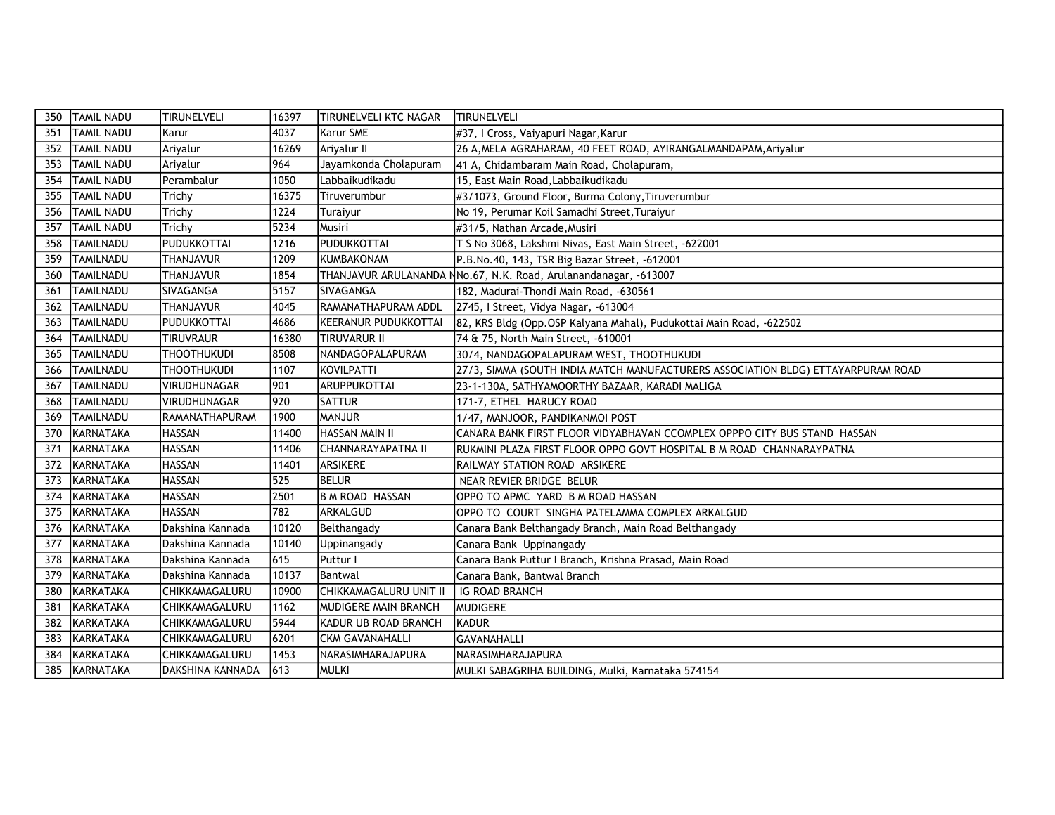| 350 | <b>TAMIL NADU</b> | <b>TIRUNELVELI</b>  | 16397 | <b>TIRUNELVELI KTC NAGAR</b> | <b>TIRUNELVELI</b>                                                               |
|-----|-------------------|---------------------|-------|------------------------------|----------------------------------------------------------------------------------|
| 351 | TAMIL NADU        | Karur               | 4037  | Karur SME                    | #37, I Cross, Vaiyapuri Nagar, Karur                                             |
| 352 | TAMIL NADU        | Ariyalur            | 16269 | Ariyalur II                  | 26 A, MELA AGRAHARAM, 40 FEET ROAD, AYIRANGALMANDAPAM, Ariyalur                  |
| 353 | <b>TAMIL NADU</b> | Ariyalur            | 964   | Jayamkonda Cholapuram        | 41 A, Chidambaram Main Road, Cholapuram,                                         |
| 354 | TAMIL NADU        | Perambalur          | 1050  | Labbaikudikadu               | 15, East Main Road, Labbaikudikadu                                               |
| 355 | <b>TAMIL NADU</b> | Trichy              | 16375 | Tiruverumbur                 | #3/1073, Ground Floor, Burma Colony, Tiruverumbur                                |
| 356 | <b>TAMIL NADU</b> | Trichy              | 1224  | Turaiyur                     | No 19, Perumar Koil Samadhi Street, Turaiyur                                     |
| 357 | <b>TAMIL NADU</b> | Trichy              | 5234  | Musiri                       | #31/5, Nathan Arcade, Musiri                                                     |
| 358 | <b>TAMILNADU</b>  | IPUDUKKOTTAI        | 1216  | PUDUKKOTTAI                  | T S No 3068, Lakshmi Nivas, East Main Street, -622001                            |
| 359 | <b>TAMILNADU</b>  | <b>THANJAVUR</b>    | 1209  | KUMBAKONAM                   | P.B.No.40, 143, TSR Big Bazar Street, -612001                                    |
| 360 | <b>TAMILNADU</b>  | <b>THANJAVUR</b>    | 1854  |                              | THANJAVUR ARULANANDA NNo.67, N.K. Road, Arulanandanagar, -613007                 |
| 361 | <b>TAMILNADU</b>  | SIVAGANGA           | 5157  | ISIVAGANGA                   | 182, Madurai-Thondi Main Road, -630561                                           |
| 362 | <b>TAMILNADU</b>  | <b>THANJAVUR</b>    | 4045  | RAMANATHAPURAM ADDL          | 2745, I Street, Vidya Nagar, -613004                                             |
| 363 | <b>TAMILNADU</b>  | PUDUKKOTTAI         | 4686  | KEERANUR PUDUKKOTTAI         | 82, KRS Bldg (Opp.OSP Kalyana Mahal), Pudukottai Main Road, -622502              |
| 364 | <b>TAMILNADU</b>  | <b>TIRUVRAUR</b>    | 16380 | <b>TIRUVARUR II</b>          | 74 & 75, North Main Street, -610001                                              |
| 365 | <b>TAMILNADU</b>  | <b>THOOTHUKUDI</b>  | 8508  | <b>NANDAGOPALAPURAM</b>      | 30/4, NANDAGOPALAPURAM WEST, THOOTHUKUDI                                         |
| 366 | TAMILNADU         | <b>THOOTHUKUDI</b>  | 1107  | KOVILPATTI                   | 27/3, SIMMA (SOUTH INDIA MATCH MANUFACTURERS ASSOCIATION BLDG) ETTAYARPURAM ROAD |
| 367 | <b>TAMILNADU</b>  | <b>VIRUDHUNAGAR</b> | 901   | <b>ARUPPUKOTTAI</b>          | 23-1-130A, SATHYAMOORTHY BAZAAR, KARADI MALIGA                                   |
| 368 | TAMILNADU         | <b>VIRUDHUNAGAR</b> | 920   | <b>SATTUR</b>                | 171-7, ETHEL HARUCY ROAD                                                         |
| 369 | <b>TAMILNADU</b>  | RAMANATHAPURAM      | 1900  | <b>MANJUR</b>                | 1/47, MANJOOR, PANDIKANMOI POST                                                  |
| 370 | KARNATAKA         | <b>HASSAN</b>       | 11400 | <b>HASSAN MAIN II</b>        | CANARA BANK FIRST FLOOR VIDYABHAVAN CCOMPLEX OPPPO CITY BUS STAND HASSAN         |
| 371 | KARNATAKA         | <b>HASSAN</b>       | 11406 | CHANNARAYAPATNA II           | RUKMINI PLAZA FIRST FLOOR OPPO GOVT HOSPITAL B M ROAD CHANNARAYPATNA             |
| 372 | KARNATAKA         | <b>HASSAN</b>       | 11401 | <b>ARSIKERE</b>              | RAILWAY STATION ROAD ARSIKERE                                                    |
| 373 | KARNATAKA         | <b>HASSAN</b>       | 525   | <b>BELUR</b>                 | NEAR REVIER BRIDGE BELUR                                                         |
| 374 | KARNATAKA         | <b>HASSAN</b>       | 2501  | B M ROAD HASSAN              | OPPO TO APMC YARD B M ROAD HASSAN                                                |
| 375 | KARNATAKA         | <b>HASSAN</b>       | 782   | ARKALGUD                     | OPPO TO COURT SINGHA PATELAMMA COMPLEX ARKALGUD                                  |
| 376 | KARNATAKA         | Dakshina Kannada    | 10120 | Belthangady                  | Canara Bank Belthangady Branch, Main Road Belthangady                            |
| 377 | KARNATAKA         | Dakshina Kannada    | 10140 | Uppinangady                  | Canara Bank Uppinangady                                                          |
| 378 | KARNATAKA         | Dakshina Kannada    | 615   | Puttur I                     | Canara Bank Puttur I Branch, Krishna Prasad, Main Road                           |
| 379 | KARNATAKA         | Dakshina Kannada    | 10137 | Bantwal                      | Canara Bank, Bantwal Branch                                                      |
| 380 | KARKATAKA         | CHIKKAMAGALURU      | 10900 | CHIKKAMAGALURU UNIT II       | IG ROAD BRANCH                                                                   |
| 381 | KARKATAKA         | CHIKKAMAGALURU      | 1162  | MUDIGERE MAIN BRANCH         | <b>MUDIGERE</b>                                                                  |
| 382 | KARKATAKA         | CHIKKAMAGALURU      | 5944  | KADUR UB ROAD BRANCH         | <b>KADUR</b>                                                                     |
| 383 | KARKATAKA         | CHIKKAMAGALURU      | 6201  | <b>CKM GAVANAHALLI</b>       | <b>GAVANAHALLI</b>                                                               |
| 384 | KARKATAKA         | CHIKKAMAGALURU      | 1453  | <b>NARASIMHARAJAPURA</b>     | NARASIMHARAJAPURA                                                                |
| 385 | KARNATAKA         | DAKSHINA KANNADA    | 613   | IMULKI                       | MULKI SABAGRIHA BUILDING, Mulki, Karnataka 574154                                |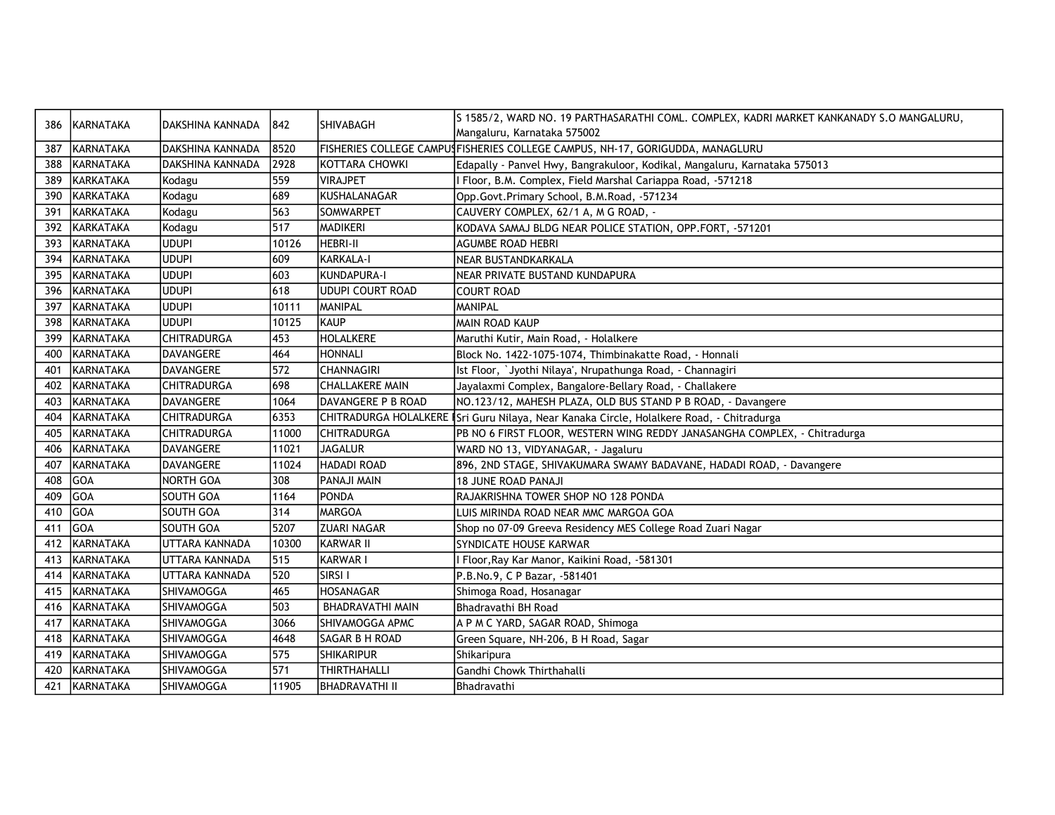| 386 | KARNATAKA        | DAKSHINA KANNADA   | 1842  | SHIVABAGH               | S 1585/2, WARD NO. 19 PARTHASARATHI COML. COMPLEX, KADRI MARKET KANKANADY S.O MANGALURU,  |
|-----|------------------|--------------------|-------|-------------------------|-------------------------------------------------------------------------------------------|
|     |                  |                    |       |                         | Mangaluru, Karnataka 575002                                                               |
| 387 | KARNATAKA        | DAKSHINA KANNADA   | 8520  |                         | FISHERIES COLLEGE CAMPUSFISHERIES COLLEGE CAMPUS, NH-17, GORIGUDDA, MANAGLURU             |
| 388 | IKARNATAKA       | DAKSHINA KANNADA   | 2928  | KOTTARA CHOWKI          | Edapally - Panvel Hwy, Bangrakuloor, Kodikal, Mangaluru, Karnataka 575013                 |
| 389 | KARKATAKA        | Kodagu             | 559   | <b>VIRAJPET</b>         | Floor, B.M. Complex, Field Marshal Cariappa Road, -571218                                 |
| 390 | <b>KARKATAKA</b> | Kodagu             | 689   | KUSHALANAGAR            | Opp.Govt.Primary School, B.M.Road, -571234                                                |
| 391 | KARKATAKA        | Kodagu             | 563   | SOMWARPET               | CAUVERY COMPLEX, 62/1 A, M G ROAD, -                                                      |
| 392 | <b>KARKATAKA</b> | Kodagu             | 517   | <b>MADIKERI</b>         | KODAVA SAMAJ BLDG NEAR POLICE STATION, OPP.FORT, -571201                                  |
| 393 | KARNATAKA        | <b>UDUPI</b>       | 10126 | <b>HEBRI-II</b>         | <b>AGUMBE ROAD HEBRI</b>                                                                  |
| 394 | KARNATAKA        | <b>UDUPI</b>       | 1609  | KARKALA-I               | NEAR BUSTANDKARKALA                                                                       |
| 395 | KARNATAKA        | <b>UDUPI</b>       | 603   | KUNDAPURA-I             | NEAR PRIVATE BUSTAND KUNDAPURA                                                            |
| 396 | KARNATAKA        | ludupi             | 618   | <b>UDUPI COURT ROAD</b> | <b>COURT ROAD</b>                                                                         |
| 397 | KARNATAKA        | <b>UDUPI</b>       | 10111 | MANIPAL                 | <b>MANIPAL</b>                                                                            |
| 398 | KARNATAKA        | <b>UDUPI</b>       | 10125 | IKAUP                   | MAIN ROAD KAUP                                                                            |
| 399 | KARNATAKA        | <b>CHITRADURGA</b> | 453   | <b>HOLALKERE</b>        | Maruthi Kutir, Main Road, - Holalkere                                                     |
| 400 | KARNATAKA        | DAVANGERE          | 464   | <b>HONNALI</b>          | Block No. 1422-1075-1074, Thimbinakatte Road, - Honnali                                   |
| 401 | KARNATAKA        | DAVANGERE          | 572   | <b>CHANNAGIRI</b>       | Ist Floor, `Jyothi Nilaya', Nrupathunga Road, - Channagiri                                |
| 402 | KARNATAKA        | <b>CHITRADURGA</b> | 698   | <b>CHALLAKERE MAIN</b>  | Jayalaxmi Complex, Bangalore-Bellary Road, - Challakere                                   |
| 403 | IKARNATAKA       | <b>DAVANGERE</b>   | 1064  | DAVANGERE P B ROAD      | NO.123/12, MAHESH PLAZA, OLD BUS STAND P B ROAD, - Davangere                              |
| 404 | KARNATAKA        | <b>CHITRADURGA</b> | 6353  |                         | CHITRADURGA HOLALKERE ISri Guru Nilaya, Near Kanaka Circle, Holalkere Road, - Chitradurga |
| 405 | KARNATAKA        | <b>CHITRADURGA</b> | 11000 | <b>CHITRADURGA</b>      | PB NO 6 FIRST FLOOR, WESTERN WING REDDY JANASANGHA COMPLEX, - Chitradurga                 |
| 406 | KARNATAKA        | DAVANGERE          | 11021 | <b>JAGALUR</b>          | WARD NO 13, VIDYANAGAR, - Jagaluru                                                        |
| 407 | KARNATAKA        | DAVANGERE          | 11024 | <b>HADADI ROAD</b>      | 896, 2ND STAGE, SHIVAKUMARA SWAMY BADAVANE, HADADI ROAD, - Davangere                      |
| 408 | <b>GOA</b>       | <b>NORTH GOA</b>   | 308   | PANAJI MAIN             | <b>18 JUNE ROAD PANAJI</b>                                                                |
| 409 | GOA              | <b>SOUTH GOA</b>   | 1164  | PONDA                   | RAJAKRISHNA TOWER SHOP NO 128 PONDA                                                       |
| 410 | <b>GOA</b>       | <b>SOUTH GOA</b>   | 314   | MARGOA                  | LUIS MIRINDA ROAD NEAR MMC MARGOA GOA                                                     |
| 411 | <b>IGOA</b>      | <b>SOUTH GOA</b>   | 5207  | <b>ZUARI NAGAR</b>      | Shop no 07-09 Greeva Residency MES College Road Zuari Nagar                               |
| 412 | KARNATAKA        | UTTARA KANNADA     | 10300 | <b>KARWAR II</b>        | <b>SYNDICATE HOUSE KARWAR</b>                                                             |
| 413 | KARNATAKA        | UTTARA KANNADA     | 515   | KARWAR I                | Floor, Ray Kar Manor, Kaikini Road, -581301                                               |
| 414 | KARNATAKA        | UTTARA KANNADA     | 520   | SIRSI I                 | P.B.No.9, C P Bazar, -581401                                                              |
| 415 | KARNATAKA        | SHIVAMOGGA         | 465   | <b>HOSANAGAR</b>        | Shimoga Road, Hosanagar                                                                   |
| 416 | <b>KARNATAKA</b> | SHIVAMOGGA         | 503   | <b>BHADRAVATHI MAIN</b> | Bhadravathi BH Road                                                                       |
| 417 | KARNATAKA        | SHIVAMOGGA         | 3066  | SHIVAMOGGA APMC         | A P M C YARD, SAGAR ROAD, Shimoga                                                         |
| 418 | KARNATAKA        | SHIVAMOGGA         | 4648  | SAGAR B H ROAD          | Green Square, NH-206, B H Road, Sagar                                                     |
| 419 | KARNATAKA        | SHIVAMOGGA         | 575   | <b>SHIKARIPUR</b>       | Shikaripura                                                                               |
| 420 | KARNATAKA        | SHIVAMOGGA         | 571   | <b>THIRTHAHALLI</b>     | Gandhi Chowk Thirthahalli                                                                 |
| 421 | KARNATAKA        | SHIVAMOGGA         | 11905 | <b>BHADRAVATHI II</b>   | Bhadravathi                                                                               |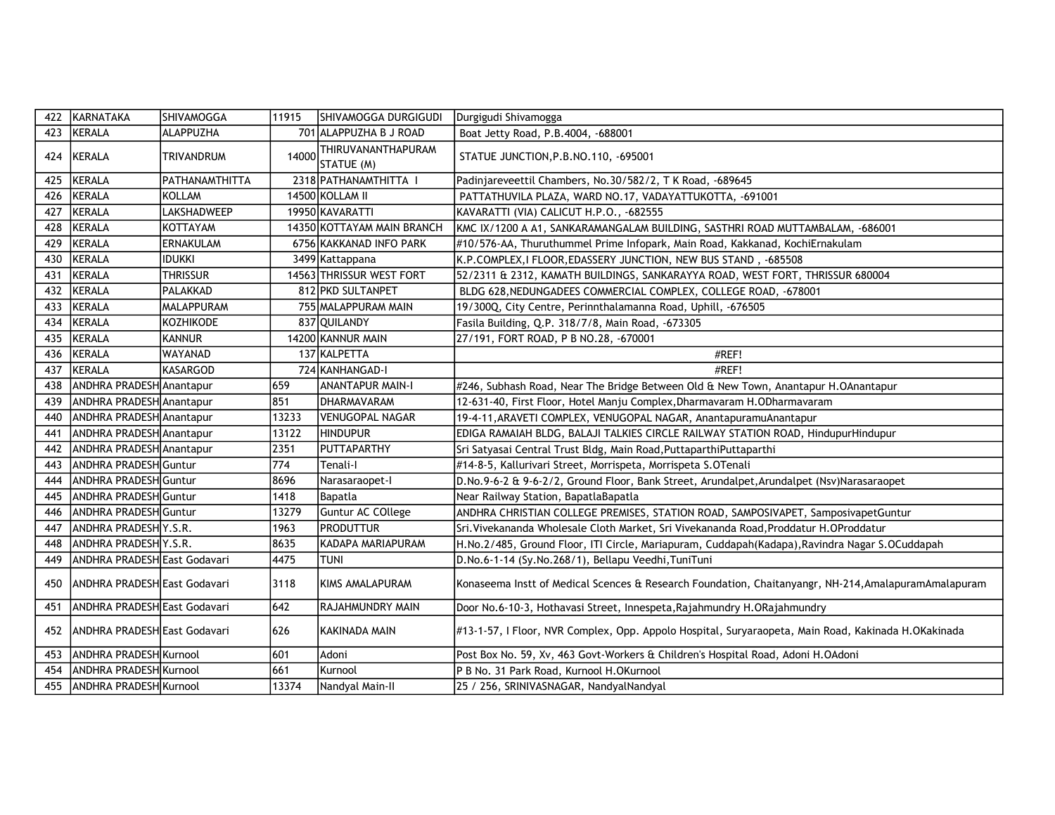| 422 | KARNATAKA                    | SHIVAMOGGA             | 11915 | SHIVAMOGGA DURGIGUDI             | Durgigudi Shivamogga                                                                                 |
|-----|------------------------------|------------------------|-------|----------------------------------|------------------------------------------------------------------------------------------------------|
| 423 | KERALA                       | ALAPPUZHA              |       | 701 ALAPPUZHA B J ROAD           | Boat Jetty Road, P.B.4004, -688001                                                                   |
| 424 | KERALA                       | <b>TRIVANDRUM</b>      | 14000 | THIRUVANANTHAPURAM<br>STATUE (M) | STATUE JUNCTION, P.B.NO.110, -695001                                                                 |
| 425 | <b>KERALA</b>                | <b>IPATHANAMTHITTA</b> |       | 2318 PATHANAMTHITTA I            | Padinjareveettil Chambers, No.30/582/2, T K Road, -689645                                            |
| 426 | KERALA                       | KOLLAM                 |       | 14500 KOLLAM II                  | PATTATHUVILA PLAZA, WARD NO.17, VADAYATTUKOTTA, -691001                                              |
| 427 | KERALA                       | LAKSHADWEEP            |       | 19950 KAVARATTI                  | KAVARATTI (VIA) CALICUT H.P.O., -682555                                                              |
| 428 | KERALA                       | KOTTAYAM               |       | 14350 KOTTAYAM MAIN BRANCH       | KMC IX/1200 A A1, SANKARAMANGALAM BUILDING, SASTHRI ROAD MUTTAMBALAM, -686001                        |
| 429 | KERALA                       | <b>ERNAKULAM</b>       |       | 6756 KAKKANAD INFO PARK          | #10/576-AA, Thuruthummel Prime Infopark, Main Road, Kakkanad, KochiErnakulam                         |
| 430 | <b>KERALA</b>                | <b>IDUKKI</b>          |       | 3499 Kattappana                  | K.P.COMPLEX, I FLOOR, EDASSERY JUNCTION, NEW BUS STAND, -685508                                      |
| 431 | <b>KERALA</b>                | Thrissur               |       | 14563 THRISSUR WEST FORT         | 52/2311 & 2312, KAMATH BUILDINGS, SANKARAYYA ROAD, WEST FORT, THRISSUR 680004                        |
| 432 | KERALA                       | PALAKKAD               |       | 812 PKD SULTANPET                | BLDG 628, NEDUNGADEES COMMERCIAL COMPLEX, COLLEGE ROAD, -678001                                      |
| 433 | KERALA                       | <b>MALAPPURAM</b>      |       | 755 MALAPPURAM MAIN              | 19/300Q, City Centre, Perinnthalamanna Road, Uphill, -676505                                         |
| 434 | <b>KERALA</b>                | KOZHIKODE              |       | 837 QUILANDY                     | Fasila Building, Q.P. 318/7/8, Main Road, -673305                                                    |
| 435 | KERALA                       | KANNUR                 |       | 14200 KANNUR MAIN                | 27/191, FORT ROAD, P B NO.28, -670001                                                                |
| 436 | <b>KERALA</b>                | WAYANAD                |       | 137 KALPETTA                     | #REF!                                                                                                |
| 437 | <b>KERALA</b>                | KASARGOD               |       | 724 KANHANGAD-I                  | #REF!                                                                                                |
| 438 | ANDHRA PRADESH Anantapur     |                        | 659   | <b>ANANTAPUR MAIN-I</b>          | #246, Subhash Road, Near The Bridge Between Old & New Town, Anantapur H.OAnantapur                   |
| 439 | ANDHRA PRADESH Anantapur     |                        | 851   | <b>DHARMAVARAM</b>               | 12-631-40, First Floor, Hotel Manju Complex, Dharmavaram H.ODharmavaram                              |
| 440 | ANDHRA PRADESH Anantapur     |                        | 13233 | VENUGOPAL NAGAR                  | 19-4-11, ARAVETI COMPLEX, VENUGOPAL NAGAR, AnantapuramuAnantapur                                     |
| 441 | ANDHRA PRADESH Anantapur     |                        | 13122 | <b>HINDUPUR</b>                  | EDIGA RAMAIAH BLDG, BALAJI TALKIES CIRCLE RAILWAY STATION ROAD, HindupurHindupur                     |
| 442 | ANDHRA PRADESH Anantapur     |                        | 2351  | PUTTAPARTHY                      | Sri Satyasai Central Trust Bldg, Main Road, PuttaparthiPuttaparthi                                   |
| 443 | ANDHRA PRADESH Guntur        |                        | 774   | Tenali-I                         | #14-8-5, Kallurivari Street, Morrispeta, Morrispeta S.OTenali                                        |
| 444 | ANDHRA PRADESH Guntur        |                        | 8696  | Narasaraopet-I                   | D.No.9-6-2 & 9-6-2/2, Ground Floor, Bank Street, Arundalpet, Arundalpet (Nsv)Narasaraopet            |
| 445 | ANDHRA PRADESH Guntur        |                        | 1418  | Bapatla                          | Near Railway Station, BapatlaBapatla                                                                 |
| 446 | ANDHRA PRADESH Guntur        |                        | 13279 | Guntur AC COllege                | ANDHRA CHRISTIAN COLLEGE PREMISES, STATION ROAD, SAMPOSIVAPET, SamposivapetGuntur                    |
| 447 | ANDHRA PRADESH Y.S.R.        |                        | 1963  | <b>PRODUTTUR</b>                 | Sri. Vivekananda Wholesale Cloth Market, Sri Vivekananda Road, Proddatur H. OProddatur               |
| 448 | ANDHRA PRADESH Y.S.R.        |                        | 8635  | KADAPA MARIAPURAM                | H.No.2/485, Ground Floor, ITI Circle, Mariapuram, Cuddapah(Kadapa), Ravindra Nagar S.OCuddapah       |
| 449 | ANDHRA PRADESH East Godavari |                        | 4475  | <b>TUNI</b>                      | D.No.6-1-14 (Sy.No.268/1), Bellapu Veedhi, TuniTuni                                                  |
| 450 | ANDHRA PRADESH East Godavari |                        | 3118  | KIMS AMALAPURAM                  | Konaseema Instt of Medical Scences & Research Foundation, Chaitanyangr, NH-214, AmalapuramAmalapuram |
| 451 | ANDHRA PRADESH East Godavari |                        | 642   | RAJAHMUNDRY MAIN                 | Door No.6-10-3, Hothavasi Street, Innespeta, Rajahmundry H.ORajahmundry                              |
| 452 | ANDHRA PRADESH East Godavari |                        | 626   | KAKINADA MAIN                    | #13-1-57, I Floor, NVR Complex, Opp. Appolo Hospital, Suryaraopeta, Main Road, Kakinada H.OKakinada  |
| 453 | ANDHRA PRADESH Kurnool       |                        | 601   | Adoni                            | Post Box No. 59, Xv, 463 Govt-Workers & Children's Hospital Road, Adoni H.OAdoni                     |
| 454 | ANDHRA PRADESH Kurnool       |                        | 661   | Kurnool                          | P B No. 31 Park Road, Kurnool H.OKurnool                                                             |
| 455 | ANDHRA PRADESH Kurnool       |                        | 13374 | Nandyal Main-II                  | 25 / 256, SRINIVASNAGAR, NandyalNandyal                                                              |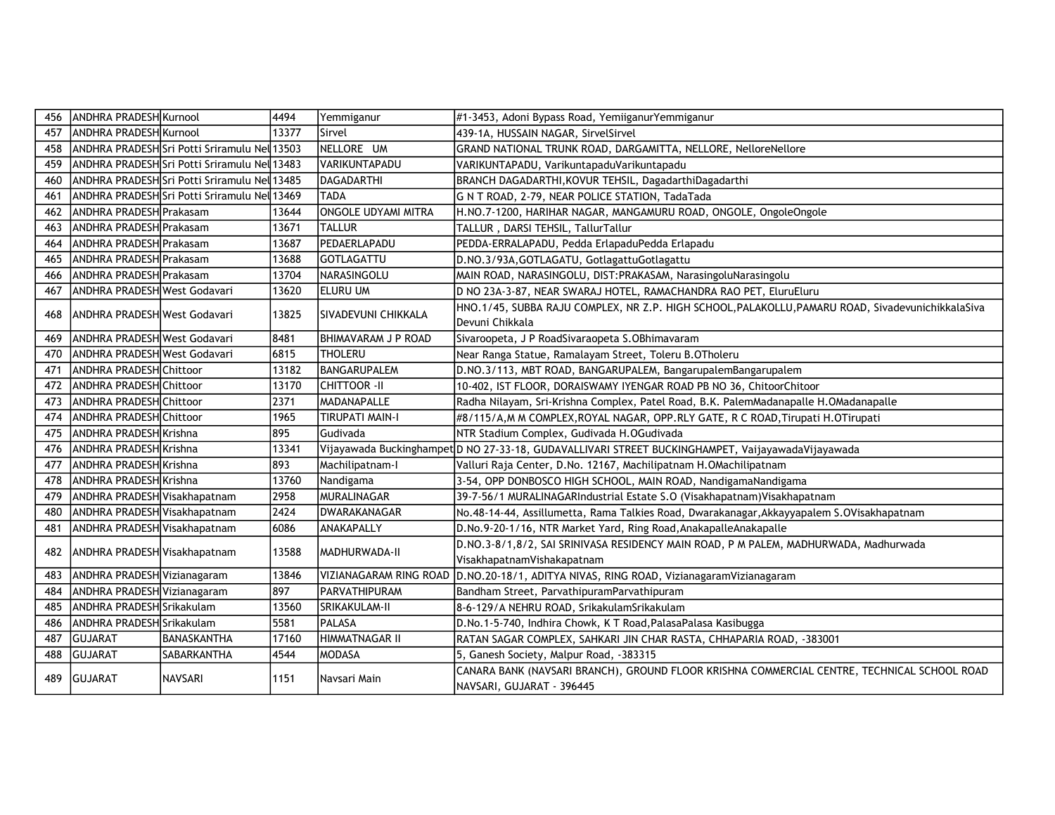| 456 | <b>ANDHRA PRADESH Kurnool</b> |                                              | 4494  | Yemmiganur             | #1-3453, Adoni Bypass Road, YemiiganurYemmiganur                                                                     |
|-----|-------------------------------|----------------------------------------------|-------|------------------------|----------------------------------------------------------------------------------------------------------------------|
| 457 | <b>ANDHRA PRADESHIKurnool</b> |                                              | 13377 | Sirvel                 | 439-1A, HUSSAIN NAGAR, SirvelSirvel                                                                                  |
| 458 |                               | ANDHRA PRADESHSFI Potti Sriramulu Nel 13503  |       | NELLORE UM             | GRAND NATIONAL TRUNK ROAD, DARGAMITTA, NELLORE, NelloreNellore                                                       |
| 459 |                               | ANDHRA PRADESH Sri Potti Sriramulu Nel 13483 |       | IVARIKUNTAPADU         | VARIKUNTAPADU, VarikuntapaduVarikuntapadu                                                                            |
| 460 |                               | ANDHRA PRADESHSSri Potti Sriramulu Nel 13485 |       | DAGADARTHI             | BRANCH DAGADARTHI, KOVUR TEHSIL, DagadarthiDagadarthi                                                                |
| 461 |                               | ANDHRA PRADESH Sri Potti Sriramulu Nel 13469 |       | <b>TADA</b>            | G N T ROAD, 2-79, NEAR POLICE STATION, TadaTada                                                                      |
| 462 | ANDHRA PRADESH Prakasam       |                                              | 13644 | ONGOLE UDYAMI MITRA    | H.NO.7-1200, HARIHAR NAGAR, MANGAMURU ROAD, ONGOLE, OngoleOngole                                                     |
| 463 | ANDHRA PRADESH Prakasam       |                                              | 13671 | <b>TALLUR</b>          | TALLUR, DARSI TEHSIL, TallurTallur                                                                                   |
| 464 | ANDHRA PRADESH Prakasam       |                                              | 13687 | PEDAERLAPADU           | PEDDA-ERRALAPADU, Pedda ErlapaduPedda Erlapadu                                                                       |
| 465 | ANDHRA PRADESH Prakasam       |                                              | 13688 | GOTLAGATTU             | D.NO.3/93A, GOTLAGATU, Gotlagattu Gotlagattu                                                                         |
| 466 | ANDHRA PRADESH Prakasam       |                                              | 13704 | NARASINGOLU            | MAIN ROAD, NARASINGOLU, DIST:PRAKASAM, NarasingoluNarasingolu                                                        |
| 467 | ANDHRA PRADESH West Godavari  |                                              | 13620 | ieluru um              | D NO 23A-3-87, NEAR SWARAJ HOTEL, RAMACHANDRA RAO PET, EluruEluru                                                    |
| 468 | ANDHRA PRADESH West Godavari  |                                              | 13825 | SIVADEVUNI CHIKKALA    | HNO.1/45, SUBBA RAJU COMPLEX, NR Z.P. HIGH SCHOOL, PALAKOLLU, PAMARU ROAD, SivadevunichikkalaSiva<br>Devuni Chikkala |
| 469 | ANDHRA PRADESH West Godavari  |                                              | 18481 | BHIMAVARAM J P ROAD    | Sivaroopeta, J P RoadSivaraopeta S.OBhimavaram                                                                       |
| 470 | ANDHRA PRADESH West Godavari  |                                              | 6815  | <b>THOLERU</b>         | Near Ranga Statue, Ramalayam Street, Toleru B.OTholeru                                                               |
| 471 | ANDHRA PRADESH Chittoor       |                                              | 13182 | BANGARUPALEM           | D.NO.3/113, MBT ROAD, BANGARUPALEM, BangarupalemBangarupalem                                                         |
| 472 | ANDHRA PRADESH Chittoor       |                                              | 13170 | CHITTOOR -II           | 10-402, IST FLOOR, DORAISWAMY IYENGAR ROAD PB NO 36, ChitoorChitoor                                                  |
| 473 | ANDHRA PRADESH Chittoor       |                                              | 2371  | MADANAPALLE            | Radha Nilayam, Sri-Krishna Complex, Patel Road, B.K. PalemMadanapalle H.OMadanapalle                                 |
| 474 | ANDHRA PRADESH Chittoor       |                                              | 1965  | <b>TIRUPATI MAIN-I</b> | #8/115/A,M M COMPLEX, ROYAL NAGAR, OPP.RLY GATE, R C ROAD, Tirupati H.OTirupati                                      |
| 475 | ANDHRA PRADESH Krishna        |                                              | 895   | Gudivada               | NTR Stadium Complex, Gudivada H.OGudivada                                                                            |
| 476 | ANDHRA PRADESH Krishna        |                                              | 13341 |                        | Vijayawada Buckinghampet D NO 27-33-18, GUDAVALLIVARI STREET BUCKINGHAMPET, VaijayawadaVijayawada V                  |
| 477 | ANDHRA PRADESH Krishna        |                                              | 893   | Machilipatnam-I        | Valluri Raja Center, D.No. 12167, Machilipatnam H.OMachilipatnam                                                     |
| 478 | ANDHRA PRADESH Krishna        |                                              | 13760 | Nandigama              | 3-54, OPP DONBOSCO HIGH SCHOOL, MAIN ROAD, NandigamaNandigama                                                        |
| 479 | ANDHRA PRADESH Visakhapatnam  |                                              | 2958  | MURALINAGAR            | 39-7-56/1 MURALINAGARIndustrial Estate S.O (Visakhapatnam)Visakhapatnam                                              |
| 480 | ANDHRA PRADESH Visakhapatnam  |                                              | 2424  | DWARAKANAGAR           | No.48-14-44, Assillumetta, Rama Talkies Road, Dwarakanagar,Akkayyapalem S.OVisakhapatnam                             |
| 481 | ANDHRA PRADESH Visakhapatnam  |                                              | 6086  | ANAKAPALLY             | D.No.9-20-1/16, NTR Market Yard, Ring Road, Anakapalle Anakapalle                                                    |
| 482 | ANDHRA PRADESH Visakhapatnam  |                                              | 13588 | MADHURWADA-II          | D.NO.3-8/1,8/2, SAI SRINIVASA RESIDENCY MAIN ROAD, P M PALEM, MADHURWADA, Madhurwada                                 |
|     |                               |                                              |       |                        | VisakhapatnamVishakapatnam                                                                                           |
| 483 | ANDHRA PRADESH Vizianagaram   |                                              | 13846 |                        | VIZIANAGARAM RING ROAD D.NO.20-18/1, ADITYA NIVAS, RING ROAD, VizianagaramVizianagaram                               |
| 484 | ANDHRA PRADESH Vizianagaram   |                                              | 897   | IPARVATHIPURAM         | Bandham Street, ParvathipuramParvathipuram                                                                           |
| 485 | ANDHRA PRADESH Srikakulam     |                                              | 13560 | SRIKAKULAM-II          | 8-6-129/A NEHRU ROAD, SrikakulamSrikakulam                                                                           |
| 486 | ANDHRA PRADESH Srikakulam     |                                              | 5581  | <b>PALASA</b>          | D.No.1-5-740, Indhira Chowk, K T Road, Palasa Palasa Kasibugga                                                       |
| 487 | <b>GUJARAT</b>                | <b>BANASKANTHA</b>                           | 17160 | <b>HIMMATNAGAR II</b>  | RATAN SAGAR COMPLEX, SAHKARI JIN CHAR RASTA, CHHAPARIA ROAD, -383001                                                 |
| 488 | <b>GUJARAT</b>                | <b>SABARKANTHA</b>                           | 4544  | MODASA                 | 5, Ganesh Society, Malpur Road, -383315                                                                              |
| 489 | GUJARAT                       | <b>NAVSARI</b>                               | 1151  | Navsari Main           | CANARA BANK (NAVSARI BRANCH), GROUND FLOOR KRISHNA COMMERCIAL CENTRE, TECHNICAL SCHOOL ROAD                          |
|     |                               |                                              |       |                        | NAVSARI, GUJARAT - 396445                                                                                            |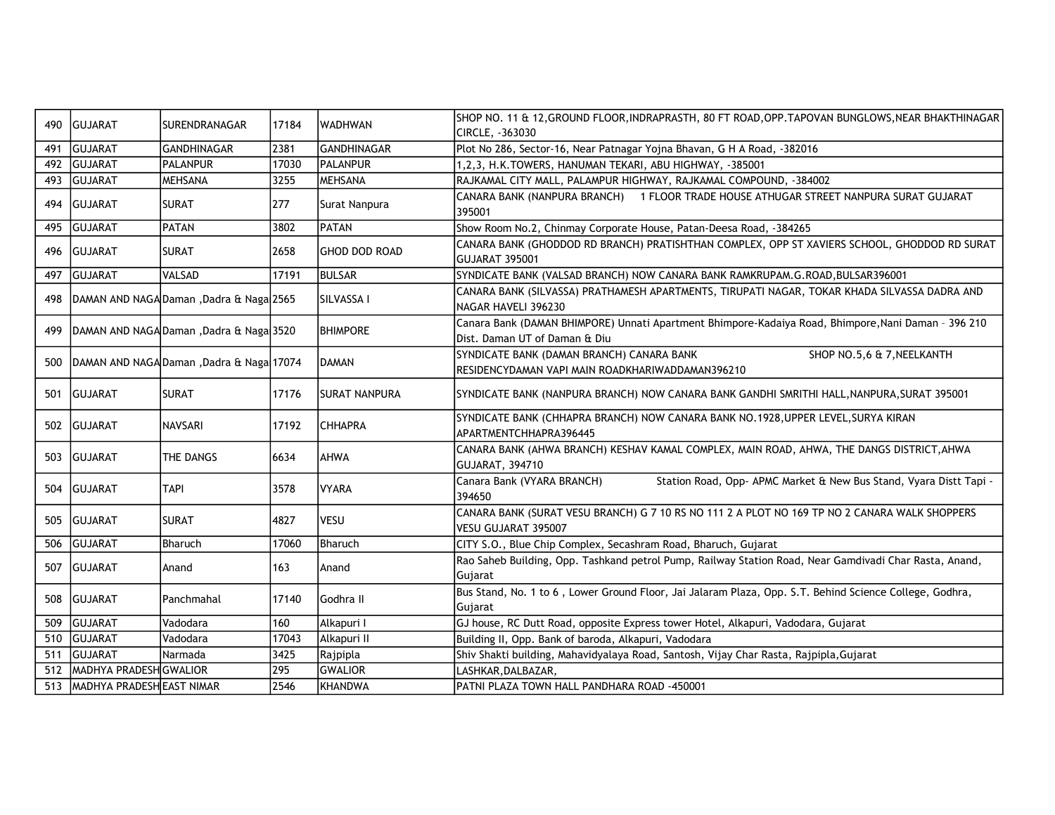| 490 | GUJARAT                   | SURENDRANAGAR                            | 17184 | <b>WADHWAN</b>       | SHOP NO. 11 & 12, GROUND FLOOR, INDRAPRASTH, 80 FT ROAD, OPP. TAPOVAN BUNGLOWS, NEAR BHAKTHINAGAR                                    |
|-----|---------------------------|------------------------------------------|-------|----------------------|--------------------------------------------------------------------------------------------------------------------------------------|
|     |                           |                                          |       |                      | CIRCLE, -363030                                                                                                                      |
| 491 | GUJARAT                   | <b>GANDHINAGAR</b>                       | 2381  | <b>GANDHINAGAR</b>   | Plot No 286, Sector-16, Near Patnagar Yojna Bhavan, G H A Road, -382016                                                              |
| 492 | <b>GUJARAT</b>            | PALANPUR                                 | 17030 | <b>IPALANPUR</b>     | 1,2,3, H.K.TOWERS, HANUMAN TEKARI, ABU HIGHWAY, -385001                                                                              |
| 493 | <b>GUJARAT</b>            | <b>MEHSANA</b>                           | 3255  | <b>MEHSANA</b>       | RAJKAMAL CITY MALL, PALAMPUR HIGHWAY, RAJKAMAL COMPOUND, -384002                                                                     |
| 494 | <b>IGUJARAT</b>           | <b>SURAT</b>                             | 277   | Surat Nanpura        | CANARA BANK (NANPURA BRANCH) 1 FLOOR TRADE HOUSE ATHUGAR STREET NANPURA SURAT GUJARAT<br>395001                                      |
| 495 | GUJARAT                   | PATAN                                    | 3802  | <b>PATAN</b>         | Show Room No.2, Chinmay Corporate House, Patan-Deesa Road, -384265                                                                   |
| 496 | GUJARAT                   | <b>SURAT</b>                             | 2658  | <b>GHOD DOD ROAD</b> | CANARA BANK (GHODDOD RD BRANCH) PRATISHTHAN COMPLEX, OPP ST XAVIERS SCHOOL, GHODDOD RD SURAT<br><b>GUJARAT 395001</b>                |
| 497 | GUJARAT                   | VALSAD                                   | 17191 | <b>BULSAR</b>        | SYNDICATE BANK (VALSAD BRANCH) NOW CANARA BANK RAMKRUPAM.G.ROAD, BULSAR396001                                                        |
| 498 |                           | DAMAN AND NAGA Daman, Dadra & Naga 2565  |       | SILVASSA I           | CANARA BANK (SILVASSA) PRATHAMESH APARTMENTS, TIRUPATI NAGAR, TOKAR KHADA SILVASSA DADRA AND<br>NAGAR HAVELI 396230                  |
| 499 |                           | DAMAN AND NAGA Daman, Dadra & Naga 3520  |       | <b>BHIMPORE</b>      | Canara Bank (DAMAN BHIMPORE) Unnati Apartment Bhimpore-Kadaiya Road, Bhimpore, Nani Daman - 396 210<br>Dist. Daman UT of Daman & Diu |
| 500 |                           | DAMAN AND NAGA Daman, Dadra & Naga 17074 |       | DAMAN                | SYNDICATE BANK (DAMAN BRANCH) CANARA BANK<br>SHOP NO.5,6 & 7, NEELKANTH<br>RESIDENCYDAMAN VAPI MAIN ROADKHARIWADDAMAN396210          |
| 501 | GUJARAT                   | <b>SURAT</b>                             | 17176 | <b>SURAT NANPURA</b> | SYNDICATE BANK (NANPURA BRANCH) NOW CANARA BANK GANDHI SMRITHI HALL, NANPURA, SURAT 395001                                           |
| 502 | <b>GUJARAT</b>            | NAVSARI                                  | 17192 | <b>CHHAPRA</b>       | SYNDICATE BANK (CHHAPRA BRANCH) NOW CANARA BANK NO.1928, UPPER LEVEL, SURYA KIRAN<br>APARTMENTCHHAPRA396445                          |
| 503 | GUJARAT                   | THE DANGS                                | 6634  | AHWA                 | CANARA BANK (AHWA BRANCH) KESHAV KAMAL COMPLEX, MAIN ROAD, AHWA, THE DANGS DISTRICT, AHWA<br><b>GUJARAT, 394710</b>                  |
| 504 | GUJARAT                   | <b>TAPI</b>                              | 3578  | <b>VYARA</b>         | Canara Bank (VYARA BRANCH)<br>Station Road, Opp- APMC Market & New Bus Stand, Vyara Distt Tapi -<br>394650                           |
| 505 | <b>GUJARAT</b>            | <b>SURAT</b>                             | 4827  | <b>VESU</b>          | CANARA BANK (SURAT VESU BRANCH) G 7 10 RS NO 111 2 A PLOT NO 169 TP NO 2 CANARA WALK SHOPPERS<br>VESU GUJARAT 395007                 |
| 506 | GUJARAT                   | Bharuch                                  | 17060 | Bharuch              | CITY S.O., Blue Chip Complex, Secashram Road, Bharuch, Gujarat                                                                       |
| 507 | GUJARAT                   | Anand                                    | 163   | Anand                | Rao Saheb Building, Opp. Tashkand petrol Pump, Railway Station Road, Near Gamdivadi Char Rasta, Anand,<br>Gujarat                    |
| 508 | <b>GUJARAT</b>            | Panchmahal                               | 17140 | <b>Godhra II</b>     | Bus Stand, No. 1 to 6, Lower Ground Floor, Jai Jalaram Plaza, Opp. S.T. Behind Science College, Godhra,<br>Gujarat                   |
| 509 | GUJARAT                   | Vadodara                                 | 160   | Alkapuri I           | GJ house, RC Dutt Road, opposite Express tower Hotel, Alkapuri, Vadodara, Gujarat                                                    |
| 510 | <b>GUJARAT</b>            | Vadodara                                 | 17043 | Alkapuri II          | Building II, Opp. Bank of baroda, Alkapuri, Vadodara                                                                                 |
| 511 | GUJARAT                   | Narmada                                  | 3425  | Rajpipla             | Shiv Shakti building, Mahavidyalaya Road, Santosh, Vijay Char Rasta, Rajpipla, Gujarat                                               |
| 512 | MADHYA PRADESH GWALIOR    |                                          | 295   | <b>GWALIOR</b>       | LASHKAR, DALBAZAR,                                                                                                                   |
| 513 | MADHYA PRADESH EAST NIMAR |                                          | 2546  | KHANDWA              | PATNI PLAZA TOWN HALL PANDHARA ROAD -450001                                                                                          |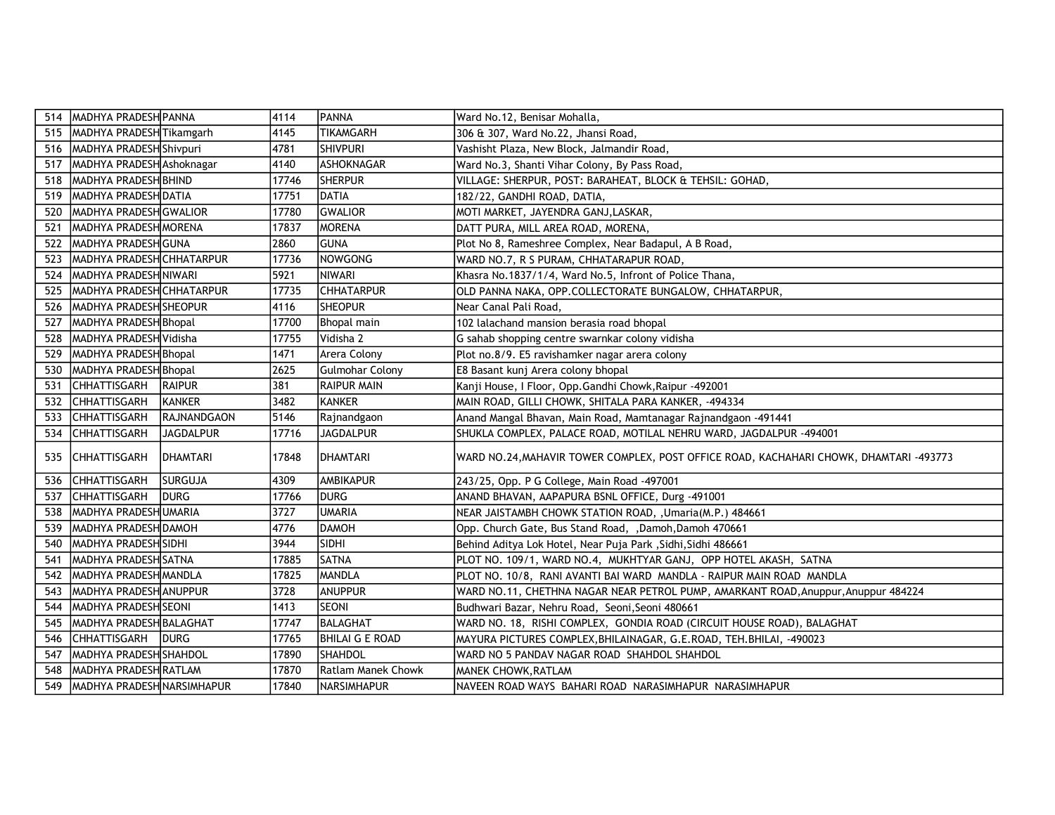| 514 | MADHYA PRADESH PANNA                |                  | 4114  | <b>PANNA</b>           | Ward No.12, Benisar Mohalla,                                                           |
|-----|-------------------------------------|------------------|-------|------------------------|----------------------------------------------------------------------------------------|
| 515 | MADHYA PRADESH Tikamgarh            |                  | 14145 | <b>TIKAMGARH</b>       | 306 & 307, Ward No.22, Jhansi Road,                                                    |
| 516 | MADHYA PRADESH Shivpuri             |                  | 4781  | <b>SHIVPURI</b>        | Vashisht Plaza, New Block, Jalmandir Road,                                             |
| 517 | MADHYA PRADESH Ashoknagar           |                  | 4140  | ASHOKNAGAR             | Ward No.3, Shanti Vihar Colony, By Pass Road,                                          |
| 518 | MADHYA PRADESH BHIND                |                  | 17746 | <b>SHERPUR</b>         | VILLAGE: SHERPUR, POST: BARAHEAT, BLOCK & TEHSIL: GOHAD,                               |
| 519 | MADHYA PRADESH DATIA                |                  | 17751 | DATIA                  | 182/22, GANDHI ROAD, DATIA,                                                            |
| 520 | MADHYA PRADESH GWALIOR              |                  | 17780 | <b>GWALIOR</b>         | MOTI MARKET, JAYENDRA GANJ,LASKAR,                                                     |
| 521 | MADHYA PRADESH MORENA               |                  | 17837 | <b>MORENA</b>          | DATT PURA, MILL AREA ROAD, MORENA,                                                     |
| 522 | MADHYA PRADESH GUNA                 |                  | 2860  | GUNA                   | Plot No 8, Rameshree Complex, Near Badapul, A B Road,                                  |
| 523 | IMADHYA PRADESH <b>I</b> CHHATARPUR |                  | 17736 | NOWGONG                | WARD NO.7, R S PURAM, CHHATARAPUR ROAD,                                                |
| 524 | MADHYA PRADESH NIWARI               |                  | 5921  | NIWARI                 | Khasra No.1837/1/4, Ward No.5, Infront of Police Thana,                                |
| 525 | MADHYA PRADESH CHHATARPUR           |                  | 17735 | <b>CHHATARPUR</b>      | OLD PANNA NAKA, OPP.COLLECTORATE BUNGALOW, CHHATARPUR,                                 |
| 526 | MADHYA PRADESH SHEOPUR              |                  | 4116  | <b>SHEOPUR</b>         | Near Canal Pali Road,                                                                  |
| 527 | MADHYA PRADESH Bhopal               |                  | 17700 | Bhopal main            | 102 lalachand mansion berasia road bhopal                                              |
| 528 | MADHYA PRADESH Vidisha              |                  | 17755 | Vidisha 2              | G sahab shopping centre swarnkar colony vidisha                                        |
| 529 | MADHYA PRADESH Bhopal               |                  | 1471  | Arera Colony           | Plot no.8/9. E5 ravishamker nagar arera colony                                         |
| 530 | MADHYA PRADESH Bhopal               |                  | 2625  | <b>Gulmohar Colony</b> | E8 Basant kunj Arera colony bhopal                                                     |
| 531 | <b>CHHATTISGARH</b>                 | <b>RAIPUR</b>    | 381   | <b>RAIPUR MAIN</b>     | Kanji House, I Floor, Opp.Gandhi Chowk, Raipur -492001                                 |
| 532 | <b>CHHATTISGARH</b>                 | <b>KANKER</b>    | 3482  | <b>KANKER</b>          | MAIN ROAD, GILLI CHOWK, SHITALA PARA KANKER, -494334                                   |
| 533 | <b>CHHATTISGARH</b>                 | RAJNANDGAON      | 5146  | Rajnandgaon            | Anand Mangal Bhavan, Main Road, Mamtanagar Rajnandgaon -491441                         |
| 534 | <b>CHHATTISGARH</b>                 | <b>JAGDALPUR</b> | 17716 | <b>JAGDALPUR</b>       | SHUKLA COMPLEX, PALACE ROAD, MOTILAL NEHRU WARD, JAGDALPUR -494001                     |
| 535 | <b>CHHATTISGARH</b>                 | <b>IDHAMTARI</b> | 17848 | <b>IDHAMTARI</b>       | WARD NO.24, MAHAVIR TOWER COMPLEX, POST OFFICE ROAD, KACHAHARI CHOWK, DHAMTARI -493773 |
| 536 | <b>CHHATTISGARH</b>                 | <b>SURGUJA</b>   | 4309  | AMBIKAPUR              | 243/25, Opp. P G College, Main Road -497001                                            |
| 537 | <b>CHHATTISGARH</b>                 | <b>DURG</b>      | 17766 | Idurg                  | ANAND BHAVAN, AAPAPURA BSNL OFFICE, Durg -491001                                       |
| 538 | MADHYA PRADESHUMARIA                |                  | 3727  | <b>UMARIA</b>          | NEAR JAISTAMBH CHOWK STATION ROAD, , Umaria(M.P.) 484661                               |
| 539 | MADHYA PRADESH DAMOH                |                  | 4776  | DAMOH                  | Opp. Church Gate, Bus Stand Road, ,Damoh,Damoh 470661                                  |
| 540 | MADHYA PRADESH SIDHI                |                  | 3944  | <b>SIDHI</b>           | Behind Aditya Lok Hotel, Near Puja Park , Sidhi, Sidhi 486661                          |
| 541 | MADHYA PRADESH SATNA                |                  | 17885 | SATNA                  | PLOT NO. 109/1, WARD NO.4, MUKHTYAR GANJ, OPP HOTEL AKASH, SATNA                       |
| 542 | MADHYA PRADESH MANDLA               |                  | 17825 | IMANDLA                | PLOT NO. 10/8, RANI AVANTI BAI WARD MANDLA - RAIPUR MAIN ROAD MANDLA                   |
| 543 | MADHYA PRADESH ANUPPUR              |                  | 3728  | ANUPPUR                | WARD NO.11, CHETHNA NAGAR NEAR PETROL PUMP, AMARKANT ROAD, Anuppur, Anuppur 484224     |
| 544 | MADHYA PRADESH SEONI                |                  | 1413  | <b>SEONI</b>           | Budhwari Bazar, Nehru Road, Seoni, Seoni 480661                                        |
| 545 | MADHYA PRADESH BALAGHAT             |                  | 17747 | BALAGHAT               | WARD NO. 18, RISHI COMPLEX, GONDIA ROAD (CIRCUIT HOUSE ROAD), BALAGHAT                 |
| 546 | <b>CHHATTISGARH</b>                 | <b>IDURG</b>     | 17765 | <b>BHILAI G E ROAD</b> | MAYURA PICTURES COMPLEX, BHILAINAGAR, G.E.ROAD, TEH. BHILAI, -490023                   |
| 547 | MADHYA PRADESH SHAHDOL              |                  | 17890 | SHAHDOL                | WARD NO 5 PANDAV NAGAR ROAD SHAHDOL SHAHDOL                                            |
| 548 | MADHYA PRADESH RATLAM               |                  | 17870 | Ratlam Manek Chowk     | <b>MANEK CHOWK, RATLAM</b>                                                             |
| 549 | MADHYA PRADESH NARSIMHAPUR          |                  | 17840 | NARSIMHAPUR            | NAVEEN ROAD WAYS BAHARI ROAD NARASIMHAPUR NARASIMHAPUR                                 |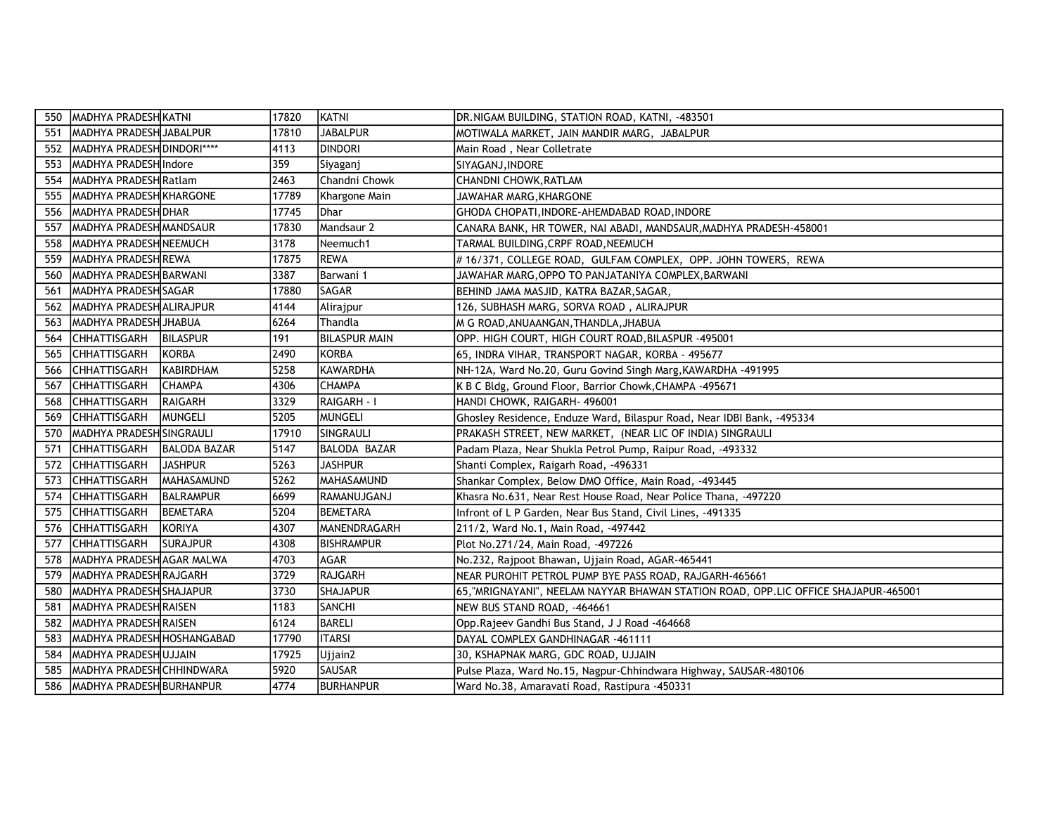| 550 | MADHYA PRADESH KATNI                    | 17820 | KATNI                | DR.NIGAM BUILDING, STATION ROAD, KATNI, -483501                                     |
|-----|-----------------------------------------|-------|----------------------|-------------------------------------------------------------------------------------|
| 551 | MADHYA PRADESH JABALPUR                 | 17810 | <b>JABALPUR</b>      | MOTIWALA MARKET, JAIN MANDIR MARG, JABALPUR                                         |
| 552 | MADHYA PRADESH DINDORI****              | 4113  | <b>DINDORI</b>       | Main Road, Near Colletrate                                                          |
| 553 | MADHYA PRADESH Indore                   | 359   | Siyaganj             | SIYAGANJ, INDORE                                                                    |
| 554 | MADHYA PRADESH Ratlam                   | 2463  | Chandni Chowk        | CHANDNI CHOWK,RATLAM                                                                |
| 555 | MADHYA PRADESH KHARGONE                 | 17789 | Khargone Main        | JAWAHAR MARG, KHARGONE                                                              |
| 556 | MADHYA PRADESH DHAR                     | 17745 | Dhar                 | GHODA CHOPATI, INDORE-AHEMDABAD ROAD, INDORE                                        |
| 557 | MADHYA PRADESH MANDSAUR                 | 17830 | Mandsaur 2           | CANARA BANK, HR TOWER, NAI ABADI, MANDSAUR, MADHYA PRADESH-458001                   |
| 558 | MADHYA PRADESH NEEMUCH                  | 3178  | Neemuch1             | TARMAL BUILDING, CRPF ROAD, NEEMUCH                                                 |
| 559 | MADHYA PRADESH REWA                     | 17875 | <b>REWA</b>          | #16/371, COLLEGE ROAD, GULFAM COMPLEX, OPP. JOHN TOWERS, REWA                       |
| 560 | MADHYA PRADESH BARWANI                  | 3387  | Barwani 1            | JAWAHAR MARG, OPPO TO PANJATANIYA COMPLEX, BARWANI                                  |
| 561 | MADHYA PRADESH SAGAR                    | 17880 | SAGAR                | BEHIND JAMA MASJID, KATRA BAZAR, SAGAR,                                             |
| 562 | MADHYA PRADESH ALIRAJPUR                | 4144  | Alirajpur            | 126, SUBHASH MARG, SORVA ROAD, ALIRAJPUR                                            |
| 563 | MADHYA PRADESH JHABUA                   | 6264  | Thandla              | M G ROAD, ANUAANGAN, THANDLA, JHABUA                                                |
| 564 | CHHATTISGARH<br><b>BILASPUR</b>         | 191   | <b>BILASPUR MAIN</b> | OPP. HIGH COURT, HIGH COURT ROAD, BILASPUR -495001                                  |
| 565 | <b>CHHATTISGARH</b><br>KORBA            | 2490  | <b>KORBA</b>         | 65, INDRA VIHAR, TRANSPORT NAGAR, KORBA - 495677                                    |
| 566 | <b>CHHATTISGARH</b><br><b>KABIRDHAM</b> | 5258  | <b>KAWARDHA</b>      | NH-12A, Ward No.20, Guru Govind Singh Marg, KAWARDHA -491995                        |
| 567 | <b>CHHATTISGARH</b><br><b>ICHAMPA</b>   | 4306  | <b>CHAMPA</b>        | K B C Bldg, Ground Floor, Barrior Chowk, CHAMPA - 495671                            |
| 568 | <b>CHHATTISGARH</b><br><b>RAIGARH</b>   | 3329  | <b>RAIGARH - I</b>   | HANDI CHOWK, RAIGARH- 496001                                                        |
| 569 | <b>CHHATTISGARH</b><br>MUNGELI          | 5205  | <b>MUNGELI</b>       | Ghosley Residence, Enduze Ward, Bilaspur Road, Near IDBI Bank, -495334              |
| 570 | MADHYA PRADESH SINGRAULI                | 17910 | SINGRAULI            | PRAKASH STREET, NEW MARKET, (NEAR LIC OF INDIA) SINGRAULI                           |
| 571 | CHHATTISGARH<br><b>BALODA BAZAR</b>     | 5147  | BALODA BAZAR         | Padam Plaza, Near Shukla Petrol Pump, Raipur Road, -493332                          |
| 572 | <b>CHHATTISGARH</b><br><b>JASHPUR</b>   | 5263  | <b>JASHPUR</b>       | Shanti Complex, Raigarh Road, -496331                                               |
| 573 | <b>CHHATTISGARH</b><br>MAHASAMUND       | 5262  | MAHASAMUND           | Shankar Complex, Below DMO Office, Main Road, -493445                               |
| 574 | <b>CHHATTISGARH</b><br><b>BALRAMPUR</b> | 6699  | RAMANUJGANJ          | Khasra No.631, Near Rest House Road, Near Police Thana, -497220                     |
| 575 | <b>CHHATTISGARH</b><br><b>BEMETARA</b>  | 5204  | <b>BEMETARA</b>      | Infront of L P Garden, Near Bus Stand, Civil Lines, -491335                         |
| 576 | <b>CHHATTISGARH</b><br>KORIYA           | 4307  | MANENDRAGARH         | 211/2, Ward No.1, Main Road, -497442                                                |
| 577 | <b>CHHATTISGARH</b><br><b>SURAJPUR</b>  | 4308  | <b>BISHRAMPUR</b>    | Plot No.271/24, Main Road, -497226                                                  |
| 578 | MADHYA PRADESH AGAR MALWA               | 4703  | AGAR                 | No.232, Rajpoot Bhawan, Ujjain Road, AGAR-465441                                    |
| 579 | MADHYA PRADESH RAJGARH                  | 3729  | RAJGARH              | NEAR PUROHIT PETROL PUMP BYE PASS ROAD, RAJGARH-465661                              |
| 580 | MADHYA PRADESH SHAJAPUR                 | 3730  | <b>SHAJAPUR</b>      | 65, "MRIGNAYANI", NEELAM NAYYAR BHAWAN STATION ROAD, OPP.LIC OFFICE SHAJAPUR-465001 |
| 581 | MADHYA PRADESH RAISEN                   | 1183  | <b>SANCHI</b>        | NEW BUS STAND ROAD, -464661                                                         |
| 582 | MADHYA PRADESH RAISEN                   | 6124  | BARELI               | Opp. Rajeev Gandhi Bus Stand, J J Road -464668                                      |
| 583 | MADHYA PRADESH HOSHANGABAD              | 17790 | <b>ITARSI</b>        | DAYAL COMPLEX GANDHINAGAR -461111                                                   |
| 584 | MADHYA PRADESHUJJAIN                    | 17925 | Ujjain2              | 30, KSHAPNAK MARG, GDC ROAD, UJJAIN                                                 |
| 585 | MADHYA PRADESHCHHINDWARA                | 5920  | <b>SAUSAR</b>        | Pulse Plaza, Ward No.15, Nagpur-Chhindwara Highway, SAUSAR-480106                   |
| 586 | MADHYA PRADESH BURHANPUR                | 4774  | BURHANPUR            | Ward No.38, Amaravati Road, Rastipura -450331                                       |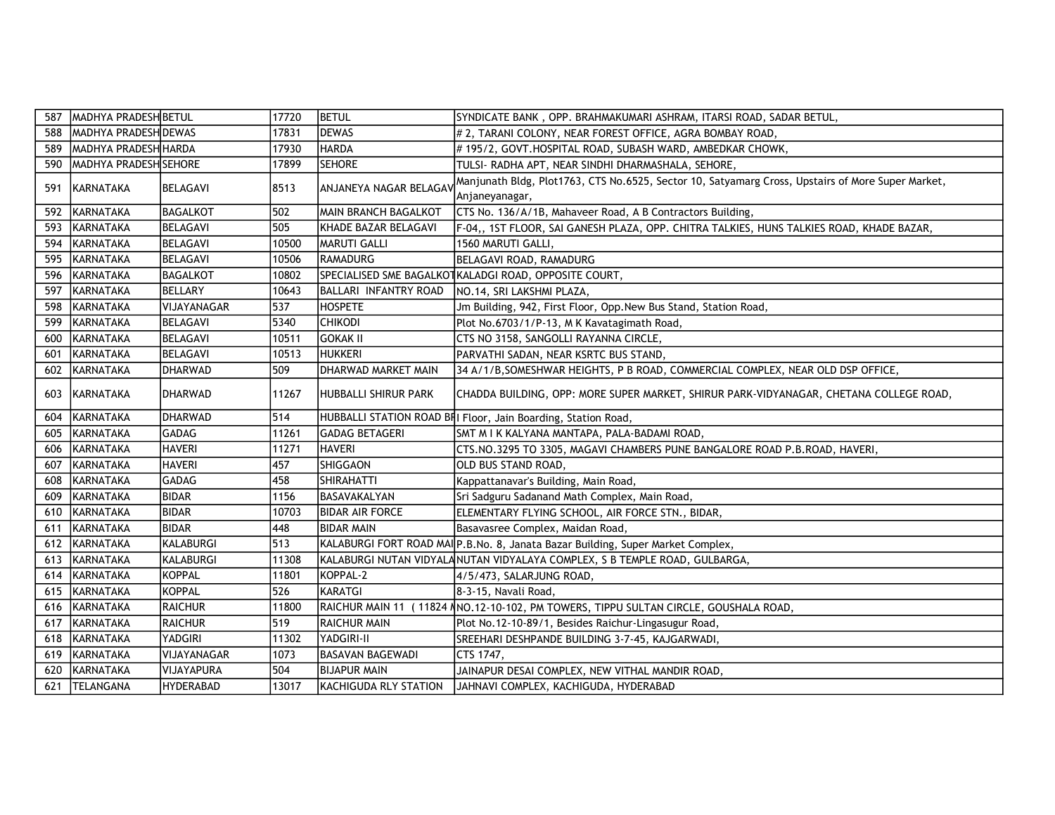| 587 | MADHYA PRADESH BETUL        |                    | 17720 | <b>BETUL</b>            | SYNDICATE BANK, OPP. BRAHMAKUMARI ASHRAM, ITARSI ROAD, SADAR BETUL,                               |
|-----|-----------------------------|--------------------|-------|-------------------------|---------------------------------------------------------------------------------------------------|
| 588 | <b>MADHYA PRADESH DEWAS</b> |                    | 17831 | <b>IDEWAS</b>           | # 2, TARANI COLONY, NEAR FOREST OFFICE, AGRA BOMBAY ROAD,                                         |
| 589 | MADHYA PRADESH HARDA        |                    | 17930 | <b>HARDA</b>            | # 195/2, GOVT.HOSPITAL ROAD, SUBASH WARD, AMBEDKAR CHOWK,                                         |
| 590 | MADHYA PRADESH SEHORE       |                    | 17899 | <b>SEHORE</b>           | TULSI- RADHA APT, NEAR SINDHI DHARMASHALA, SEHORE,                                                |
| 591 | <b>KARNATAKA</b>            | <b>BELAGAVI</b>    | 8513  | ANJANEYA NAGAR BELAGAV  | Manjunath Bldg, Plot1763, CTS No.6525, Sector 10, Satyamarg Cross, Upstairs of More Super Market, |
|     |                             |                    |       |                         | Anjaneyanagar,                                                                                    |
| 592 | KARNATAKA                   | <b>BAGALKOT</b>    | 502   | MAIN BRANCH BAGALKOT    | CTS No. 136/A/1B, Mahaveer Road, A B Contractors Building,                                        |
| 593 | KARNATAKA                   | <b>BELAGAVI</b>    | 505   | KHADE BAZAR BELAGAVI    | F-04,, 1ST FLOOR, SAI GANESH PLAZA, OPP. CHITRA TALKIES, HUNS TALKIES ROAD, KHADE BAZAR,          |
| 594 | KARNATAKA                   | <b>BELAGAVI</b>    | 10500 | MARUTI GALLI            | 1560 MARUTI GALLI,                                                                                |
| 595 | KARNATAKA                   | <b>BELAGAVI</b>    | 10506 | RAMADURG                | BELAGAVI ROAD, RAMADURG                                                                           |
| 596 | KARNATAKA                   | <b>BAGALKOT</b>    | 10802 |                         | SPECIALISED SME BAGALKOTKALADGI ROAD, OPPOSITE COURT,                                             |
| 597 | KARNATAKA                   | <b>BELLARY</b>     | 10643 | BALLARI INFANTRY ROAD   | NO.14, SRI LAKSHMI PLAZA,                                                                         |
| 598 | KARNATAKA                   | <b>VIJAYANAGAR</b> | 537   | <b>HOSPETE</b>          | Jm Building, 942, First Floor, Opp. New Bus Stand, Station Road,                                  |
| 599 | KARNATAKA                   | <b>BELAGAVI</b>    | 5340  | CHIKODI                 | Plot No.6703/1/P-13, M K Kavatagimath Road,                                                       |
| 600 | KARNATAKA                   | <b>BELAGAVI</b>    | 10511 | <b>GOKAK II</b>         | CTS NO 3158, SANGOLLI RAYANNA CIRCLE,                                                             |
| 601 | KARNATAKA                   | <b>BELAGAVI</b>    | 10513 | <b>HUKKERI</b>          | PARVATHI SADAN, NEAR KSRTC BUS STAND,                                                             |
| 602 | KARNATAKA                   | <b>DHARWAD</b>     | 509   | DHARWAD MARKET MAIN     | 34 A/1/B, SOMESHWAR HEIGHTS, P B ROAD, COMMERCIAL COMPLEX, NEAR OLD DSP OFFICE,                   |
| 603 | KARNATAKA                   | DHARWAD            | 11267 | HUBBALLI SHIRUR PARK    | CHADDA BUILDING, OPP: MORE SUPER MARKET, SHIRUR PARK-VIDYANAGAR, CHETANA COLLEGE ROAD,            |
| 604 | KARNATAKA                   | <b>DHARWAD</b>     | 514   |                         | HUBBALLI STATION ROAD BII Floor, Jain Boarding, Station Road,                                     |
| 605 | KARNATAKA                   | <b>GADAG</b>       | 11261 | <b>GADAG BETAGERI</b>   | SMT M I K KALYANA MANTAPA, PALA-BADAMI ROAD,                                                      |
| 606 | KARNATAKA                   | <b>HAVERI</b>      | 11271 | <b>HAVERI</b>           | CTS.NO.3295 TO 3305, MAGAVI CHAMBERS PUNE BANGALORE ROAD P.B.ROAD, HAVERI,                        |
| 607 | KARNATAKA                   | <b>HAVERI</b>      | 457   | SHIGGAON                | OLD BUS STAND ROAD,                                                                               |
| 608 | KARNATAKA                   | <b>GADAG</b>       | 458   | SHIRAHATTI              | Kappattanavar's Building, Main Road,                                                              |
| 609 | KARNATAKA                   | <b>BIDAR</b>       | 1156  | BASAVAKALYAN            | Sri Sadguru Sadanand Math Complex, Main Road,                                                     |
| 610 | KARNATAKA                   | <b>BIDAR</b>       | 10703 | <b>BIDAR AIR FORCE</b>  | ELEMENTARY FLYING SCHOOL, AIR FORCE STN., BIDAR,                                                  |
| 611 | KARNATAKA                   | <b>BIDAR</b>       | 448   | <b>BIDAR MAIN</b>       | Basavasree Complex, Maidan Road,                                                                  |
| 612 | KARNATAKA                   | KALABURGI          | 513   |                         | KALABURGI FORT ROAD MAIP.B.No. 8, Janata Bazar Building, Super Market Complex,                    |
| 613 | KARNATAKA                   | KALABURGI          | 11308 |                         | KALABURGI NUTAN VIDYALANUTAN VIDYALAYA COMPLEX, S B TEMPLE ROAD, GULBARGA,                        |
| 614 | KARNATAKA                   | <b>KOPPAL</b>      | 11801 | KOPPAL-2                | 4/5/473, SALARJUNG ROAD,                                                                          |
| 615 | KARNATAKA                   | KOPPAL             | 526   | KARATGI                 | 8-3-15, Navali Road,                                                                              |
| 616 | KARNATAKA                   | <b>RAICHUR</b>     | 11800 |                         | RAICHUR MAIN 11 (11824 NNO.12-10-102, PM TOWERS, TIPPU SULTAN CIRCLE, GOUSHALA ROAD,              |
| 617 | KARNATAKA                   | <b>RAICHUR</b>     | 519   | <b>RAICHUR MAIN</b>     | Plot No.12-10-89/1, Besides Raichur-Lingasugur Road,                                              |
| 618 | KARNATAKA                   | YADGIRI            | 11302 | YADGIRI-II              | SREEHARI DESHPANDE BUILDING 3-7-45, KAJGARWADI,                                                   |
| 619 | KARNATAKA                   | VIJAYANAGAR        | 1073  | <b>BASAVAN BAGEWADI</b> | CTS 1747,                                                                                         |
| 620 | KARNATAKA                   | VIJAYAPURA         | 504   | <b>BIJAPUR MAIN</b>     | JAINAPUR DESAI COMPLEX, NEW VITHAL MANDIR ROAD,                                                   |
| 621 | <b>TELANGANA</b>            | <b>HYDERABAD</b>   | 13017 | KACHIGUDA RLY STATION   | JAHNAVI COMPLEX, KACHIGUDA, HYDERABAD                                                             |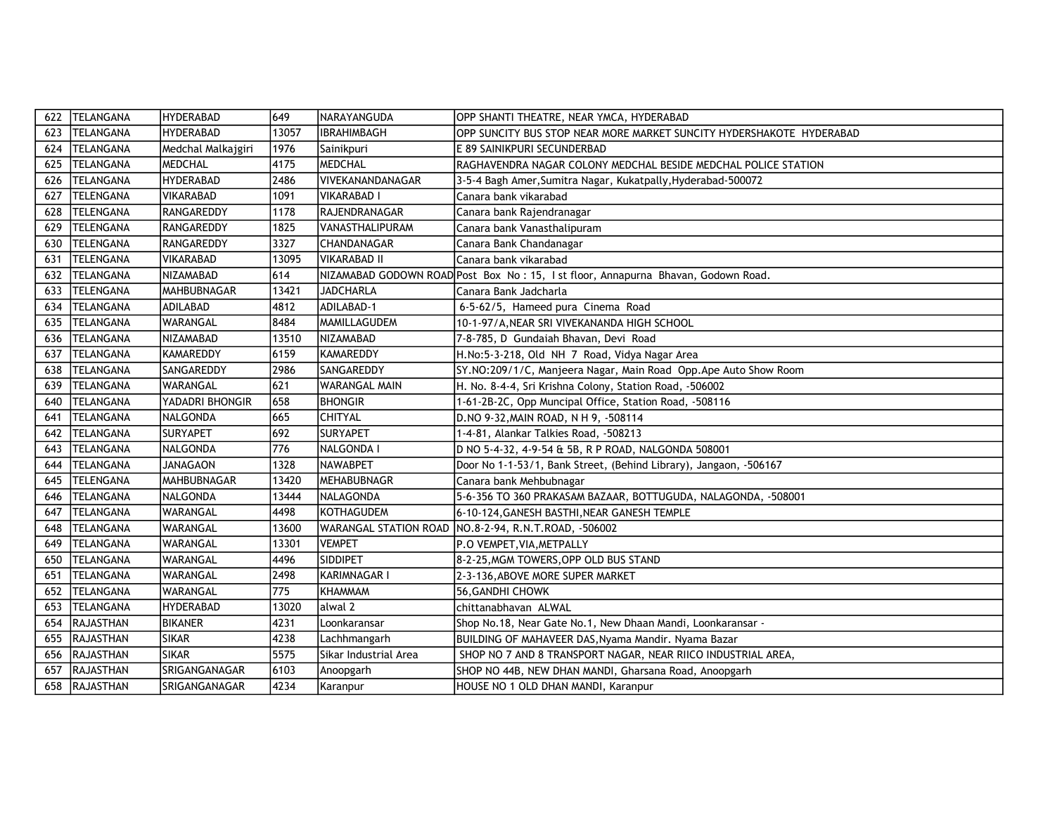| 622 | <b>TELANGANA</b> | <b>HYDERABAD</b>   | 649   | <b>NARAYANGUDA</b>     | OPP SHANTI THEATRE, NEAR YMCA, HYDERABAD                                         |
|-----|------------------|--------------------|-------|------------------------|----------------------------------------------------------------------------------|
| 623 | <b>TELANGANA</b> | <b>HYDERABAD</b>   | 13057 | <b>IBRAHIMBAGH</b>     | OPP SUNCITY BUS STOP NEAR MORE MARKET SUNCITY HYDERSHAKOTE HYDERABAD             |
| 624 | <b>TELANGANA</b> | Medchal Malkajgiri | 1976  | Sainikpuri             | E 89 SAINIKPURI SECUNDERBAD                                                      |
| 625 | <b>TELANGANA</b> | <b>MEDCHAL</b>     | 4175  | MEDCHAL                | RAGHAVENDRA NAGAR COLONY MEDCHAL BESIDE MEDCHAL POLICE STATION                   |
| 626 | TELANGANA        | <b>HYDERABAD</b>   | 2486  | lvivekanandanagar      | 3-5-4 Bagh Amer, Sumitra Nagar, Kukatpally, Hyderabad-500072                     |
| 627 | <b>TELENGANA</b> | <b>VIKARABAD</b>   | 1091  | VIKARABAD I            | Canara bank vikarabad                                                            |
| 628 | <b>TELENGANA</b> | RANGAREDDY         | 1178  | IRAJENDRANAGAR         | Canara bank Rajendranagar                                                        |
| 629 | <b>TELENGANA</b> | RANGAREDDY         | 1825  | <b>VANASTHALIPURAM</b> | Canara bank Vanasthalipuram                                                      |
| 630 | <b>TELENGANA</b> | RANGAREDDY         | 3327  | <b>CHANDANAGAR</b>     | Canara Bank Chandanagar                                                          |
| 631 | <b>TELENGANA</b> | <b>VIKARABAD</b>   | 13095 | <b>VIKARABAD II</b>    | Canara bank vikarabad                                                            |
| 632 | TELANGANA        | NIZAMABAD          | 614   |                        | NIZAMABAD GODOWN ROAD Post Box No: 15, 1st floor, Annapurna Bhavan, Godown Road. |
| 633 | <b>TELENGANA</b> | MAHBUBNAGAR        | 13421 | <b>JADCHARLA</b>       | Canara Bank Jadcharla                                                            |
| 634 | TELANGANA        | <b>ADILABAD</b>    | 4812  | ADILABAD-1             | 6-5-62/5, Hameed pura Cinema Road                                                |
| 635 | TELANGANA        | WARANGAL           | 8484  | <b>MAMILLAGUDEM</b>    | 10-1-97/A, NEAR SRI VIVEKANANDA HIGH SCHOOL                                      |
| 636 | TELANGANA        | NIZAMABAD          | 13510 | NIZAMABAD              | 7-8-785, D Gundaiah Bhavan, Devi Road                                            |
| 637 | TELANGANA        | KAMAREDDY          | 6159  | KAMAREDDY              | H.No:5-3-218, Old NH 7 Road, Vidya Nagar Area                                    |
| 638 | TELANGANA        | SANGAREDDY         | 2986  | SANGAREDDY             | SY.NO:209/1/C, Manjeera Nagar, Main Road Opp.Ape Auto Show Room                  |
| 639 | TELANGANA        | <b>WARANGAL</b>    | 621   | <b>WARANGAL MAIN</b>   | H. No. 8-4-4, Sri Krishna Colony, Station Road, -506002                          |
| 640 | TELANGANA        | YADADRI BHONGIR    | 658   | <b>BHONGIR</b>         | 1-61-2B-2C, Opp Muncipal Office, Station Road, -508116                           |
| 641 | TELANGANA        | NALGONDA           | 665   | <b>CHITYAL</b>         | D.NO 9-32, MAIN ROAD, N H 9, -508114                                             |
| 642 | TELANGANA        | <b>SURYAPET</b>    | 692   | <b>SURYAPET</b>        | 1-4-81, Alankar Talkies Road, -508213                                            |
| 643 | TELANGANA        | NALGONDA           | 776   | NALGONDA I             | D NO 5-4-32, 4-9-54 & 5B, R P ROAD, NALGONDA 508001                              |
| 644 | TELANGANA        | <b>JANAGAON</b>    | 1328  | NAWABPET               | Door No 1-1-53/1, Bank Street, (Behind Library), Jangaon, -506167                |
| 645 | <b>TELENGANA</b> | MAHBUBNAGAR        | 13420 | MEHABUBNAGR            | Canara bank Mehbubnagar                                                          |
| 646 | TELANGANA        | NALGONDA           | 13444 | <b>INALAGONDA</b>      | 5-6-356 TO 360 PRAKASAM BAZAAR, BOTTUGUDA, NALAGONDA, -508001                    |
| 647 | TELANGANA        | WARANGAL           | 4498  | KOTHAGUDEM             | 6-10-124, GANESH BASTHI, NEAR GANESH TEMPLE                                      |
| 648 | <b>TELANGANA</b> | <b>WARANGAL</b>    | 13600 |                        | WARANGAL STATION ROAD NO.8-2-94, R.N.T.ROAD, -506002                             |
| 649 | TELANGANA        | WARANGAL           | 13301 | <b>VEMPET</b>          | P.O VEMPET, VIA, METPALLY                                                        |
| 650 | <b>TELANGANA</b> | WARANGAL           | 4496  | <b>SIDDIPET</b>        | 8-2-25, MGM TOWERS, OPP OLD BUS STAND                                            |
| 651 | TELANGANA        | WARANGAL           | 2498  | KARIMNAGAR I           | 2-3-136, ABOVE MORE SUPER MARKET                                                 |
| 652 | <b>TELANGANA</b> | <b>WARANGAL</b>    | 775   | KHAMMAM                | 56, GANDHI CHOWK                                                                 |
| 653 | <b>TELANGANA</b> | <b>HYDERABAD</b>   | 13020 | lalwal 2               | chittanabhavan ALWAL                                                             |
| 654 | <b>RAJASTHAN</b> | <b>BIKANER</b>     | 4231  | Loonkaransar           | Shop No.18, Near Gate No.1, New Dhaan Mandi, Loonkaransar -                      |
| 655 | RAJASTHAN        | <b>SIKAR</b>       | 4238  | Lachhmangarh           | BUILDING OF MAHAVEER DAS, Nyama Mandir. Nyama Bazar                              |
| 656 | RAJASTHAN        | <b>SIKAR</b>       | 5575  | Sikar Industrial Area  | SHOP NO 7 AND 8 TRANSPORT NAGAR, NEAR RIICO INDUSTRIAL AREA,                     |
| 657 | RAJASTHAN        | SRIGANGANAGAR      | 6103  | Anoopgarh              | SHOP NO 44B, NEW DHAN MANDI, Gharsana Road, Anoopgarh                            |
| 658 | RAJASTHAN        | SRIGANGANAGAR      | 4234  | Karanpur               | HOUSE NO 1 OLD DHAN MANDI, Karanpur                                              |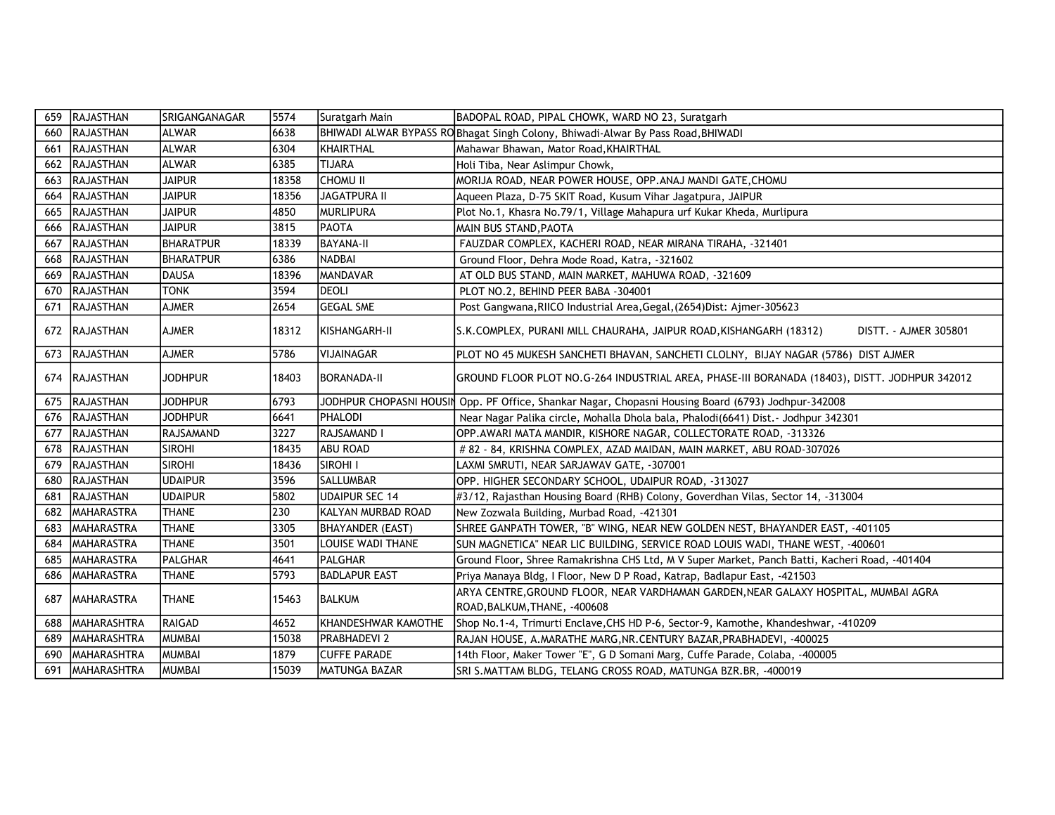| 659 | RAJASTHAN          | SRIGANGANAGAR    | 5574  | Suratgarh Main          | BADOPAL ROAD, PIPAL CHOWK, WARD NO 23, Suratgarh                                                                    |
|-----|--------------------|------------------|-------|-------------------------|---------------------------------------------------------------------------------------------------------------------|
| 660 | RAJASTHAN          | <b>ALWAR</b>     | 6638  |                         | BHIWADI ALWAR BYPASS ROBhagat Singh Colony, Bhiwadi-Alwar By Pass Road, BHIWADI                                     |
| 661 | RAJASTHAN          | <b>ALWAR</b>     | 6304  | KHAIRTHAL               | Mahawar Bhawan, Mator Road, KHAIRTHAL                                                                               |
| 662 | RAJASTHAN          | ALWAR            | 6385  | <b>TIJARA</b>           | Holi Tiba, Near Aslimpur Chowk,                                                                                     |
| 663 | <b>RAJASTHAN</b>   | <b>JAIPUR</b>    | 18358 | Існоми ії               | MORIJA ROAD, NEAR POWER HOUSE, OPP. ANAJ MANDI GATE, CHOMU                                                          |
| 664 | RAJASTHAN          | <b>JAIPUR</b>    | 18356 | <b>JAGATPURA II</b>     | Aqueen Plaza, D-75 SKIT Road, Kusum Vihar Jagatpura, JAIPUR                                                         |
| 665 | <b>RAJASTHAN</b>   | <b>JAIPUR</b>    | 4850  | <i><b>MURLIPURA</b></i> | Plot No.1, Khasra No.79/1, Village Mahapura urf Kukar Kheda, Murlipura                                              |
| 666 | RAJASTHAN          | <b>JAIPUR</b>    | 3815  | PAOTA                   | MAIN BUS STAND, PAOTA                                                                                               |
| 667 | RAJASTHAN          | <b>BHARATPUR</b> | 18339 | <b>BAYANA-II</b>        | FAUZDAR COMPLEX, KACHERI ROAD, NEAR MIRANA TIRAHA, -321401                                                          |
| 668 | RAJASTHAN          | <b>BHARATPUR</b> | 6386  | NADBAI                  | Ground Floor, Dehra Mode Road, Katra, -321602                                                                       |
| 669 | RAJASTHAN          | <b>DAUSA</b>     | 18396 | <b>MANDAVAR</b>         | AT OLD BUS STAND, MAIN MARKET, MAHUWA ROAD, -321609                                                                 |
| 670 | <b>RAJASTHAN</b>   | <b>TONK</b>      | 3594  | <b>I</b> DEOLI          | PLOT NO.2, BEHIND PEER BABA -304001                                                                                 |
| 671 | <b>RAJASTHAN</b>   | <b>AJMER</b>     | 2654  | <b>GEGAL SME</b>        | Post Gangwana, RIICO Industrial Area, Gegal, (2654) Dist: Ajmer-305623                                              |
| 672 | RAJASTHAN          | <b>AJMER</b>     | 18312 | KISHANGARH-II           | DISTT. - AJMER 305801<br>S.K.COMPLEX, PURANI MILL CHAURAHA, JAIPUR ROAD, KISHANGARH (18312)                         |
| 673 | RAJASTHAN          | <b>AJMER</b>     | 5786  | VIJAINAGAR              | PLOT NO 45 MUKESH SANCHETI BHAVAN, SANCHETI CLOLNY, BIJAY NAGAR (5786) DIST AJMER                                   |
|     | 674 RAJASTHAN      | <b>JODHPUR</b>   | 18403 | IBORANADA-II            | GROUND FLOOR PLOT NO.G-264 INDUSTRIAL AREA, PHASE-III BORANADA (18403), DISTT. JODHPUR 342012                       |
| 675 | RAJASTHAN          | <b>JODHPUR</b>   | 6793  |                         | JODHPUR CHOPASNI HOUSIN Opp. PF Office, Shankar Nagar, Chopasni Housing Board (6793) Jodhpur-342008                 |
| 676 | <b>RAJASTHAN</b>   | <b>JODHPUR</b>   | 6641  | <b>PHALODI</b>          | Near Nagar Palika circle, Mohalla Dhola bala, Phalodi(6641) Dist. - Jodhpur 342301                                  |
| 677 | RAJASTHAN          | RAJSAMAND        | 3227  | RAJSAMAND I             | OPP.AWARI MATA MANDIR, KISHORE NAGAR, COLLECTORATE ROAD, -313326                                                    |
| 678 | RAJASTHAN          | <b>SIROHI</b>    | 18435 | ABU ROAD                | # 82 - 84, KRISHNA COMPLEX, AZAD MAIDAN, MAIN MARKET, ABU ROAD-307026                                               |
| 679 | RAJASTHAN          | <b>SIROHI</b>    | 18436 | SIROHI I                | LAXMI SMRUTI, NEAR SARJAWAV GATE, -307001                                                                           |
| 680 | RAJASTHAN          | <b>UDAIPUR</b>   | 3596  | <b>SALLUMBAR</b>        | OPP. HIGHER SECONDARY SCHOOL, UDAIPUR ROAD, -313027                                                                 |
| 681 | <b>RAJASTHAN</b>   | <b>UDAIPUR</b>   | 5802  | UDAIPUR SEC 14          | #3/12, Rajasthan Housing Board (RHB) Colony, Goverdhan Vilas, Sector 14, -313004                                    |
| 682 | <b>MAHARASTRA</b>  | <b>THANE</b>     | 230   | KALYAN MURBAD ROAD      | New Zozwala Building, Murbad Road, -421301                                                                          |
| 683 | <b>MAHARASTRA</b>  | <b>THANE</b>     | 3305  | BHAYANDER (EAST)        | SHREE GANPATH TOWER, "B" WING, NEAR NEW GOLDEN NEST, BHAYANDER EAST, -401105                                        |
| 684 | MAHARASTRA         | <b>THANE</b>     | 3501  | LOUISE WADI THANE       | SUN MAGNETICA" NEAR LIC BUILDING, SERVICE ROAD LOUIS WADI, THANE WEST, -400601                                      |
| 685 | MAHARASTRA         | PALGHAR          | 4641  | PALGHAR                 | Ground Floor, Shree Ramakrishna CHS Ltd, M V Super Market, Panch Batti, Kacheri Road, -401404                       |
| 686 | MAHARASTRA         | <b>THANE</b>     | 5793  | <b>BADLAPUR EAST</b>    | Priya Manaya Bldg, I Floor, New D P Road, Katrap, Badlapur East, -421503                                            |
| 687 | <b>MAHARASTRA</b>  | <b>THANE</b>     | 15463 | BALKUM                  | ARYA CENTRE, GROUND FLOOR, NEAR VARDHAMAN GARDEN, NEAR GALAXY HOSPITAL, MUMBAI AGRA<br>ROAD, BALKUM, THANE, -400608 |
| 688 | MAHARASHTRA        | <b>RAIGAD</b>    | 4652  | KHANDESHWAR KAMOTHE     | Shop No.1-4, Trimurti Enclave, CHS HD P-6, Sector-9, Kamothe, Khandeshwar, -410209                                  |
| 689 | <b>MAHARASHTRA</b> | <b>MUMBAI</b>    | 15038 | <b>PRABHADEVI 2</b>     | RAJAN HOUSE, A.MARATHE MARG, NR. CENTURY BAZAR, PRABHADEVI, -400025                                                 |
| 690 | <b>MAHARASHTRA</b> | <b>MUMBAI</b>    | 1879  | <b>ICUFFE PARADE</b>    | 14th Floor, Maker Tower "E", G D Somani Marg, Cuffe Parade, Colaba, -400005                                         |
| 691 | MAHARASHTRA        | <b>MUMBAI</b>    | 15039 | <b>IMATUNGA BAZAR</b>   | SRI S.MATTAM BLDG, TELANG CROSS ROAD, MATUNGA BZR.BR, -400019                                                       |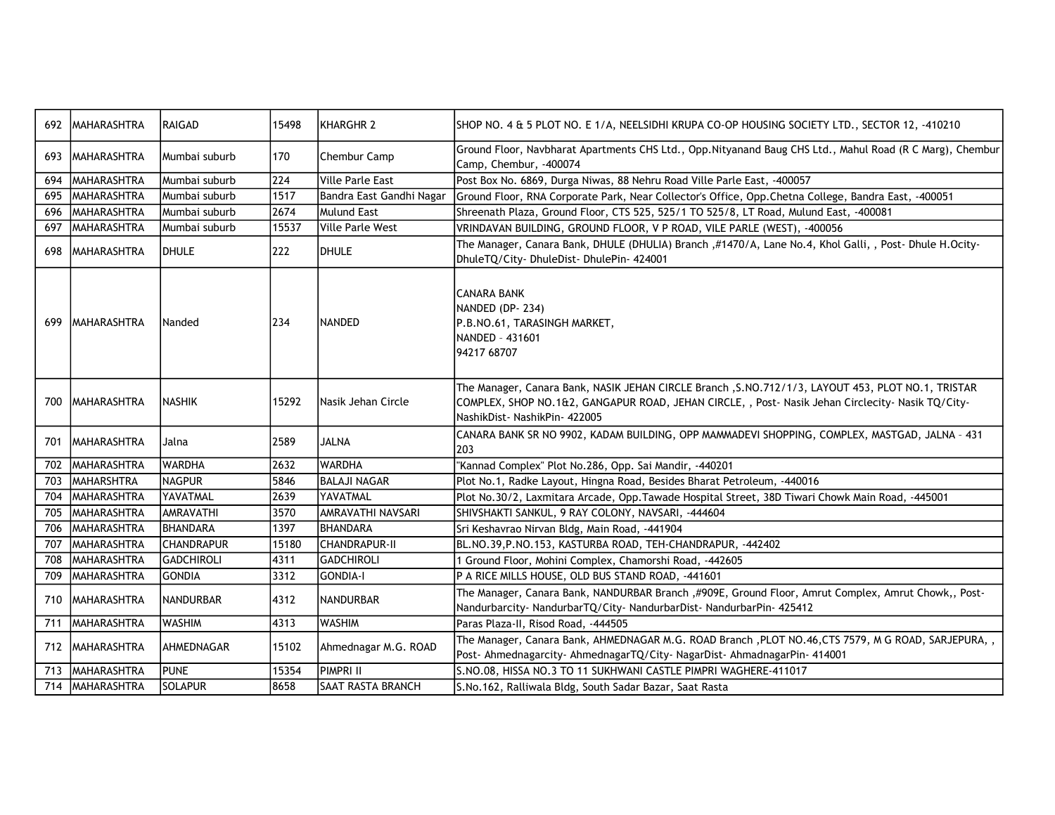| 692 | <b>MAHARASHTRA</b> | <b>RAIGAD</b>     | 15498 | KHARGHR 2                | SHOP NO. 4 & 5 PLOT NO. E 1/A, NEELSIDHI KRUPA CO-OP HOUSING SOCIETY LTD., SECTOR 12, -410210                                                                                                                                            |
|-----|--------------------|-------------------|-------|--------------------------|------------------------------------------------------------------------------------------------------------------------------------------------------------------------------------------------------------------------------------------|
| 693 | <b>MAHARASHTRA</b> | Mumbai suburb     | 170   | Chembur Camp             | Ground Floor, Navbharat Apartments CHS Ltd., Opp. Nityanand Baug CHS Ltd., Mahul Road (R C Marg), Chembur<br>Camp, Chembur, -400074                                                                                                      |
| 694 | <b>MAHARASHTRA</b> | Mumbai suburb     | 224   | Ville Parle East         | Post Box No. 6869, Durga Niwas, 88 Nehru Road Ville Parle East, -400057                                                                                                                                                                  |
| 695 | <b>MAHARASHTRA</b> | Mumbai suburb     | 1517  | Bandra East Gandhi Nagar | Ground Floor, RNA Corporate Park, Near Collector's Office, Opp.Chetna College, Bandra East, -400051                                                                                                                                      |
| 696 | <b>MAHARASHTRA</b> | Mumbai suburb     | 2674  | Mulund East              | Shreenath Plaza, Ground Floor, CTS 525, 525/1 TO 525/8, LT Road, Mulund East, -400081                                                                                                                                                    |
| 697 | <b>MAHARASHTRA</b> | Mumbai suburb     | 15537 | Ville Parle West         | VRINDAVAN BUILDING, GROUND FLOOR, V P ROAD, VILE PARLE (WEST), -400056                                                                                                                                                                   |
| 698 | <b>MAHARASHTRA</b> | <b>DHULE</b>      | 222   | <b>I</b> DHULE           | The Manager, Canara Bank, DHULE (DHULIA) Branch, #1470/A, Lane No.4, Khol Galli, , Post- Dhule H.Ocity-<br>DhuleTQ/City-DhuleDist-DhulePin-424001                                                                                        |
| 699 | IMAHARASHTRA       | Nanded            | 234   | NANDED                   | ICANARA BANK<br>NANDED (DP-234)<br>P.B.NO.61, TARASINGH MARKET,<br>INANDED - 431601<br>94217 68707                                                                                                                                       |
| 700 | <b>MAHARASHTRA</b> | <b>NASHIK</b>     | 15292 | Nasik Jehan Circle       | The Manager, Canara Bank, NASIK JEHAN CIRCLE Branch , S.NO.712/1/3, LAYOUT 453, PLOT NO.1, TRISTAR<br>COMPLEX, SHOP NO.1&2, GANGAPUR ROAD, JEHAN CIRCLE, , Post- Nasik Jehan Circlecity- Nasik TQ/City-<br>NashikDist- NashikPin- 422005 |
| 701 | IMAHARASHTRA       | Jalna             | 2589  | IJALNA                   | CANARA BANK SR NO 9902, KADAM BUILDING, OPP MAMMADEVI SHOPPING, COMPLEX, MASTGAD, JALNA - 431<br>203                                                                                                                                     |
| 702 | <b>MAHARASHTRA</b> | <b>WARDHA</b>     | 2632  | <b>WARDHA</b>            | "Kannad Complex" Plot No.286, Opp. Sai Mandir, -440201                                                                                                                                                                                   |
| 703 | Imaharshtra        | <b>NAGPUR</b>     | 5846  | <b>BALAJI NAGAR</b>      | Plot No.1, Radke Layout, Hingna Road, Besides Bharat Petroleum, -440016                                                                                                                                                                  |
| 704 | Imaharashtra       | YAVATMAL          | 2639  | IYAVATMAL                | Plot No.30/2, Laxmitara Arcade, Opp.Tawade Hospital Street, 38D Tiwari Chowk Main Road, -445001                                                                                                                                          |
| 705 | Imaharashtra       | <b>AMRAVATHI</b>  | 3570  | AMRAVATHI NAVSARI        | SHIVSHAKTI SANKUL, 9 RAY COLONY, NAVSARI, -444604                                                                                                                                                                                        |
| 706 | IMAHARASHTRA       | <b>BHANDARA</b>   | 1397  | <b>BHANDARA</b>          | Sri Keshavrao Nirvan Bldg, Main Road, -441904                                                                                                                                                                                            |
| 707 | MAHARASHTRA        | <b>CHANDRAPUR</b> | 15180 | ICHANDRAPUR-II           | BL.NO.39, P.NO.153, KASTURBA ROAD, TEH-CHANDRAPUR, -442402                                                                                                                                                                               |
| 708 | <b>MAHARASHTRA</b> | <b>GADCHIROLI</b> | 4311  | <b>GADCHIROLI</b>        | 1 Ground Floor, Mohini Complex, Chamorshi Road, -442605                                                                                                                                                                                  |
| 709 | MAHARASHTRA        | <b>GONDIA</b>     | 3312  | <b>GONDIA-I</b>          | P A RICE MILLS HOUSE, OLD BUS STAND ROAD, -441601                                                                                                                                                                                        |
| 710 | MAHARASHTRA        | <b>NANDURBAR</b>  | 4312  | INANDURBAR               | The Manager, Canara Bank, NANDURBAR Branch ,#909E, Ground Floor, Amrut Complex, Amrut Chowk,, Post-<br>Nandurbarcity- NandurbarTQ/City- NandurbarDist- NandurbarPin- 425412                                                              |
| 711 | MAHARASHTRA        | <b>WASHIM</b>     | 4313  | <b>WASHIM</b>            | Paras Plaza-II, Risod Road, -444505                                                                                                                                                                                                      |
| 712 | <b>MAHARASHTRA</b> | AHMEDNAGAR        | 15102 | Ahmednagar M.G. ROAD     | The Manager, Canara Bank, AHMEDNAGAR M.G. ROAD Branch, PLOT NO.46, CTS 7579, M G ROAD, SARJEPURA,,<br>Post- Ahmednagarcity- AhmednagarTQ/City- NagarDist- AhmadnagarPin- 414001                                                          |
| 713 | <b>MAHARASHTRA</b> | <b>PUNE</b>       | 15354 | PIMPRI II                | S.NO.08, HISSA NO.3 TO 11 SUKHWANI CASTLE PIMPRI WAGHERE-411017                                                                                                                                                                          |
| 714 | MAHARASHTRA        | SOLAPUR           | 8658  | <b>SAAT RASTA BRANCH</b> | S.No.162, Ralliwala Bldg, South Sadar Bazar, Saat Rasta                                                                                                                                                                                  |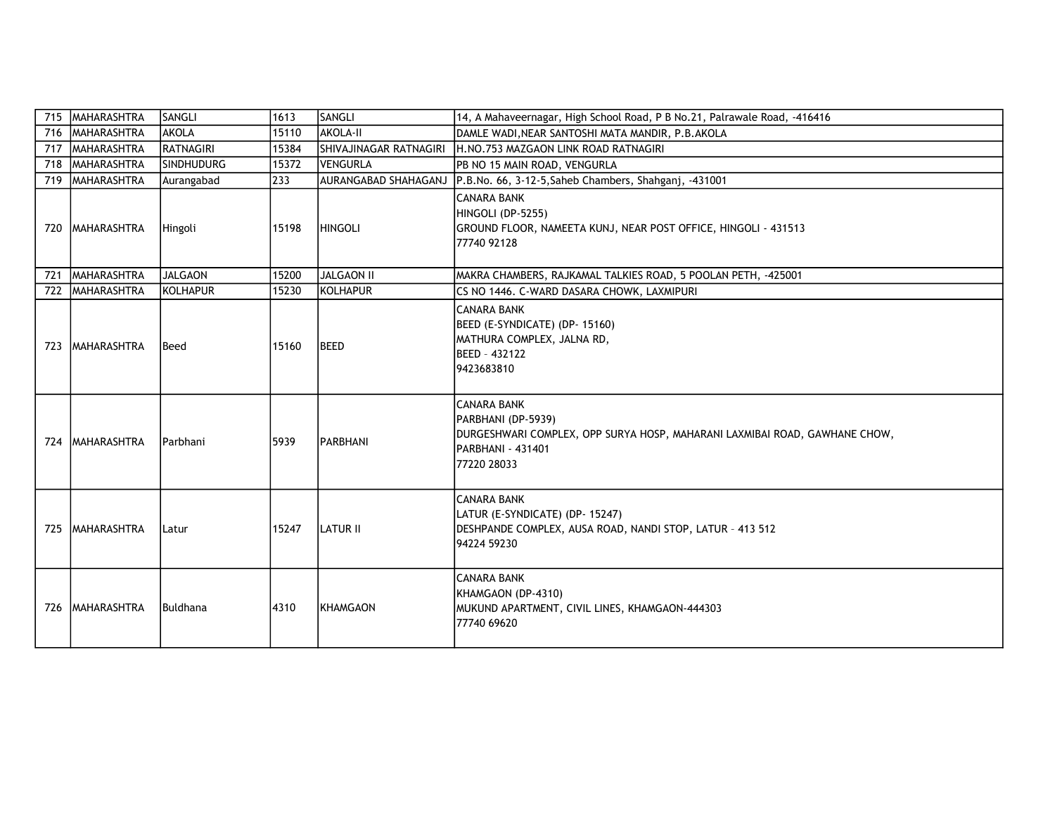| 715 | MAHARASHTRA        | SANGLI            | 1613  | SANGLI                 | 14, A Mahaveernagar, High School Road, P B No.21, Palrawale Road, -416416                                                                                  |
|-----|--------------------|-------------------|-------|------------------------|------------------------------------------------------------------------------------------------------------------------------------------------------------|
|     | 716 MAHARASHTRA    | <b>AKOLA</b>      | 15110 | <b>AKOLA-II</b>        | DAMLE WADI, NEAR SANTOSHI MATA MANDIR, P.B.AKOLA                                                                                                           |
|     | 717   MAHARASHTRA  | <b>RATNAGIRI</b>  | 15384 | SHIVAJINAGAR RATNAGIRI | H.NO.753 MAZGAON LINK ROAD RATNAGIRI                                                                                                                       |
|     | 718 MAHARASHTRA    | <b>SINDHUDURG</b> | 15372 | <b>VENGURLA</b>        | PB NO 15 MAIN ROAD, VENGURLA                                                                                                                               |
|     | 719 MAHARASHTRA    | Aurangabad        | 233   |                        | AURANGABAD SHAHAGANJ P.B.No. 66, 3-12-5, Saheb Chambers, Shahganj, -431001                                                                                 |
|     | 720   MAHARASHTRA  | Hingoli           | 15198 | <b>HINGOLI</b>         | <b>CANARA BANK</b><br>HINGOLI (DP-5255)<br>GROUND FLOOR, NAMEETA KUNJ, NEAR POST OFFICE, HINGOLI - 431513<br>77740 92128                                   |
| 721 | MAHARASHTRA        | <b>JALGAON</b>    | 15200 | JALGAON II             | MAKRA CHAMBERS, RAJKAMAL TALKIES ROAD, 5 POOLAN PETH, -425001                                                                                              |
| 722 | <b>MAHARASHTRA</b> | KOLHAPUR          | 15230 | <b>KOLHAPUR</b>        | CS NO 1446. C-WARD DASARA CHOWK, LAXMIPURI                                                                                                                 |
| 723 | <b>MAHARASHTRA</b> | Beed              | 15160 | <b>BEED</b>            | <b>CANARA BANK</b><br>BEED (E-SYNDICATE) (DP- 15160)<br>MATHURA COMPLEX, JALNA RD,<br>BEED - 432122<br>9423683810                                          |
| 724 | <b>MAHARASHTRA</b> | Parbhani          | 5939  | <b>PARBHANI</b>        | <b>CANARA BANK</b><br>PARBHANI (DP-5939)<br>DURGESHWARI COMPLEX, OPP SURYA HOSP, MAHARANI LAXMIBAI ROAD, GAWHANE CHOW,<br>PARBHANI - 431401<br>77220 28033 |
| 725 | <b>MAHARASHTRA</b> | Latur             | 15247 | LATUR II               | <b>CANARA BANK</b><br>LATUR (E-SYNDICATE) (DP- 15247)<br>DESHPANDE COMPLEX, AUSA ROAD, NANDI STOP, LATUR - 413 512<br>94224 59230                          |
|     | 726 MAHARASHTRA    | Buldhana          | 4310  | <b>KHAMGAON</b>        | <b>CANARA BANK</b><br>KHAMGAON (DP-4310)<br>MUKUND APARTMENT, CIVIL LINES, KHAMGAON-444303<br>77740 69620                                                  |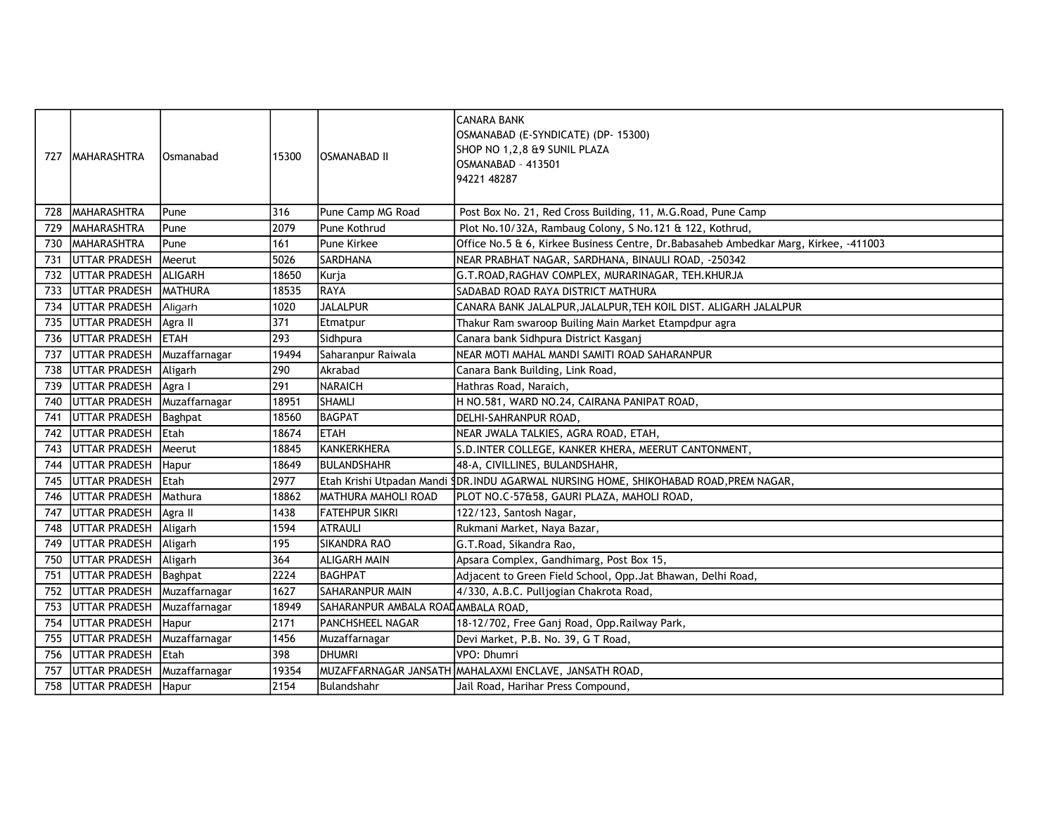| 727 | <b>MAHARASHTRA</b>   | Osmanabad      | 15300 | IOSMANABAD II                      | CANARA BANK<br>OSMANABAD (E-SYNDICATE) (DP- 15300)<br>SHOP NO 1,2,8 &9 SUNIL PLAZA<br>OSMANABAD - 413501<br>94221 48287 |
|-----|----------------------|----------------|-------|------------------------------------|-------------------------------------------------------------------------------------------------------------------------|
| 728 | MAHARASHTRA          | Pune           | 316   | Pune Camp MG Road                  | Post Box No. 21, Red Cross Building, 11, M.G.Road, Pune Camp                                                            |
| 729 | <b>MAHARASHTRA</b>   | Pune           | 12079 | lPune Kothrud                      | Plot No.10/32A, Rambaug Colony, S No.121 & 122, Kothrud,                                                                |
| 730 | MAHARASHTRA          | Pune           | 161   | Pune Kirkee                        | Office No.5 & 6, Kirkee Business Centre, Dr. Babasaheb Ambedkar Marg, Kirkee, -411003                                   |
| 731 | <b>UTTAR PRADESH</b> | Meerut         | 5026  | <b>SARDHANA</b>                    | NEAR PRABHAT NAGAR, SARDHANA, BINAULI ROAD, -250342                                                                     |
| 732 | UTTAR PRADESH        | ALIGARH        | 18650 | Kurja                              | G.T.ROAD, RAGHAV COMPLEX, MURARINAGAR, TEH.KHURJA                                                                       |
| 733 | <b>UTTAR PRADESH</b> | <b>MATHURA</b> | 18535 | RAYA                               | SADABAD ROAD RAYA DISTRICT MATHURA                                                                                      |
| 734 | <b>UTTAR PRADESH</b> | Aligarh        | 1020  | <b>JALALPUR</b>                    | CANARA BANK JALALPUR, JALALPUR, TEH KOIL DIST. ALIGARH JALALPUR                                                         |
| 735 | <b>UTTAR PRADESH</b> | Agra II        | 371   | Etmatpur                           | Thakur Ram swaroop Builing Main Market Etampdpur agra                                                                   |
| 736 | <b>UTTAR PRADESH</b> | <b>ETAH</b>    | 293   | Sidhpura                           | Canara bank Sidhpura District Kasganj                                                                                   |
| 737 | <b>UTTAR PRADESH</b> | Muzaffarnagar  | 19494 | Saharanpur Raiwala                 | NEAR MOTI MAHAL MANDI SAMITI ROAD SAHARANPUR                                                                            |
| 738 | <b>UTTAR PRADESH</b> | Aligarh        | 290   | Akrabad                            | Canara Bank Building, Link Road,                                                                                        |
| 739 | <b>UTTAR PRADESH</b> | Agra I         | 291   | <b>NARAICH</b>                     | Hathras Road, Naraich,                                                                                                  |
| 740 | <b>UTTAR PRADESH</b> | Muzaffarnagar  | 18951 | İSHAMLI                            | H NO.581, WARD NO.24, CAIRANA PANIPAT ROAD,                                                                             |
| 741 | <b>UTTAR PRADESH</b> | Baghpat        | 18560 | BAGPAT                             | DELHI-SAHRANPUR ROAD,                                                                                                   |
| 742 | <b>UTTAR PRADESH</b> | Etah           | 18674 | <b>ETAH</b>                        | NEAR JWALA TALKIES, AGRA ROAD, ETAH,                                                                                    |
| 743 | <b>UTTAR PRADESH</b> | Meerut         | 18845 | KANKERKHERA                        | S.D. INTER COLLEGE, KANKER KHERA, MEERUT CANTONMENT,                                                                    |
| 744 | <b>UTTAR PRADESH</b> | Hapur          | 18649 | BULANDSHAHR                        | 48-A, CIVILLINES, BULANDSHAHR,                                                                                          |
| 745 | <b>UTTAR PRADESH</b> | Etah           | 2977  |                                    | Etah Krishi Utpadan Mandi SDR.INDU AGARWAL NURSING HOME, SHIKOHABAD ROAD, PREM NAGAR,                                   |
| 746 | <b>UTTAR PRADESH</b> | Mathura        | 18862 | MATHURA MAHOLI ROAD                | PLOT NO.C-57&58, GAURI PLAZA, MAHOLI ROAD,                                                                              |
| 747 | <b>UTTAR PRADESH</b> | Agra II        | 1438  | <b>FATEHPUR SIKRI</b>              | 122/123, Santosh Nagar,                                                                                                 |
| 748 | UTTAR PRADESH        | Aligarh        | 1594  | <b>ATRAULI</b>                     | Rukmani Market, Naya Bazar,                                                                                             |
| 749 | <b>UTTAR PRADESH</b> | Aligarh        | 195   | <b>SIKANDRA RAO</b>                | G.T.Road, Sikandra Rao,                                                                                                 |
| 750 | <b>UTTAR PRADESH</b> | Aligarh        | 364   | <b>ALIGARH MAIN</b>                | Apsara Complex, Gandhimarg, Post Box 15,                                                                                |
| 751 | <b>UTTAR PRADESH</b> | Baghpat        | 2224  | <b>BAGHPAT</b>                     | Adjacent to Green Field School, Opp.Jat Bhawan, Delhi Road,                                                             |
| 752 | <b>UTTAR PRADESH</b> | Muzaffarnagar  | 1627  | SAHARANPUR MAIN                    | 4/330, A.B.C. Pulljogian Chakrota Road,                                                                                 |
| 753 | <b>UTTAR PRADESH</b> | Muzaffarnagar  | 18949 | SAHARANPUR AMBALA ROADAMBALA ROAD, |                                                                                                                         |
| 754 | <b>UTTAR PRADESH</b> | Hapur          | 2171  | <b>PANCHSHEEL NAGAR</b>            | 18-12/702, Free Ganj Road, Opp. Railway Park,                                                                           |
| 755 | UTTAR PRADESH        | Muzaffarnagar  | 1456  | Muzaffarnagar                      | Devi Market, P.B. No. 39, G T Road,                                                                                     |
| 756 | <b>UTTAR PRADESH</b> | Etah           | 398   | <b>DHUMRI</b>                      | VPO: Dhumri                                                                                                             |
| 757 | UTTAR PRADESH        | Muzaffarnagar  | 19354 |                                    | MUZAFFARNAGAR JANSATH MAHALAXMI ENCLAVE, JANSATH ROAD,                                                                  |
| 758 | <b>UTTAR PRADESH</b> | Hapur          | 2154  | Bulandshahr                        | Jail Road, Harihar Press Compound,                                                                                      |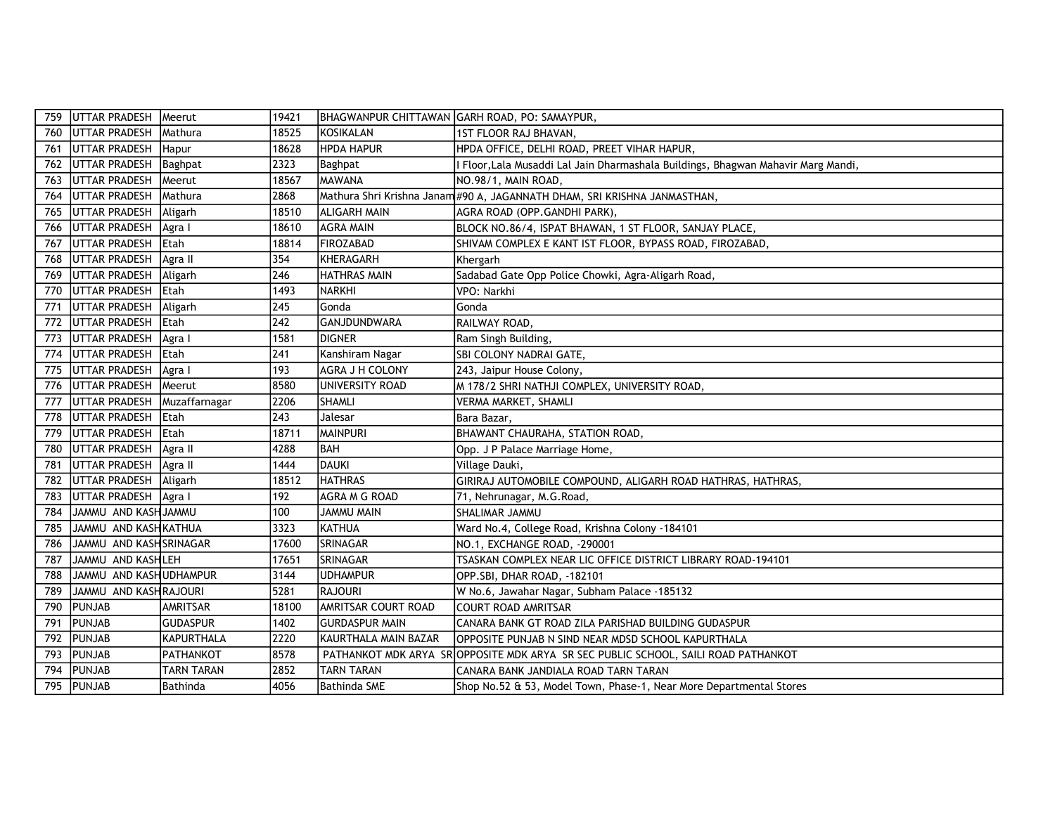| 759 | UTTAR PRADESH          | Meerut            | 19421 |                            | BHAGWANPUR CHITTAWAN GARH ROAD, PO: SAMAYPUR,                                     |
|-----|------------------------|-------------------|-------|----------------------------|-----------------------------------------------------------------------------------|
| 760 | <b>UTTAR PRADESH</b>   | Mathura           | 18525 | KOSIKALAN                  | 1ST FLOOR RAJ BHAVAN,                                                             |
| 761 | <b>UTTAR PRADESH</b>   | Hapur             | 18628 | <b>HPDA HAPUR</b>          | HPDA OFFICE, DELHI ROAD, PREET VIHAR HAPUR,                                       |
| 762 | <b>UTTAR PRADESH</b>   | Baghpat           | 2323  | Baghpat                    | Floor, Lala Musaddi Lal Jain Dharmashala Buildings, Bhagwan Mahavir Marg Mandi,   |
| 763 | UTTAR PRADESH          | Meerut            | 18567 | <b>MAWANA</b>              | NO.98/1, MAIN ROAD,                                                               |
| 764 | UTTAR PRADESH          | Mathura           | 2868  |                            | Mathura Shri Krishna Janam #90 A, JAGANNATH DHAM, SRI KRISHNA JANMASTHAN,         |
| 765 | UTTAR PRADESH          | Aligarh           | 18510 | ALIGARH MAIN               | AGRA ROAD (OPP.GANDHI PARK),                                                      |
| 766 | UTTAR PRADESH          | Agra I            | 18610 | <b>AGRA MAIN</b>           | BLOCK NO.86/4, ISPAT BHAWAN, 1 ST FLOOR, SANJAY PLACE,                            |
| 767 | UTTAR PRADESH          | Etah              | 18814 | FIROZABAD                  | SHIVAM COMPLEX E KANT IST FLOOR, BYPASS ROAD, FIROZABAD,                          |
| 768 | UTTAR PRADESH          | Agra II           | 354   | <b>KHERAGARH</b>           | Khergarh                                                                          |
| 769 | UTTAR PRADESH          | Aligarh           | 246   | <b>HATHRAS MAIN</b>        | Sadabad Gate Opp Police Chowki, Agra-Aligarh Road,                                |
| 770 | <b>UTTAR PRADESH</b>   | <b>Etah</b>       | 1493  | <b>NARKHI</b>              | VPO: Narkhi                                                                       |
| 771 | UTTAR PRADESH          | Aligarh           | 245   | Gonda                      | Gonda                                                                             |
| 772 | UTTAR PRADESH          | <b>IEtah</b>      | 242   | <b>GANJDUNDWARA</b>        | RAILWAY ROAD,                                                                     |
| 773 | <b>UTTAR PRADESH</b>   | Agra I            | 1581  | DIGNER                     | Ram Singh Building,                                                               |
| 774 | <b>UTTAR PRADESH</b>   | <b>IEtah</b>      | 241   | Kanshiram Nagar            | SBI COLONY NADRAI GATE,                                                           |
| 775 | <b>UTTAR PRADESH</b>   | Agra I            | 193   | AGRA J H COLONY            | 243, Jaipur House Colony,                                                         |
| 776 | <b>UTTAR PRADESH</b>   | Meerut            | 8580  | UNIVERSITY ROAD            | M 178/2 SHRI NATHJI COMPLEX, UNIVERSITY ROAD,                                     |
| 777 | UTTAR PRADESH          | Muzaffarnagar     | 2206  | SHAMLI                     | VERMA MARKET, SHAMLI                                                              |
| 778 | <b>UTTAR PRADESH</b>   | <b>IEtah</b>      | 243   | Jalesar                    | Bara Bazar,                                                                       |
| 779 | <b>UTTAR PRADESH</b>   | <b>IEtah</b>      | 18711 | MAINPURI                   | BHAWANT CHAURAHA, STATION ROAD,                                                   |
| 780 | <b>UTTAR PRADESH</b>   | Agra II           | 4288  | lbah                       | Opp. J P Palace Marriage Home,                                                    |
| 781 | <b>UTTAR PRADESH</b>   | Agra II           | 1444  | DAUKI                      | Village Dauki,                                                                    |
| 782 | UTTAR PRADESH          | Aligarh           | 18512 | <b>HATHRAS</b>             | GIRIRAJ AUTOMOBILE COMPOUND, ALIGARH ROAD HATHRAS, HATHRAS,                       |
| 783 | UTTAR PRADESH          | Agra I            | 192   | <b>AGRA M G ROAD</b>       | 71, Nehrunagar, M.G.Road,                                                         |
| 784 | JAMMU AND KASH JAMMU   |                   | 100   | <b>JAMMU MAIN</b>          | SHALIMAR JAMMU                                                                    |
| 785 | JAMMU AND KASH KATHUA  |                   | 3323  | KATHUA                     | Ward No.4, College Road, Krishna Colony -184101                                   |
| 786 | JAMMU AND KASHSRINAGAR |                   | 17600 | SRINAGAR                   | NO.1, EXCHANGE ROAD, -290001                                                      |
| 787 | JAMMU AND KASHLEH      |                   | 17651 | <b>SRINAGAR</b>            | TSASKAN COMPLEX NEAR LIC OFFICE DISTRICT LIBRARY ROAD-194101                      |
| 788 | JAMMU AND KASHUDHAMPUR |                   | 3144  | <b>UDHAMPUR</b>            | OPP.SBI, DHAR ROAD, -182101                                                       |
| 789 | JAMMU AND KASHRAJOURI  |                   | 5281  | RAJOURI                    | W No.6, Jawahar Nagar, Subham Palace -185132                                      |
| 790 | PUNJAB                 | AMRITSAR          | 18100 | <b>AMRITSAR COURT ROAD</b> | <b>COURT ROAD AMRITSAR</b>                                                        |
| 791 | PUNJAB                 | <b>GUDASPUR</b>   | 1402  | <b>GURDASPUR MAIN</b>      | CANARA BANK GT ROAD ZILA PARISHAD BUILDING GUDASPUR                               |
| 792 | PUNJAB                 | KAPURTHALA        | 2220  | KAURTHALA MAIN BAZAR       | OPPOSITE PUNJAB N SIND NEAR MDSD SCHOOL KAPURTHALA                                |
| 793 | PUNJAB                 | PATHANKOT         | 8578  |                            | PATHANKOT MDK ARYA SROPPOSITE MDK ARYA SR SEC PUBLIC SCHOOL, SAILI ROAD PATHANKOT |
| 794 | PUNJAB                 | <b>TARN TARAN</b> | 2852  | <b>TARN TARAN</b>          | CANARA BANK JANDIALA ROAD TARN TARAN                                              |
| 795 | PUNJAB                 | Bathinda          | 4056  | Bathinda SME               | Shop No.52 & 53, Model Town, Phase-1, Near More Departmental Stores               |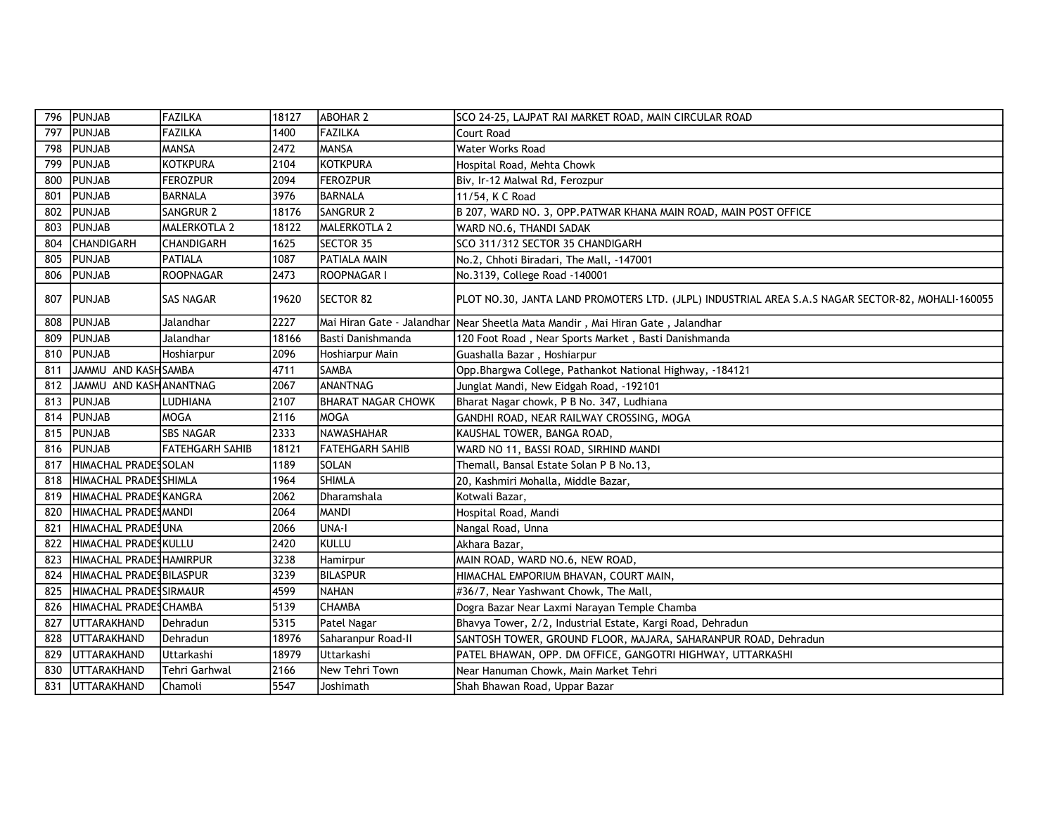| 796 | PUNJAB                  | FAZILKA                | 18127 | <b>ABOHAR 2</b>           | SCO 24-25, LAJPAT RAI MARKET ROAD, MAIN CIRCULAR ROAD                                             |
|-----|-------------------------|------------------------|-------|---------------------------|---------------------------------------------------------------------------------------------------|
| 797 | PUNJAB                  | FAZILKA                | 1400  | <b>FAZILKA</b>            | Court Road                                                                                        |
| 798 | PUNJAB                  | <b>MANSA</b>           | 2472  | <b>MANSA</b>              | <b>Water Works Road</b>                                                                           |
| 799 | <b>PUNJAB</b>           | <b>KOTKPURA</b>        | 2104  | KOTKPURA                  | Hospital Road, Mehta Chowk                                                                        |
| 800 | PUNJAB                  | <b>FEROZPUR</b>        | 2094  | <b>FEROZPUR</b>           | Biv, Ir-12 Malwal Rd, Ferozpur                                                                    |
| 801 | PUNJAB                  | <b>BARNALA</b>         | 3976  | BARNALA                   | 11/54, K C Road                                                                                   |
| 802 | PUNJAB                  | <b>SANGRUR 2</b>       | 18176 | SANGRUR <sub>2</sub>      | B 207, WARD NO. 3, OPP. PATWAR KHANA MAIN ROAD, MAIN POST OFFICE                                  |
| 803 | PUNJAB                  | <b>MALERKOTLA 2</b>    | 18122 | MALERKOTLA 2              | WARD NO.6, THANDI SADAK                                                                           |
| 804 | CHANDIGARH              | <b>CHANDIGARH</b>      | 1625  | SECTOR 35                 | SCO 311/312 SECTOR 35 CHANDIGARH                                                                  |
| 805 | <b>PUNJAB</b>           | PATIALA                | 1087  | <b>PATIALA MAIN</b>       | No.2, Chhoti Biradari, The Mall, -147001                                                          |
| 806 | PUNJAB                  | <b>ROOPNAGAR</b>       | 2473  | ROOPNAGAR I               | No.3139, College Road -140001                                                                     |
| 807 | PUNJAB                  | <b>SAS NAGAR</b>       | 19620 | <b>SECTOR 82</b>          | PLOT NO.30, JANTA LAND PROMOTERS LTD. (JLPL) INDUSTRIAL AREA S.A.S NAGAR SECTOR-82, MOHALI-160055 |
| 808 | PUNJAB                  | Jalandhar              | 2227  |                           | Mai Hiran Gate - Jalandhar Near Sheetla Mata Mandir , Mai Hiran Gate , Jalandhar                  |
| 809 | <b>PUNJAB</b>           | Jalandhar              | 18166 | lBasti Danishmanda        | 120 Foot Road, Near Sports Market, Basti Danishmanda                                              |
| 810 | PUNJAB                  | Hoshiarpur             | 2096  | Hoshiarpur Main           | Guashalla Bazar, Hoshiarpur                                                                       |
| 811 | JAMMU AND KASH SAMBA    |                        | 4711  | SAMBA                     | Opp. Bhargwa College, Pathankot National Highway, -184121                                         |
| 812 | JAMMU AND KASHANANTNAG  |                        | 2067  | <b>ANANTNAG</b>           | Junglat Mandi, New Eidgah Road, -192101                                                           |
| 813 | <b>PUNJAB</b>           | LUDHIANA               | 2107  | <b>BHARAT NAGAR CHOWK</b> | Bharat Nagar chowk, P B No. 347, Ludhiana                                                         |
| 814 | <b>PUNJAB</b>           | MOGA                   | 2116  | MOGA                      | GANDHI ROAD, NEAR RAILWAY CROSSING, MOGA                                                          |
| 815 | PUNJAB                  | <b>SBS NAGAR</b>       | 2333  | NAWASHAHAR                | KAUSHAL TOWER, BANGA ROAD,                                                                        |
| 816 | <b>PUNJAB</b>           | <b>FATEHGARH SAHIB</b> | 18121 | <b>FATEHGARH SAHIB</b>    | WARD NO 11, BASSI ROAD, SIRHIND MANDI                                                             |
| 817 | HIMACHAL PRADESSOLAN    |                        | 1189  | <b>SOLAN</b>              | Themall, Bansal Estate Solan P B No.13,                                                           |
| 818 | HIMACHAL PRADESSHIMLA   |                        | 1964  | <b>SHIMLA</b>             | 20, Kashmiri Mohalla, Middle Bazar,                                                               |
| 819 | HIMACHAL PRADESKANGRA   |                        | 2062  | Dharamshala               | Kotwali Bazar,                                                                                    |
| 820 | HIMACHAL PRADESMANDI    |                        | 2064  | <b>MANDI</b>              | Hospital Road, Mandi                                                                              |
| 821 | HIMACHAL PRADESUNA      |                        | 2066  | UNA-I                     | Nangal Road, Unna                                                                                 |
| 822 | HIMACHAL PRADESKULLU    |                        | 2420  | Ikullu                    | Akhara Bazar,                                                                                     |
| 823 | HIMACHAL PRADESHAMIRPUR |                        | 3238  | Hamirpur                  | MAIN ROAD, WARD NO.6, NEW ROAD,                                                                   |
| 824 | HIMACHAL PRADESBILASPUR |                        | 3239  | BILASPUR                  | HIMACHAL EMPORIUM BHAVAN, COURT MAIN,                                                             |
| 825 | HIMACHAL PRADESSIRMAUR  |                        | 4599  | INAHAN                    | #36/7, Near Yashwant Chowk, The Mall,                                                             |
| 826 | HIMACHAL PRADESCHAMBA   |                        | 5139  | <b>CHAMBA</b>             | Dogra Bazar Near Laxmi Narayan Temple Chamba                                                      |
| 827 | UTTARAKHAND             | Dehradun               | 5315  | Patel Nagar               | Bhavya Tower, 2/2, Industrial Estate, Kargi Road, Dehradun                                        |
| 828 | UTTARAKHAND             | Dehradun               | 18976 | Saharanpur Road-II        | SANTOSH TOWER, GROUND FLOOR, MAJARA, SAHARANPUR ROAD, Dehradun                                    |
| 829 | UTTARAKHAND             | Uttarkashi             | 18979 | Uttarkashi                | PATEL BHAWAN, OPP. DM OFFICE, GANGOTRI HIGHWAY, UTTARKASHI                                        |
| 830 | <b>UTTARAKHAND</b>      | Tehri Garhwal          | 2166  | New Tehri Town            | Near Hanuman Chowk, Main Market Tehri                                                             |
| 831 | <b>UTTARAKHAND</b>      | Chamoli                | 5547  | Joshimath                 | Shah Bhawan Road, Uppar Bazar                                                                     |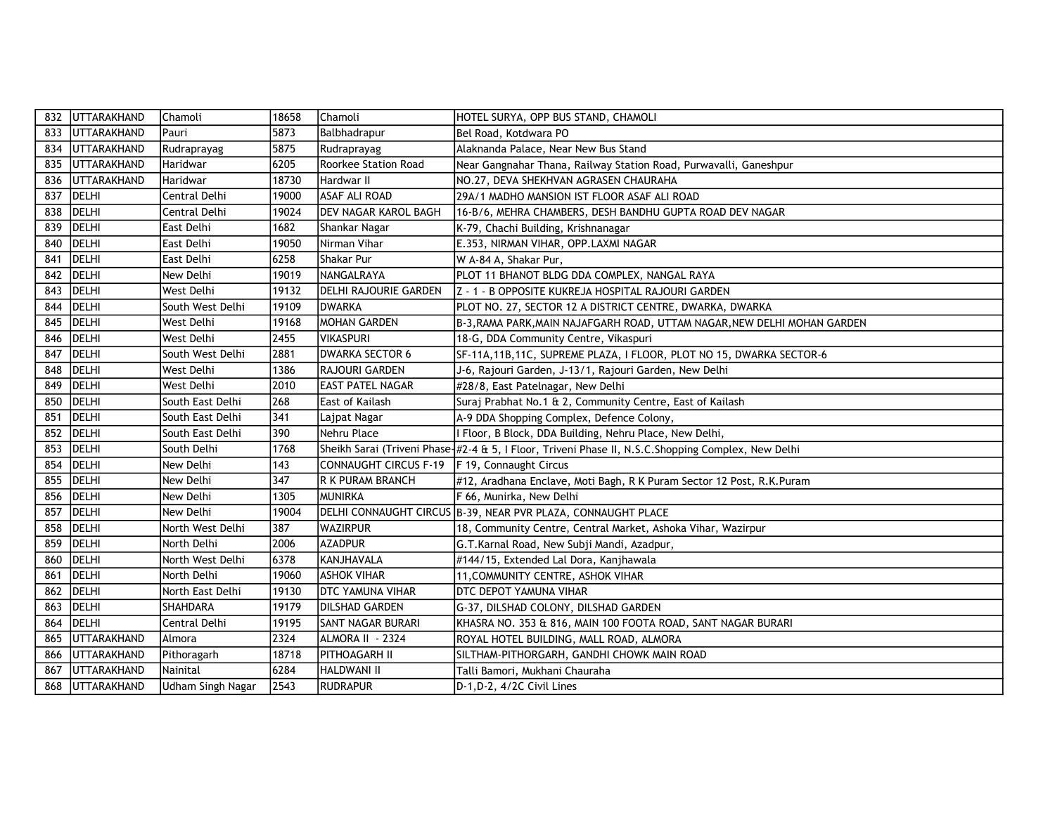| 832 | <b>UTTARAKHAND</b> | Chamoli           | 18658 | Chamoli                     | HOTEL SURYA, OPP BUS STAND, CHAMOLI                                                                |
|-----|--------------------|-------------------|-------|-----------------------------|----------------------------------------------------------------------------------------------------|
| 833 | UTTARAKHAND        | <b>Pauri</b>      | 5873  | Balbhadrapur                | Bel Road, Kotdwara PO                                                                              |
| 834 | UTTARAKHAND        | Rudraprayag       | 5875  | Rudraprayag                 | Alaknanda Palace, Near New Bus Stand                                                               |
| 835 | UTTARAKHAND        | Haridwar          | 6205  | <b>Roorkee Station Road</b> | Near Gangnahar Thana, Railway Station Road, Purwavalli, Ganeshpur                                  |
| 836 | UTTARAKHAND        | Haridwar          | 18730 | Hardwar II                  | NO.27, DEVA SHEKHVAN AGRASEN CHAURAHA                                                              |
| 837 | DELHI              | Central Delhi     | 19000 | <b>ASAF ALI ROAD</b>        | 29A/1 MADHO MANSION IST FLOOR ASAF ALI ROAD                                                        |
| 838 | DELHI              | Central Delhi     | 19024 | <b>DEV NAGAR KAROL BAGH</b> | 16-B/6, MEHRA CHAMBERS, DESH BANDHU GUPTA ROAD DEV NAGAR                                           |
| 839 | DELHI              | East Delhi        | 1682  | Shankar Nagar               | K-79, Chachi Building, Krishnanagar                                                                |
| 840 | DELHI              | East Delhi        | 19050 | Nirman Vihar                | E.353, NIRMAN VIHAR, OPP.LAXMI NAGAR                                                               |
| 841 | DELHI              | East Delhi        | 6258  | Shakar Pur                  | W A-84 A, Shakar Pur,                                                                              |
| 842 | DELHI              | New Delhi         | 19019 | NANGALRAYA                  | PLOT 11 BHANOT BLDG DDA COMPLEX, NANGAL RAYA                                                       |
| 843 | DELHI              | West Delhi        | 19132 | DELHI RAJOURIE GARDEN       | Z - 1 - B OPPOSITE KUKREJA HOSPITAL RAJOURI GARDEN                                                 |
| 844 | <b>DELHI</b>       | South West Delhi  | 19109 | IDWARKA                     | PLOT NO. 27, SECTOR 12 A DISTRICT CENTRE, DWARKA, DWARKA                                           |
| 845 | DELHI              | West Delhi        | 19168 | MOHAN GARDEN                | B-3, RAMA PARK, MAIN NAJAFGARH ROAD, UTTAM NAGAR, NEW DELHI MOHAN GARDEN                           |
| 846 | DELHI              | West Delhi        | 2455  | <b>VIKASPURI</b>            | 18-G, DDA Community Centre, Vikaspuri                                                              |
| 847 | DELHI              | South West Delhi  | 2881  | <b>DWARKA SECTOR 6</b>      | SF-11A, 11B, 11C, SUPREME PLAZA, I FLOOR, PLOT NO 15, DWARKA SECTOR-6                              |
| 848 | DELHI              | West Delhi        | 1386  | <b>RAJOURI GARDEN</b>       | J-6, Rajouri Garden, J-13/1, Rajouri Garden, New Delhi                                             |
| 849 | DELHI              | West Delhi        | 2010  | <b>EAST PATEL NAGAR</b>     | #28/8, East Patelnagar, New Delhi                                                                  |
| 850 | DELHI              | South East Delhi  | 268   | East of Kailash             | Suraj Prabhat No.1 & 2, Community Centre, East of Kailash                                          |
| 851 | DELHI              | South East Delhi  | 341   | Lajpat Nagar                | A-9 DDA Shopping Complex, Defence Colony,                                                          |
| 852 | <b>DELHI</b>       | South East Delhi  | 390   | Nehru Place                 | I Floor, B Block, DDA Building, Nehru Place, New Delhi,                                            |
| 853 | <b>IDELHI</b>      | South Delhi       | 1768  |                             | Sheikh Sarai (Triveni Phase-#2-4 & 5, I Floor, Triveni Phase II, N.S.C.Shopping Complex, New Delhi |
| 854 | DELHI              | New Delhi         | 143   | CONNAUGHT CIRCUS F-19       | F 19, Connaught Circus                                                                             |
| 855 | DELHI              | New Delhi         | 347   | R K PURAM BRANCH            | #12, Aradhana Enclave, Moti Bagh, R K Puram Sector 12 Post, R.K.Puram                              |
| 856 | DELHI              | New Delhi         | 1305  | Imunirka                    | F 66, Munirka, New Delhi                                                                           |
| 857 | DELHI              | New Delhi         | 19004 |                             | DELHI CONNAUGHT CIRCUS B-39, NEAR PVR PLAZA, CONNAUGHT PLACE                                       |
| 858 | DELHI              | North West Delhi  | 387   | <b>WAZIRPUR</b>             | 18, Community Centre, Central Market, Ashoka Vihar, Wazirpur                                       |
| 859 | DELHI              | North Delhi       | 2006  | <b>AZADPUR</b>              | G.T.Karnal Road, New Subji Mandi, Azadpur,                                                         |
| 860 | DELHI              | North West Delhi  | 6378  | KANJHAVALA                  | #144/15, Extended Lal Dora, Kanjhawala                                                             |
| 861 | DELHI              | North Delhi       | 19060 | <b>ASHOK VIHAR</b>          | 11, COMMUNITY CENTRE, ASHOK VIHAR                                                                  |
| 862 | DELHI              | North East Delhi  | 19130 | <b>DTC YAMUNA VIHAR</b>     | DTC DEPOT YAMUNA VIHAR                                                                             |
| 863 | DELHI              | <b>SHAHDARA</b>   | 19179 | <b>DILSHAD GARDEN</b>       | G-37, DILSHAD COLONY, DILSHAD GARDEN                                                               |
| 864 | DELHI              | Central Delhi     | 19195 | <b>SANT NAGAR BURARI</b>    | KHASRA NO. 353 & 816, MAIN 100 FOOTA ROAD, SANT NAGAR BURARI                                       |
| 865 | <b>UTTARAKHAND</b> | Almora            | 2324  | ALMORA II - 2324            | ROYAL HOTEL BUILDING, MALL ROAD, ALMORA                                                            |
| 866 | UTTARAKHAND        | Pithoragarh       | 18718 | <b>PITHOAGARH II</b>        | SILTHAM-PITHORGARH, GANDHI CHOWK MAIN ROAD                                                         |
| 867 | <b>UTTARAKHAND</b> | lNainital         | 6284  | HALDWANI II                 | Talli Bamori, Mukhani Chauraha                                                                     |
| 868 | <b>UTTARAKHAND</b> | Udham Singh Nagar | 2543  | RUDRAPUR                    | D-1, D-2, 4/2C Civil Lines                                                                         |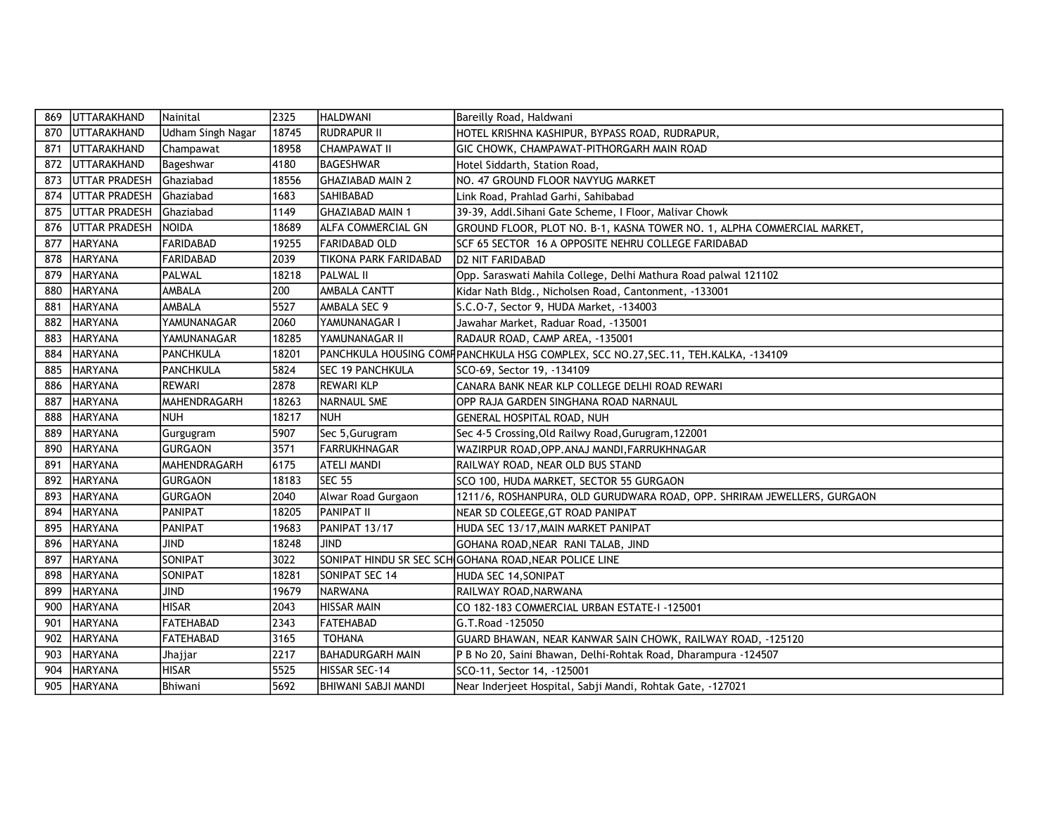| 869 | UTTARAKHAND          | Nainital                 | 2325  | <b>HALDWANI</b>            | Bareilly Road, Haldwani                                                             |
|-----|----------------------|--------------------------|-------|----------------------------|-------------------------------------------------------------------------------------|
| 870 | <b>UTTARAKHAND</b>   | <b>Udham Singh Nagar</b> | 18745 | <b>RUDRAPUR II</b>         | HOTEL KRISHNA KASHIPUR, BYPASS ROAD, RUDRAPUR,                                      |
| 871 | <b>UTTARAKHAND</b>   | Champawat                | 18958 | <b>CHAMPAWAT II</b>        | GIC CHOWK, CHAMPAWAT-PITHORGARH MAIN ROAD                                           |
| 872 | UTTARAKHAND          | Bageshwar                | 4180  | BAGESHWAR                  | Hotel Siddarth, Station Road,                                                       |
| 873 | <b>UTTAR PRADESH</b> | Ghaziabad                | 18556 | <b>GHAZIABAD MAIN 2</b>    | NO. 47 GROUND FLOOR NAVYUG MARKET                                                   |
| 874 | <b>UTTAR PRADESH</b> | Ghaziabad                | 1683  | <b>SAHIBABAD</b>           | Link Road, Prahlad Garhi, Sahibabad                                                 |
| 875 | UTTAR PRADESH        | Ghaziabad                | 1149  | <b>GHAZIABAD MAIN 1</b>    | 39-39, Addl. Sihani Gate Scheme, I Floor, Malivar Chowk                             |
| 876 | UTTAR PRADESH        | <b>NOIDA</b>             | 18689 | <b>ALFA COMMERCIAL GN</b>  | GROUND FLOOR, PLOT NO. B-1, KASNA TOWER NO. 1, ALPHA COMMERCIAL MARKET,             |
| 877 | <b>HARYANA</b>       | <b>FARIDABAD</b>         | 19255 | FARIDABAD OLD              | SCF 65 SECTOR 16 A OPPOSITE NEHRU COLLEGE FARIDABAD                                 |
| 878 | <b>HARYANA</b>       | <b>FARIDABAD</b>         | 2039  | TIKONA PARK FARIDABAD      | <b>D2 NIT FARIDABAD</b>                                                             |
| 879 | <b>HARYANA</b>       | PALWAL                   | 18218 | <b>PALWAL II</b>           | Opp. Saraswati Mahila College, Delhi Mathura Road palwal 121102                     |
| 880 | <b>HARYANA</b>       | AMBALA                   | 200   | AMBALA CANTT               | Kidar Nath Bldg., Nicholsen Road, Cantonment, -133001                               |
| 881 | <b>HARYANA</b>       | AMBALA                   | 5527  | AMBALA SEC 9               | S.C.O-7, Sector 9, HUDA Market, -134003                                             |
| 882 | <b>HARYANA</b>       | YAMUNANAGAR              | 2060  | YAMUNANAGAR I              | Jawahar Market, Raduar Road, -135001                                                |
| 883 | <b>HARYANA</b>       | YAMUNANAGAR              | 18285 | YAMUNANAGAR II             | RADAUR ROAD, CAMP AREA, -135001                                                     |
| 884 | <b>HARYANA</b>       | PANCHKULA                | 18201 |                            | PANCHKULA HOUSING COMF PANCHKULA HSG COMPLEX, SCC NO.27, SEC.11, TEH.KALKA, -134109 |
| 885 | <b>HARYANA</b>       | PANCHKULA                | 5824  | <b>SEC 19 PANCHKULA</b>    | SCO-69, Sector 19, -134109                                                          |
| 886 | <b>HARYANA</b>       | <b>REWARI</b>            | 2878  | <b>REWARI KLP</b>          | CANARA BANK NEAR KLP COLLEGE DELHI ROAD REWARI                                      |
| 887 | <b>HARYANA</b>       | MAHENDRAGARH             | 18263 | NARNAUL SME                | OPP RAJA GARDEN SINGHANA ROAD NARNAUL                                               |
| 888 | <b>HARYANA</b>       | <b>NUH</b>               | 18217 | <b>INUH</b>                | GENERAL HOSPITAL ROAD, NUH                                                          |
| 889 | <b>HARYANA</b>       | Gurgugram                | 5907  | Sec 5, Gurugram            | Sec 4-5 Crossing, Old Railwy Road, Gurugram, 122001                                 |
| 890 | <b>HARYANA</b>       | <b>GURGAON</b>           | 3571  | FARRUKHNAGAR               | WAZIRPUR ROAD, OPP. ANAJ MANDI, FARRUKHNAGAR                                        |
| 891 | <b>HARYANA</b>       | MAHENDRAGARH             | 6175  | <b>ATELI MANDI</b>         | RAILWAY ROAD, NEAR OLD BUS STAND                                                    |
| 892 | <b>HARYANA</b>       | <b>GURGAON</b>           | 18183 | <b>ISEC 55</b>             | SCO 100, HUDA MARKET, SECTOR 55 GURGAON                                             |
| 893 | <b>HARYANA</b>       | <b>GURGAON</b>           | 2040  | Alwar Road Gurgaon         | 1211/6, ROSHANPURA, OLD GURUDWARA ROAD, OPP. SHRIRAM JEWELLERS, GURGAON             |
| 894 | <b>HARYANA</b>       | PANIPAT                  | 18205 | <b>IPANIPAT II</b>         | NEAR SD COLEEGE, GT ROAD PANIPAT                                                    |
| 895 | <b>HARYANA</b>       | PANIPAT                  | 19683 | PANIPAT 13/17              | HUDA SEC 13/17, MAIN MARKET PANIPAT                                                 |
| 896 | HARYANA              | <b>JIND</b>              | 18248 | <b>JIND</b>                | GOHANA ROAD, NEAR RANI TALAB, JIND                                                  |
| 897 | <b>HARYANA</b>       | SONIPAT                  | 3022  |                            | SONIPAT HINDU SR SEC SCH GOHANA ROAD, NEAR POLICE LINE                              |
| 898 | <b>HARYANA</b>       | <b>SONIPAT</b>           | 18281 | SONIPAT SEC 14             | HUDA SEC 14, SONIPAT                                                                |
| 899 | <b>HARYANA</b>       | <b>JIND</b>              | 19679 | NARWANA                    | RAILWAY ROAD, NARWANA                                                               |
| 900 | <b>HARYANA</b>       | <b>HISAR</b>             | 2043  | <b>HISSAR MAIN</b>         | CO 182-183 COMMERCIAL URBAN ESTATE-I -125001                                        |
| 901 | <b>HARYANA</b>       | <b>FATEHABAD</b>         | 2343  | <b>FATEHABAD</b>           | G.T.Road -125050                                                                    |
| 902 | <b>HARYANA</b>       | <b>FATEHABAD</b>         | 3165  | <b>TOHANA</b>              | GUARD BHAWAN, NEAR KANWAR SAIN CHOWK, RAILWAY ROAD, -125120                         |
| 903 | <b>HARYANA</b>       | Jhajjar                  | 2217  | <b>BAHADURGARH MAIN</b>    | P B No 20, Saini Bhawan, Delhi-Rohtak Road, Dharampura -124507                      |
| 904 | <b>HARYANA</b>       | <b>HISAR</b>             | 5525  | HISSAR SEC-14              | SCO-11, Sector 14, -125001                                                          |
| 905 | <b>HARYANA</b>       | Bhiwani                  | 5692  | <b>BHIWANI SABJI MANDI</b> | Near Inderjeet Hospital, Sabji Mandi, Rohtak Gate, -127021                          |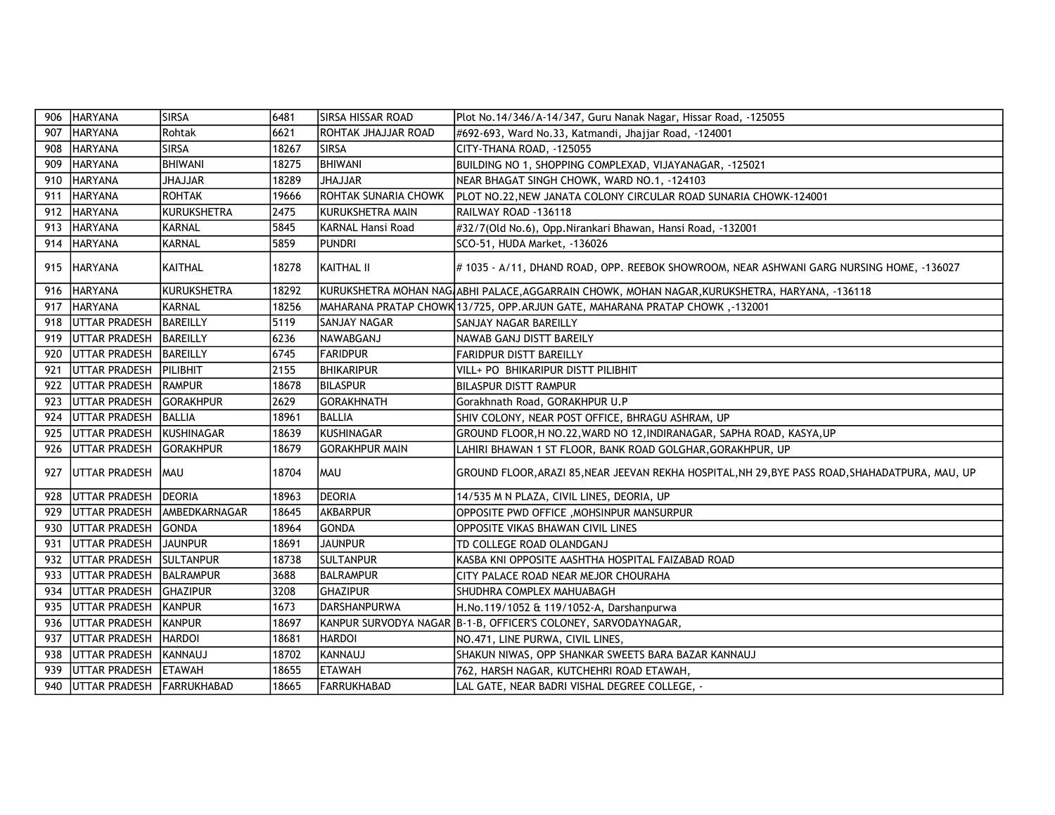| 906 | <b>HARYANA</b>            | <b>SIRSA</b>     | 6481  | <b>SIRSA HISSAR ROAD</b>    | Plot No.14/346/A-14/347, Guru Nanak Nagar, Hissar Road, -125055                                 |
|-----|---------------------------|------------------|-------|-----------------------------|-------------------------------------------------------------------------------------------------|
| 907 | <b>HARYANA</b>            | Rohtak           | 6621  | <b>ROHTAK JHAJJAR ROAD</b>  | #692-693, Ward No.33, Katmandi, Jhajjar Road, -124001                                           |
| 908 | <b>HARYANA</b>            | <b>SIRSA</b>     | 18267 | <b>SIRSA</b>                | CITY-THANA ROAD, -125055                                                                        |
| 909 | <b>HARYANA</b>            | <b>BHIWANI</b>   | 18275 | <b>BHIWANI</b>              | BUILDING NO 1, SHOPPING COMPLEXAD, VIJAYANAGAR, -125021                                         |
| 910 | <b>HARYANA</b>            | <b>JHAJJAR</b>   | 18289 | <b>JHAJJAR</b>              | NEAR BHAGAT SINGH CHOWK, WARD NO.1, -124103                                                     |
| 911 | <b>HARYANA</b>            | <b>ROHTAK</b>    | 19666 | <b>ROHTAK SUNARIA CHOWK</b> | PLOT NO.22, NEW JANATA COLONY CIRCULAR ROAD SUNARIA CHOWK-124001                                |
| 912 | <b>HARYANA</b>            | KURUKSHETRA      | 2475  | KURUKSHETRA MAIN            | RAILWAY ROAD -136118                                                                            |
| 913 | <b>HARYANA</b>            | KARNAL           | 5845  | <b>KARNAL Hansi Road</b>    | #32/7(Old No.6), Opp.Nirankari Bhawan, Hansi Road, -132001                                      |
| 914 | <b>HARYANA</b>            | <b>KARNAL</b>    | 5859  | PUNDRI                      | SCO-51, HUDA Market, -136026                                                                    |
| 915 | <b>HARYANA</b>            | KAITHAL          | 18278 | KAITHAL II                  | # 1035 - A/11, DHAND ROAD, OPP. REEBOK SHOWROOM, NEAR ASHWANI GARG NURSING HOME, -136027        |
| 916 | <b>HARYANA</b>            | KURUKSHETRA      | 18292 |                             | KURUKSHETRA MOHAN NAG ABHI PALACE,AGGARRAIN CHOWK, MOHAN NAGAR,KURUKSHETRA, HARYANA, -136118    |
| 917 | <b>HARYANA</b>            | <b>KARNAL</b>    | 18256 |                             | 132001, MAHARANA PRATAP CHOWK 13/725, OPP.ARJUN GATE, MAHARANA PRATAP CHOWK 13/2001             |
| 918 | <b>UTTAR PRADESH</b>      | <b>BAREILLY</b>  | 5119  | <b>SANJAY NAGAR</b>         | SANJAY NAGAR BAREILLY                                                                           |
| 919 | UTTAR PRADESH             | <b>BAREILLY</b>  | 6236  | NAWABGANJ                   | NAWAB GANJ DISTT BAREILY                                                                        |
| 920 | <b>UTTAR PRADESH</b>      | BAREILLY         | 6745  | <b>FARIDPUR</b>             | <b>FARIDPUR DISTT BAREILLY</b>                                                                  |
| 921 | UTTAR PRADESH             | PILIBHIT         | 2155  | <b>BHIKARIPUR</b>           | VILL+ PO BHIKARIPUR DISTT PILIBHIT                                                              |
| 922 | UTTAR PRADESH             | <b>RAMPUR</b>    | 18678 | BILASPUR                    | <b>BILASPUR DISTT RAMPUR</b>                                                                    |
| 923 | UTTAR PRADESH             | <b>GORAKHPUR</b> | 2629  | <b>GORAKHNATH</b>           | Gorakhnath Road, GORAKHPUR U.P                                                                  |
| 924 | UTTAR PRADESH             | <b>BALLIA</b>    | 18961 | BALLIA                      | SHIV COLONY, NEAR POST OFFICE, BHRAGU ASHRAM, UP                                                |
| 925 | UTTAR PRADESH             | KUSHINAGAR       | 18639 | KUSHINAGAR                  | GROUND FLOOR, H NO.22, WARD NO 12, INDIRANAGAR, SAPHA ROAD, KASYA, UP                           |
| 926 | <b>UTTAR PRADESH</b>      | <b>GORAKHPUR</b> | 18679 | GORAKHPUR MAIN              | LAHIRI BHAWAN 1 ST FLOOR, BANK ROAD GOLGHAR, GORAKHPUR, UP                                      |
| 927 | <b>UTTAR PRADESH</b>      | <b>MAU</b>       | 18704 | MAU                         | GROUND FLOOR, ARAZI 85, NEAR JEEVAN REKHA HOSPITAL, NH 29, BYE PASS ROAD, SHAHADATPURA, MAU, UP |
| 928 | <b>UTTAR PRADESH</b>      | <b>DEORIA</b>    | 18963 | <b>IDEORIA</b>              | 14/535 M N PLAZA, CIVIL LINES, DEORIA, UP                                                       |
| 929 | <b>UTTAR PRADESH</b>      | AMBEDKARNAGAR    | 18645 | AKBARPUR                    | OPPOSITE PWD OFFICE, MOHSINPUR MANSURPUR                                                        |
| 930 | <b>UTTAR PRADESH</b>      | <b>GONDA</b>     | 18964 | GONDA                       | OPPOSITE VIKAS BHAWAN CIVIL LINES                                                               |
| 931 | UTTAR PRADESH             | <b>JAUNPUR</b>   | 18691 | <b>JAUNPUR</b>              | TD COLLEGE ROAD OLANDGANJ                                                                       |
| 932 | <b>UTTAR PRADESH</b>      | <b>SULTANPUR</b> | 18738 | SULTANPUR                   | KASBA KNI OPPOSITE AASHTHA HOSPITAL FAIZABAD ROAD                                               |
| 933 | <b>UTTAR PRADESH</b>      | <b>BALRAMPUR</b> | 3688  | BALRAMPUR                   | CITY PALACE ROAD NEAR MEJOR CHOURAHA                                                            |
| 934 | <b>UTTAR PRADESH</b>      | <b>GHAZIPUR</b>  | 3208  | <b>GHAZIPUR</b>             | SHUDHRA COMPLEX MAHUABAGH                                                                       |
| 935 | <b>UTTAR PRADESH</b>      | KANPUR           | 1673  | IDARSHANPURWA               | H.No.119/1052 & 119/1052-A, Darshanpurwa                                                        |
| 936 | <b>UTTAR PRADESH</b>      | KANPUR           | 18697 |                             | KANPUR SURVODYA NAGAR B-1-B, OFFICER'S COLONEY, SARVODAYNAGAR,                                  |
| 937 | UTTAR PRADESH             | <b>HARDOI</b>    | 18681 | HARDOI                      | NO.471, LINE PURWA, CIVIL LINES,                                                                |
| 938 | UTTAR PRADESH             | KANNAUJ          | 18702 | KANNAUJ                     | SHAKUN NIWAS, OPP SHANKAR SWEETS BARA BAZAR KANNAUJ                                             |
| 939 | <b>UTTAR PRADESH</b>      | <b>ETAWAH</b>    | 18655 | <b>ETAWAH</b>               | 762, HARSH NAGAR, KUTCHEHRI ROAD ETAWAH,                                                        |
| 940 | UTTAR PRADESH FARRUKHABAD |                  | 18665 | <b>FARRUKHABAD</b>          | LAL GATE, NEAR BADRI VISHAL DEGREE COLLEGE, -                                                   |